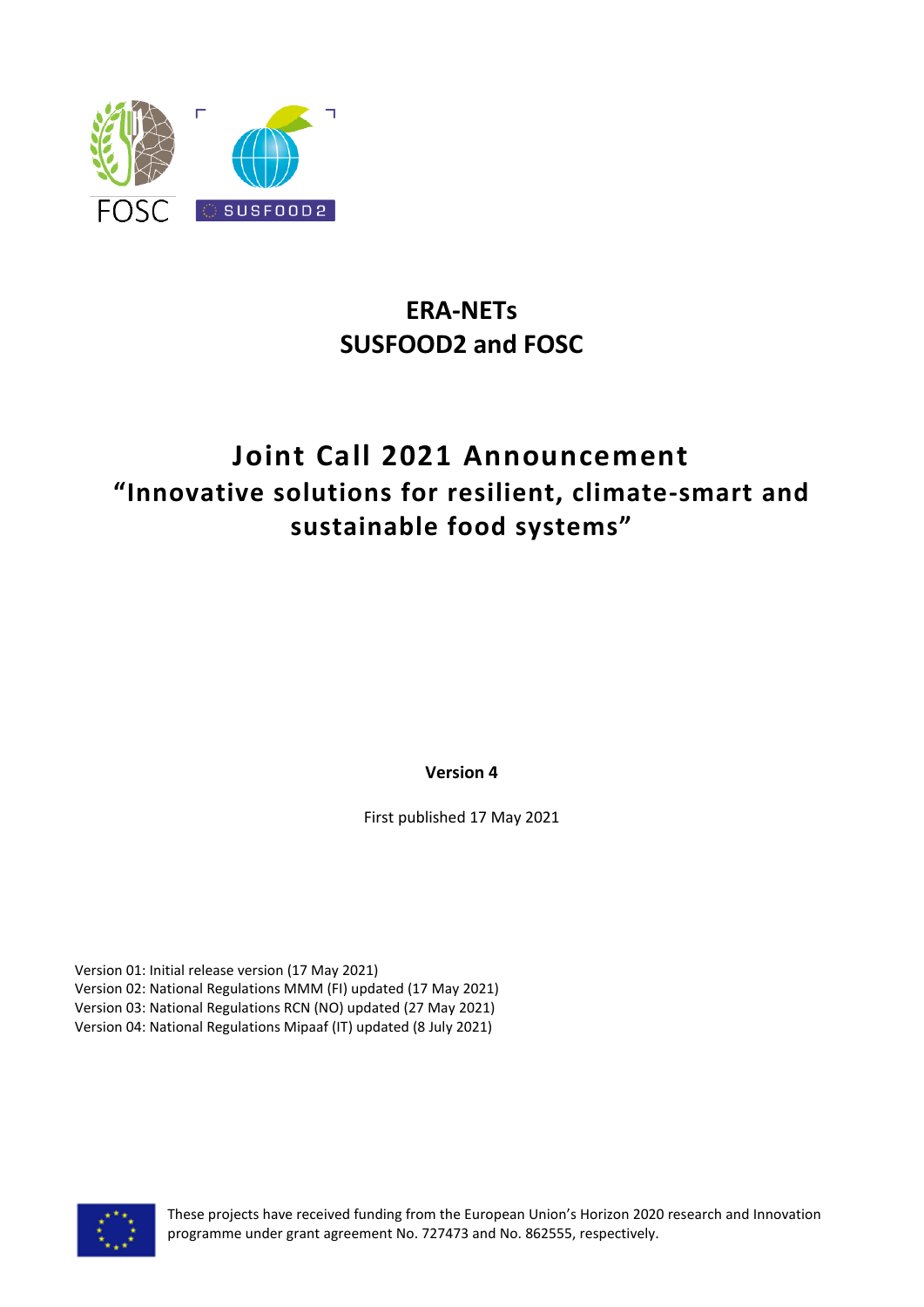

# **ERA-NETs SUSFOOD2 and FOSC**

# **Joint Call 2021 Announcement "Innovative solutions for resilient, climate-smart and sustainable food systems"**

**Version 4**

First published 17 May 2021

Version 01: Initial release version (17 May 2021) Version 02: National Regulations MMM (FI) updated (17 May 2021) Version 03: National Regulations RCN (NO) updated (27 May 2021) Version 04: National Regulations Mipaaf (IT) updated (8 July 2021)



These projects have received funding from the European Union's Horizon 2020 research and Innovation programme under grant agreement No. 727473 and No. 862555, respectively.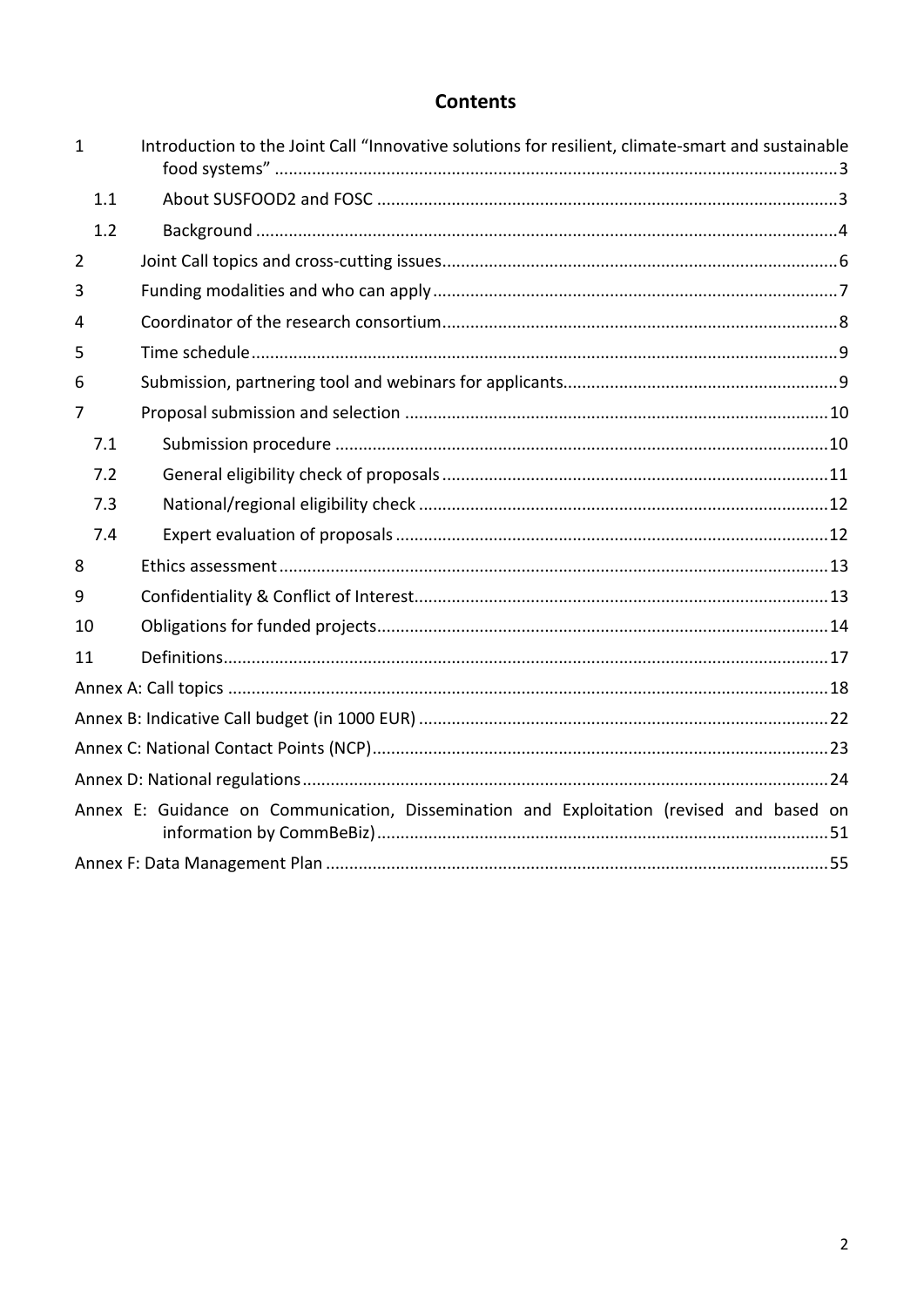# **Contents**

| $\mathbf{1}$   | Introduction to the Joint Call "Innovative solutions for resilient, climate-smart and sustainable |  |
|----------------|---------------------------------------------------------------------------------------------------|--|
| 1.1            |                                                                                                   |  |
| 1.2            |                                                                                                   |  |
| $\overline{2}$ |                                                                                                   |  |
| 3              |                                                                                                   |  |
| 4              |                                                                                                   |  |
| 5              |                                                                                                   |  |
| 6              |                                                                                                   |  |
| 7              |                                                                                                   |  |
| 7.1            |                                                                                                   |  |
| 7.2            |                                                                                                   |  |
| 7.3            |                                                                                                   |  |
| 7.4            |                                                                                                   |  |
| 8              |                                                                                                   |  |
| 9              |                                                                                                   |  |
| 10             |                                                                                                   |  |
| 11             |                                                                                                   |  |
|                |                                                                                                   |  |
|                |                                                                                                   |  |
|                |                                                                                                   |  |
|                |                                                                                                   |  |
|                | Annex E: Guidance on Communication, Dissemination and Exploitation (revised and based on          |  |
|                |                                                                                                   |  |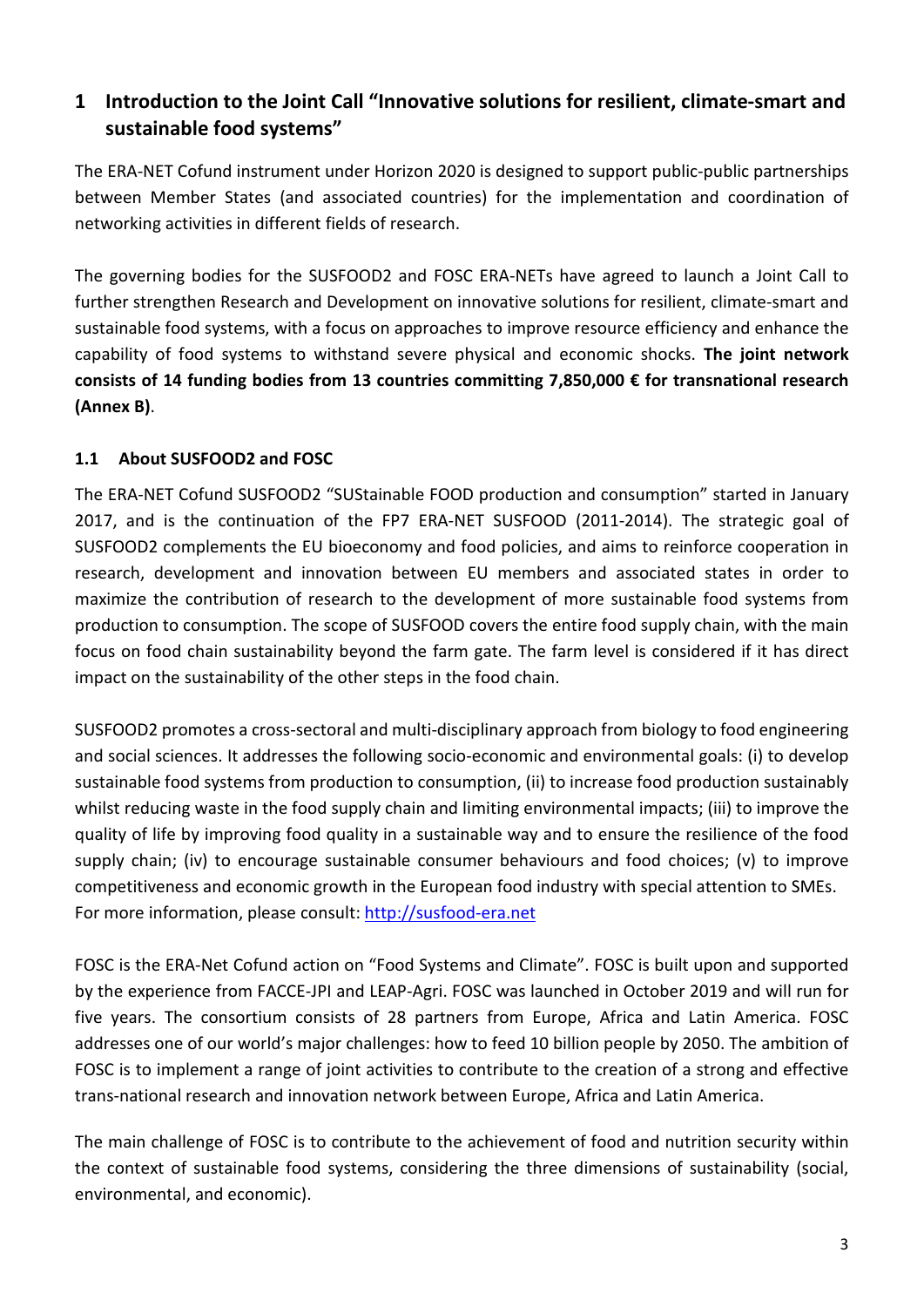# <span id="page-2-0"></span>**1 Introduction to the Joint Call "Innovative solutions for resilient, climate-smart and sustainable food systems"**

The ERA-NET Cofund instrument under Horizon 2020 is designed to support public-public partnerships between Member States (and associated countries) for the implementation and coordination of networking activities in different fields of research.

The governing bodies for the SUSFOOD2 and FOSC ERA-NETs have agreed to launch a Joint Call to further strengthen Research and Development on innovative solutions for resilient, climate-smart and sustainable food systems, with a focus on approaches to improve resource efficiency and enhance the capability of food systems to withstand severe physical and economic shocks. **The joint network consists of 14 funding bodies from 13 countries committing 7,850,000 € for transnational research (Annex B)**.

## <span id="page-2-1"></span>**1.1 About SUSFOOD2 and FOSC**

The ERA-NET Cofund SUSFOOD2 "SUStainable FOOD production and consumption" started in January 2017, and is the continuation of the FP7 ERA-NET SUSFOOD (2011-2014). The strategic goal of SUSFOOD2 complements the EU bioeconomy and food policies, and aims to reinforce cooperation in research, development and innovation between EU members and associated states in order to maximize the contribution of research to the development of more sustainable food systems from production to consumption. The scope of SUSFOOD covers the entire food supply chain, with the main focus on food chain sustainability beyond the farm gate. The farm level is considered if it has direct impact on the sustainability of the other steps in the food chain.

SUSFOOD2 promotes a cross-sectoral and multi-disciplinary approach from biology to food engineering and social sciences. It addresses the following socio-economic and environmental goals: (i) to develop sustainable food systems from production to consumption, (ii) to increase food production sustainably whilst reducing waste in the food supply chain and limiting environmental impacts; (iii) to improve the quality of life by improving food quality in a sustainable way and to ensure the resilience of the food supply chain; (iv) to encourage sustainable consumer behaviours and food choices; (v) to improve competitiveness and economic growth in the European food industry with special attention to SMEs. For more information, please consult: [http://susfood-era.net](http://susfood-era.net/)

FOSC is the ERA-Net Cofund action on "Food Systems and Climate". FOSC is built upon and supported by the experience from FACCE-JPI and LEAP-Agri. FOSC was launched in October 2019 and will run for five years. The consortium consists of 28 partners from Europe, Africa and Latin America. FOSC addresses one of our world's major challenges: how to feed 10 billion people by 2050. The ambition of FOSC is to implement a range of joint activities to contribute to the creation of a strong and effective trans-national research and innovation network between Europe, Africa and Latin America.

The main challenge of FOSC is to contribute to the achievement of food and nutrition security within the context of sustainable food systems, considering the three dimensions of sustainability (social, environmental, and economic).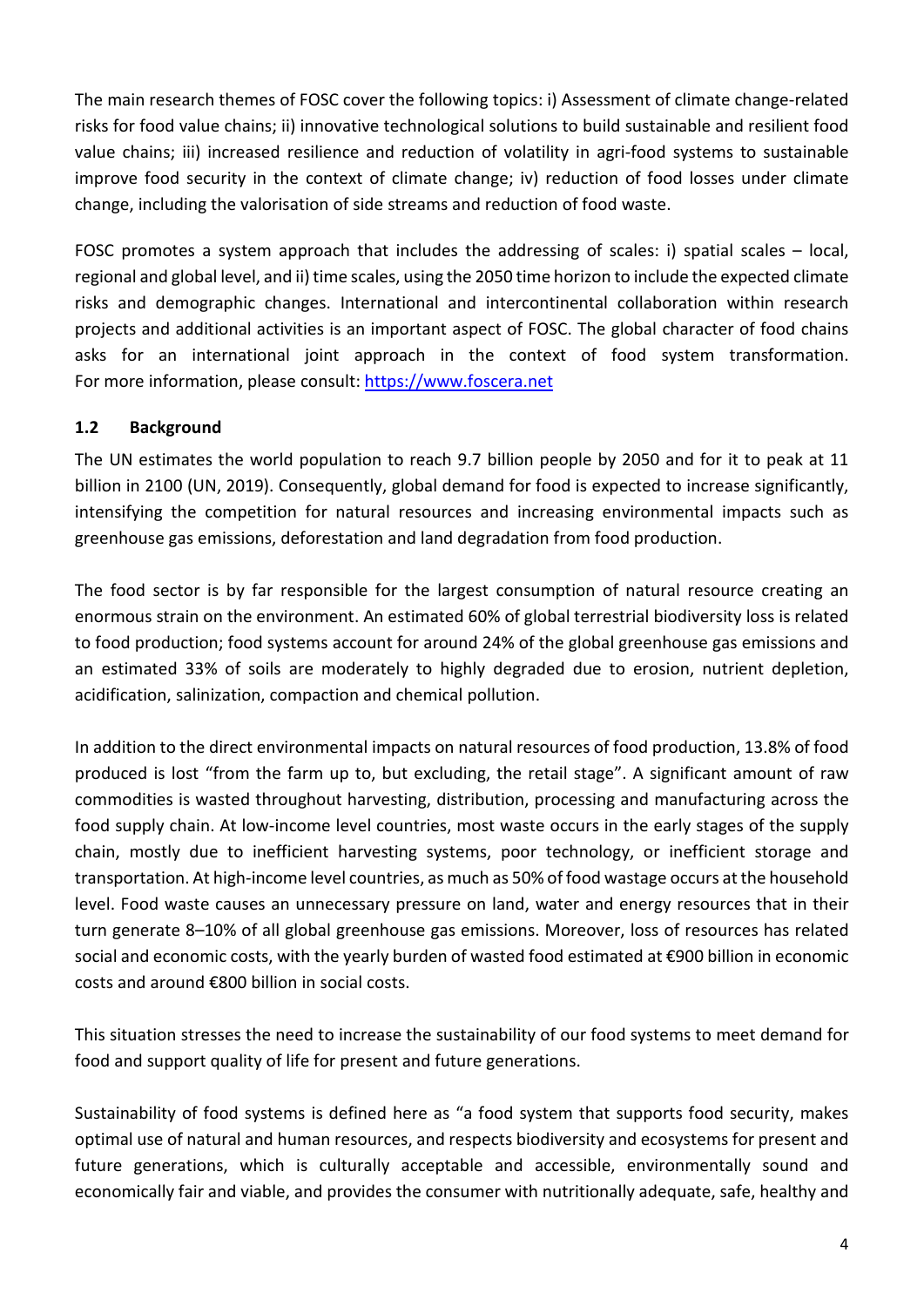The main research themes of FOSC cover the following topics: i) Assessment of climate change-related risks for food value chains; ii) innovative technological solutions to build sustainable and resilient food value chains; iii) increased resilience and reduction of volatility in agri-food systems to sustainable improve food security in the context of climate change; iv) reduction of food losses under climate change, including the valorisation of side streams and reduction of food waste.

FOSC promotes a system approach that includes the addressing of scales: i) spatial scales – local, regional and global level, and ii) time scales, using the 2050 time horizon to include the expected climate risks and demographic changes. International and intercontinental collaboration within research projects and additional activities is an important aspect of FOSC. The global character of food chains asks for an international joint approach in the context of food system transformation. For more information, please consult: [https://www.foscera.net](https://www.foscera.net/)

#### <span id="page-3-0"></span>**1.2 Background**

The UN estimates the world population to reach 9.7 billion people by 2050 and for it to peak at 11 billion in 2100 (UN, 2019). Consequently, global demand for food is expected to increase significantly, intensifying the competition for natural resources and increasing environmental impacts such as greenhouse gas emissions, deforestation and land degradation from food production.

The food sector is by far responsible for the largest consumption of natural resource creating an enormous strain on the environment. An estimated 60% of global terrestrial biodiversity loss is related to food production; food systems account for around 24% of the global greenhouse gas emissions and an estimated 33% of soils are moderately to highly degraded due to erosion, nutrient depletion, acidification, salinization, compaction and chemical pollution.

In addition to the direct environmental impacts on natural resources of food production, 13.8% of food produced is lost "from the farm up to, but excluding, the retail stage". A significant amount of raw commodities is wasted throughout harvesting, distribution, processing and manufacturing across the food supply chain. At low-income level countries, most waste occurs in the early stages of the supply chain, mostly due to inefficient harvesting systems, poor technology, or inefficient storage and transportation. At high-income level countries, as much as 50% of food wastage occurs at the household level. Food waste causes an unnecessary pressure on land, water and energy resources that in their turn generate 8–10% of all global greenhouse gas emissions. Moreover, loss of resources has related social and economic costs, with the yearly burden of wasted food estimated at €900 billion in economic costs and around €800 billion in social costs.

This situation stresses the need to increase the sustainability of our food systems to meet demand for food and support quality of life for present and future generations.

Sustainability of food systems is defined here as "a food system that supports food security, makes optimal use of natural and human resources, and respects biodiversity and ecosystems for present and future generations, which is culturally acceptable and accessible, environmentally sound and economically fair and viable, and provides the consumer with nutritionally adequate, safe, healthy and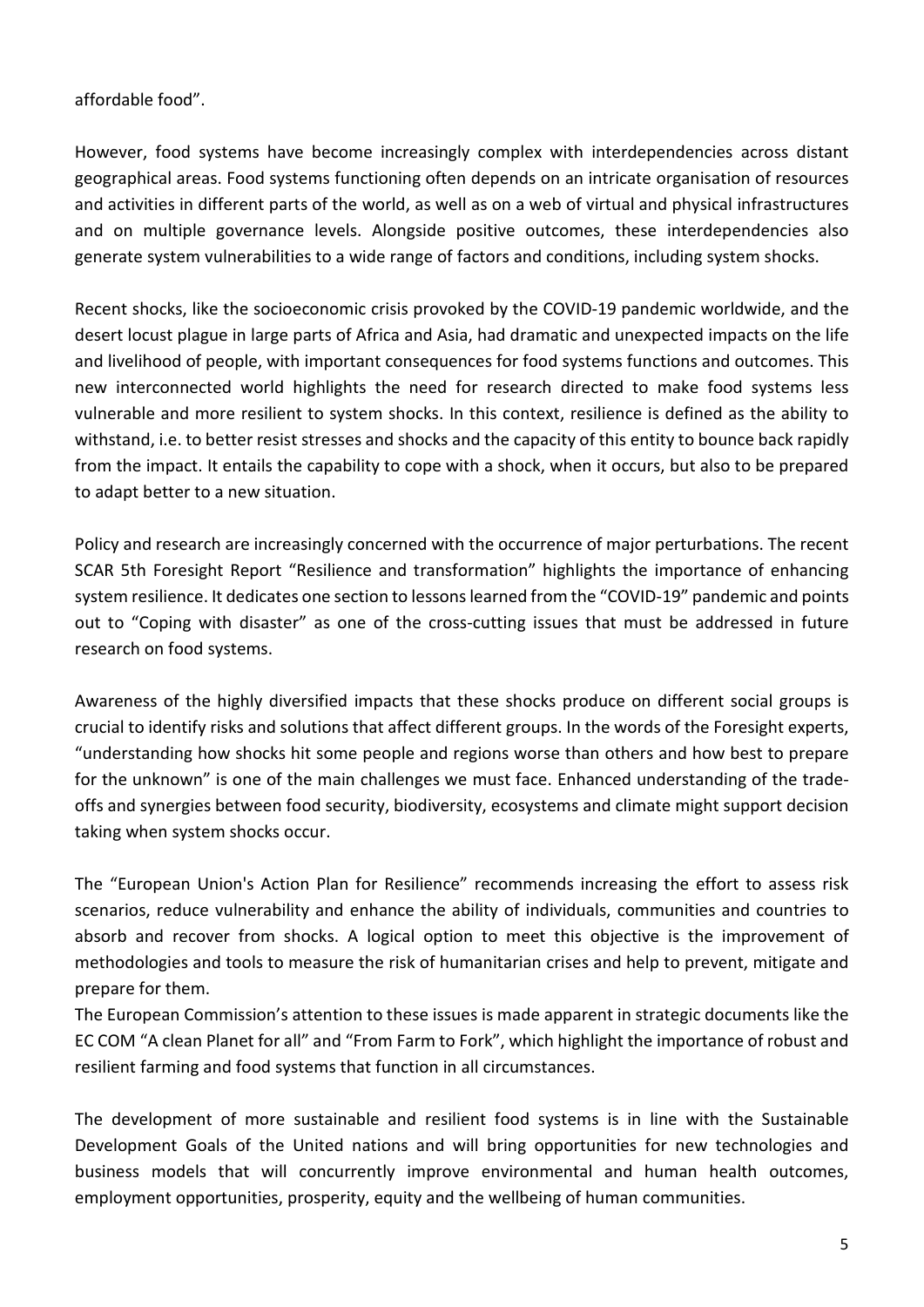affordable food".

However, food systems have become increasingly complex with interdependencies across distant geographical areas. Food systems functioning often depends on an intricate organisation of resources and activities in different parts of the world, as well as on a web of virtual and physical infrastructures and on multiple governance levels. Alongside positive outcomes, these interdependencies also generate system vulnerabilities to a wide range of factors and conditions, including system shocks.

Recent shocks, like the socioeconomic crisis provoked by the COVID-19 pandemic worldwide, and the desert locust plague in large parts of Africa and Asia, had dramatic and unexpected impacts on the life and livelihood of people, with important consequences for food systems functions and outcomes. This new interconnected world highlights the need for research directed to make food systems less vulnerable and more resilient to system shocks. In this context, resilience is defined as the ability to withstand, i.e. to better resist stresses and shocks and the capacity of this entity to bounce back rapidly from the impact. It entails the capability to cope with a shock, when it occurs, but also to be prepared to adapt better to a new situation.

Policy and research are increasingly concerned with the occurrence of major perturbations. The recent SCAR 5th Foresight Report "Resilience and transformation" highlights the importance of enhancing system resilience. It dedicates one section to lessons learned from the "COVID-19" pandemic and points out to "Coping with disaster" as one of the cross-cutting issues that must be addressed in future research on food systems.

Awareness of the highly diversified impacts that these shocks produce on different social groups is crucial to identify risks and solutions that affect different groups. In the words of the Foresight experts, "understanding how shocks hit some people and regions worse than others and how best to prepare for the unknown" is one of the main challenges we must face. Enhanced understanding of the tradeoffs and synergies between food security, biodiversity, ecosystems and climate might support decision taking when system shocks occur.

The "European Union's Action Plan for Resilience" recommends increasing the effort to assess risk scenarios, reduce vulnerability and enhance the ability of individuals, communities and countries to absorb and recover from shocks. A logical option to meet this objective is the improvement of methodologies and tools to measure the risk of humanitarian crises and help to prevent, mitigate and prepare for them.

The European Commission's attention to these issues is made apparent in strategic documents like the EC COM "A clean Planet for all" and "From Farm to Fork", which highlight the importance of robust and resilient farming and food systems that function in all circumstances.

The development of more sustainable and resilient food systems is in line with the Sustainable Development Goals of the United nations and will bring opportunities for new technologies and business models that will concurrently improve environmental and human health outcomes, employment opportunities, prosperity, equity and the wellbeing of human communities.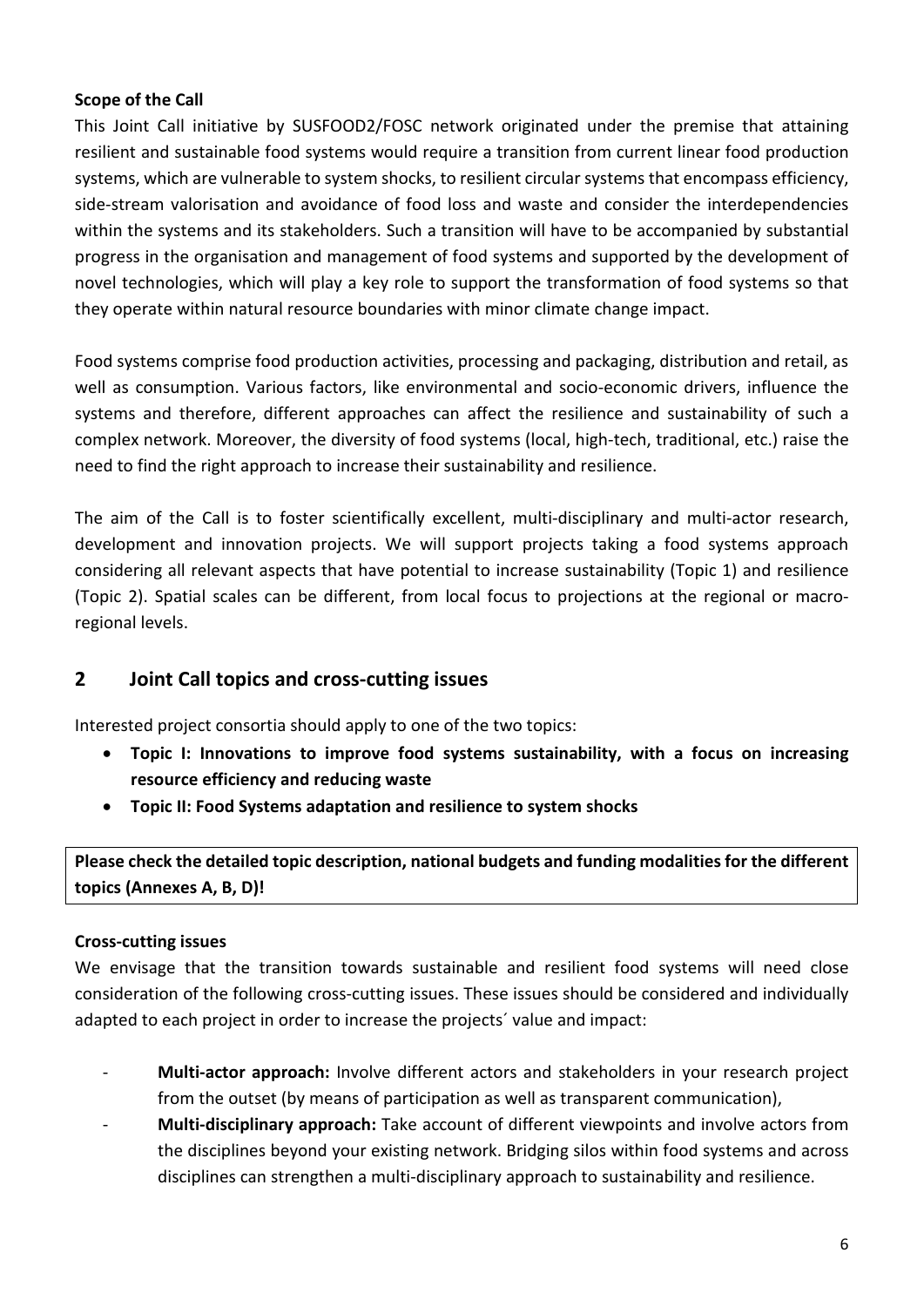#### **Scope of the Call**

This Joint Call initiative by SUSFOOD2/FOSC network originated under the premise that attaining resilient and sustainable food systems would require a transition from current linear food production systems, which are vulnerable to system shocks, to resilient circular systems that encompass efficiency, side-stream valorisation and avoidance of food loss and waste and consider the interdependencies within the systems and its stakeholders. Such a transition will have to be accompanied by substantial progress in the organisation and management of food systems and supported by the development of novel technologies, which will play a key role to support the transformation of food systems so that they operate within natural resource boundaries with minor climate change impact.

Food systems comprise food production activities, processing and packaging, distribution and retail, as well as consumption. Various factors, like environmental and socio-economic drivers, influence the systems and therefore, different approaches can affect the resilience and sustainability of such a complex network. Moreover, the diversity of food systems (local, high-tech, traditional, etc.) raise the need to find the right approach to increase their sustainability and resilience.

The aim of the Call is to foster scientifically excellent, multi-disciplinary and multi-actor research, development and innovation projects. We will support projects taking a food systems approach considering all relevant aspects that have potential to increase sustainability (Topic 1) and resilience (Topic 2). Spatial scales can be different, from local focus to projections at the regional or macroregional levels.

# <span id="page-5-0"></span>**2 Joint Call topics and cross-cutting issues**

Interested project consortia should apply to one of the two topics:

- **Topic I: Innovations to improve food systems sustainability, with a focus on increasing resource efficiency and reducing waste**
- **Topic II: Food Systems adaptation and resilience to system shocks**

**Please check the detailed topic description, national budgets and funding modalities for the different topics (Annexes A, B, D)!**

#### **Cross-cutting issues**

We envisage that the transition towards sustainable and resilient food systems will need close consideration of the following cross-cutting issues. These issues should be considered and individually adapted to each project in order to increase the projects´ value and impact:

- Multi-actor approach: Involve different actors and stakeholders in your research project from the outset (by means of participation as well as transparent communication),
- **Multi-disciplinary approach:** Take account of different viewpoints and involve actors from the disciplines beyond your existing network. Bridging silos within food systems and across disciplines can strengthen a multi-disciplinary approach to sustainability and resilience.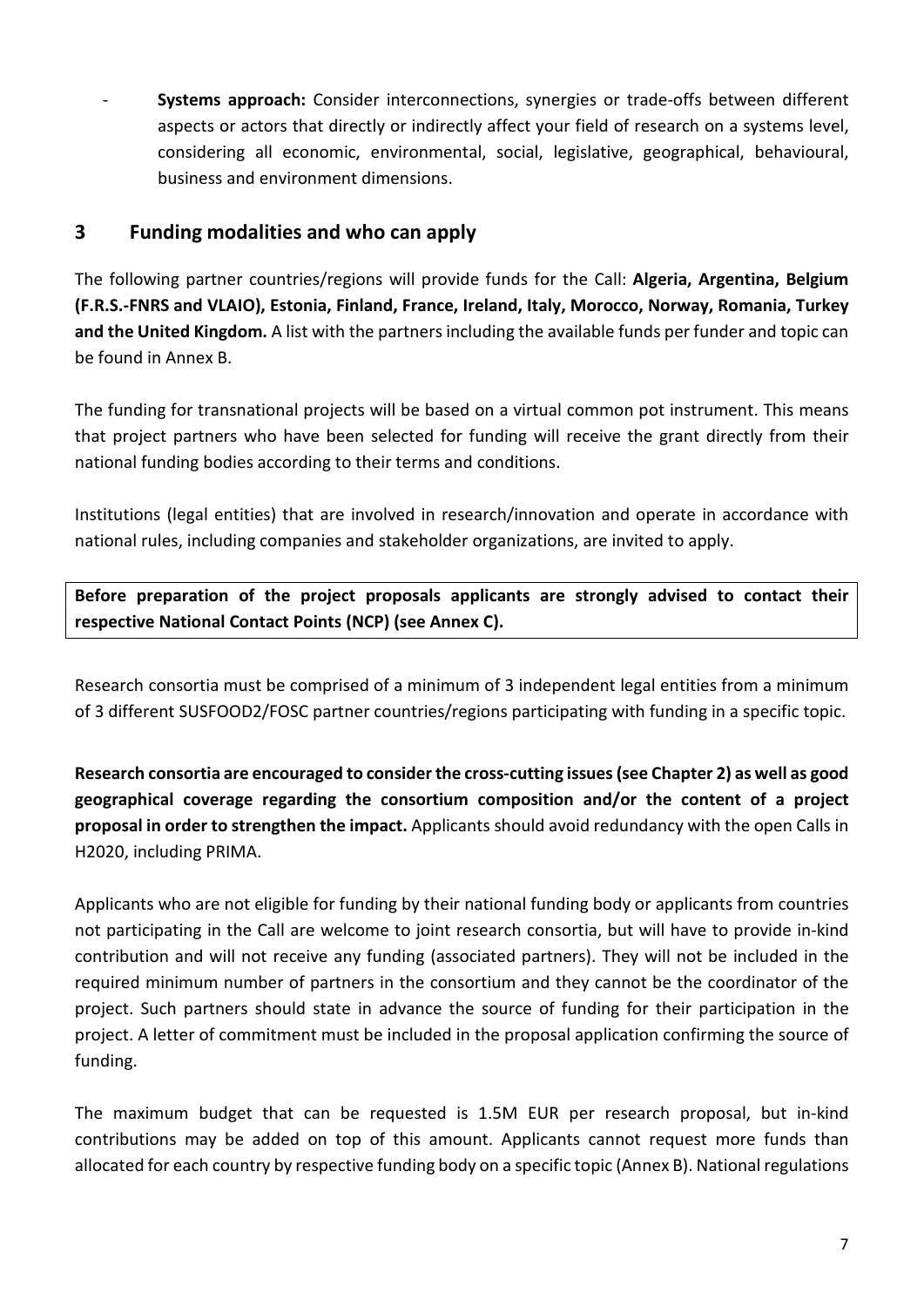**Systems approach:** Consider interconnections, synergies or trade-offs between different aspects or actors that directly or indirectly affect your field of research on a systems level, considering all economic, environmental, social, legislative, geographical, behavioural, business and environment dimensions.

# <span id="page-6-0"></span>**3 Funding modalities and who can apply**

The following partner countries/regions will provide funds for the Call: **Algeria, Argentina, Belgium (F.R.S.-FNRS and VLAIO), Estonia, Finland, France, Ireland, Italy, Morocco, Norway, Romania, Turkey and the United Kingdom.** A list with the partners including the available funds per funder and topic can be found in Annex B.

The funding for transnational projects will be based on a virtual common pot instrument. This means that project partners who have been selected for funding will receive the grant directly from their national funding bodies according to their terms and conditions.

Institutions (legal entities) that are involved in research/innovation and operate in accordance with national rules, including companies and stakeholder organizations, are invited to apply.

**Before preparation of the project proposals applicants are strongly advised to contact their respective National Contact Points (NCP) (see Annex C).**

Research consortia must be comprised of a minimum of 3 independent legal entities from a minimum of 3 different SUSFOOD2/FOSC partner countries/regions participating with funding in a specific topic.

**Research consortia are encouraged to consider the cross-cutting issues (see Chapter 2) as well as good geographical coverage regarding the consortium composition and/or the content of a project proposal in order to strengthen the impact.** Applicants should avoid redundancy with the open Calls in H2020, including PRIMA.

Applicants who are not eligible for funding by their national funding body or applicants from countries not participating in the Call are welcome to joint research consortia, but will have to provide in-kind contribution and will not receive any funding (associated partners). They will not be included in the required minimum number of partners in the consortium and they cannot be the coordinator of the project. Such partners should state in advance the source of funding for their participation in the project. A letter of commitment must be included in the proposal application confirming the source of funding.

The maximum budget that can be requested is 1.5M EUR per research proposal, but in-kind contributions may be added on top of this amount. Applicants cannot request more funds than allocated for each country by respective funding body on a specific topic (Annex B). National regulations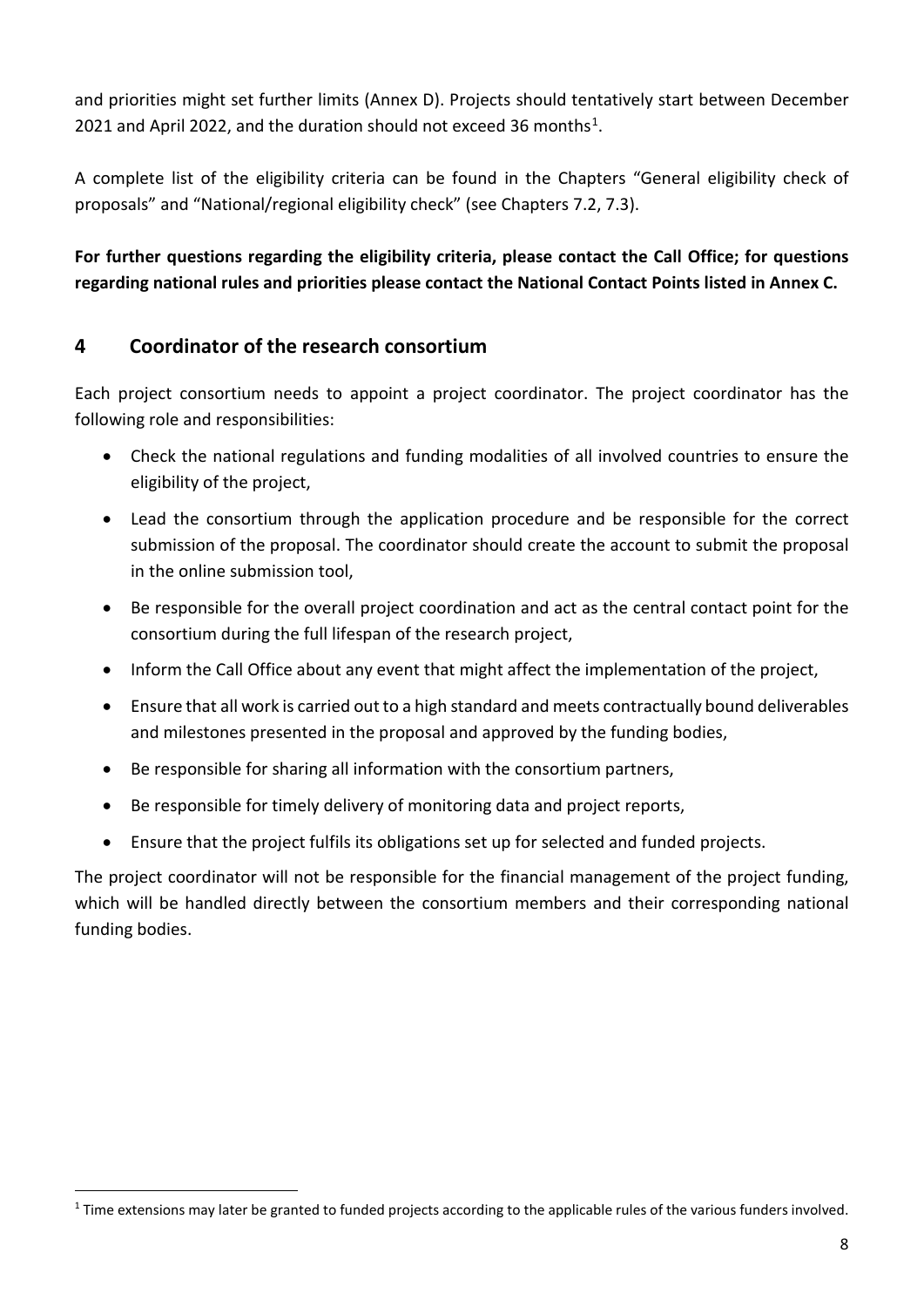and priorities might set further limits (Annex D). Projects should tentatively start between December 2021 and April 2022, and the duration should not exceed 36 months<sup>1</sup>.

A complete list of the eligibility criteria can be found in the Chapters "General eligibility check of proposals" and "National/regional eligibility check" (see Chapters 7.2, 7.3).

**For further questions regarding the eligibility criteria, please contact the Call Office; for questions regarding national rules and priorities please contact the National Contact Points listed in Annex C.**

# <span id="page-7-0"></span>**4 Coordinator of the research consortium**

 $\overline{a}$ 

Each project consortium needs to appoint a project coordinator. The project coordinator has the following role and responsibilities:

- Check the national regulations and funding modalities of all involved countries to ensure the eligibility of the project,
- Lead the consortium through the application procedure and be responsible for the correct submission of the proposal. The coordinator should create the account to submit the proposal in the online submission tool,
- Be responsible for the overall project coordination and act as the central contact point for the consortium during the full lifespan of the research project,
- Inform the Call Office about any event that might affect the implementation of the project,
- Ensure that all work is carried out to a high standard and meets contractually bound deliverables and milestones presented in the proposal and approved by the funding bodies,
- Be responsible for sharing all information with the consortium partners,
- Be responsible for timely delivery of monitoring data and project reports,
- Ensure that the project fulfils its obligations set up for selected and funded projects.

The project coordinator will not be responsible for the financial management of the project funding, which will be handled directly between the consortium members and their corresponding national funding bodies.

<span id="page-7-1"></span><sup>&</sup>lt;sup>1</sup> Time extensions may later be granted to funded projects according to the applicable rules of the various funders involved.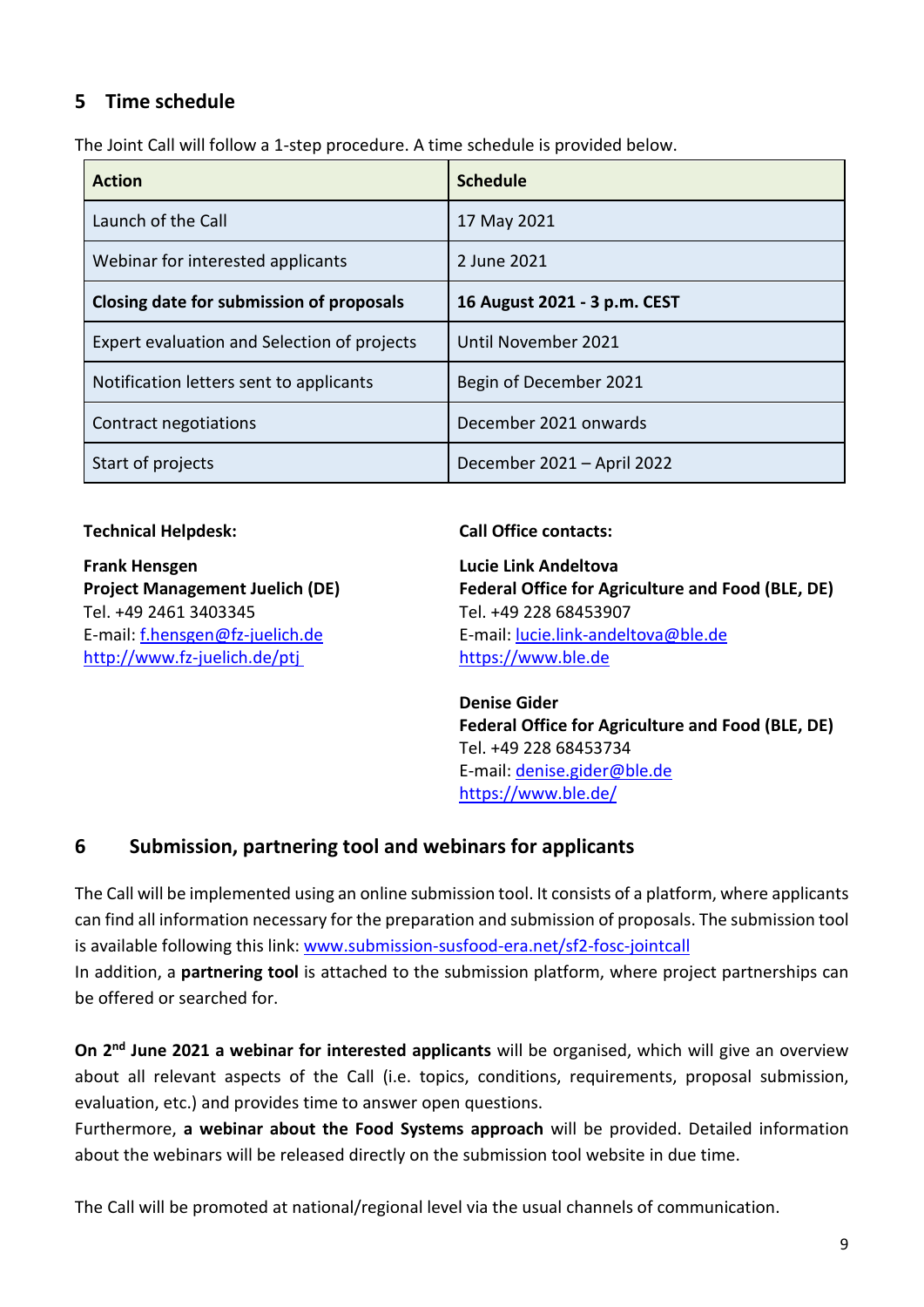# <span id="page-8-0"></span>**5 Time schedule**

The Joint Call will follow a 1-step procedure. A time schedule is provided below.

| <b>Action</b>                               | <b>Schedule</b>              |
|---------------------------------------------|------------------------------|
| Launch of the Call                          | 17 May 2021                  |
| Webinar for interested applicants           | 2 June 2021                  |
| Closing date for submission of proposals    | 16 August 2021 - 3 p.m. CEST |
| Expert evaluation and Selection of projects | Until November 2021          |
| Notification letters sent to applicants     | Begin of December 2021       |
| Contract negotiations                       | December 2021 onwards        |
| Start of projects                           | December 2021 - April 2022   |

**Frank Hensgen Lucie Link Andeltova**  Tel. +49 2461 3403345 Tel. +49 228 68453907 [http://www.fz-juelich.de/ptj](http://www.fz-juelich.de/ptj/) [https://www.ble.de](https://www.ble.de/)

#### **Technical Helpdesk: Call Office contacts:**

**Project Management Juelich (DE) Federal Office for Agriculture and Food (BLE, DE)** E-mail: [f.hensgen@fz-juelich.de](mailto:f.hensgen@fz-juelich.de) E-mail: lucie.link-andeltova@ble.de

> **Denise Gider Federal Office for Agriculture and Food (BLE, DE)** Tel. +49 228 68453734 E-mail: [denise.gider@ble.de](mailto:denise.gider@ble.de) <https://www.ble.de/>

#### <span id="page-8-1"></span>**6 Submission, partnering tool and webinars for applicants**

The Call will be implemented using an online submission tool. It consists of a platform, where applicants can find all information necessary for the preparation and submission of proposals. The submission tool is available following this link: [www.submission-susfood-era.net/sf2-fosc-jointcall](http://www.submission-susfood-era.net/sf2-fosc-jointcall) In addition, a **partnering tool** is attached to the submission platform, where project partnerships can be offered or searched for.

**On 2nd June 2021 a webinar for interested applicants** will be organised, which will give an overview about all relevant aspects of the Call (i.e. topics, conditions, requirements, proposal submission, evaluation, etc.) and provides time to answer open questions.

Furthermore, **a webinar about the Food Systems approach** will be provided. Detailed information about the webinars will be released directly on the submission tool website in due time.

The Call will be promoted at national/regional level via the usual channels of communication.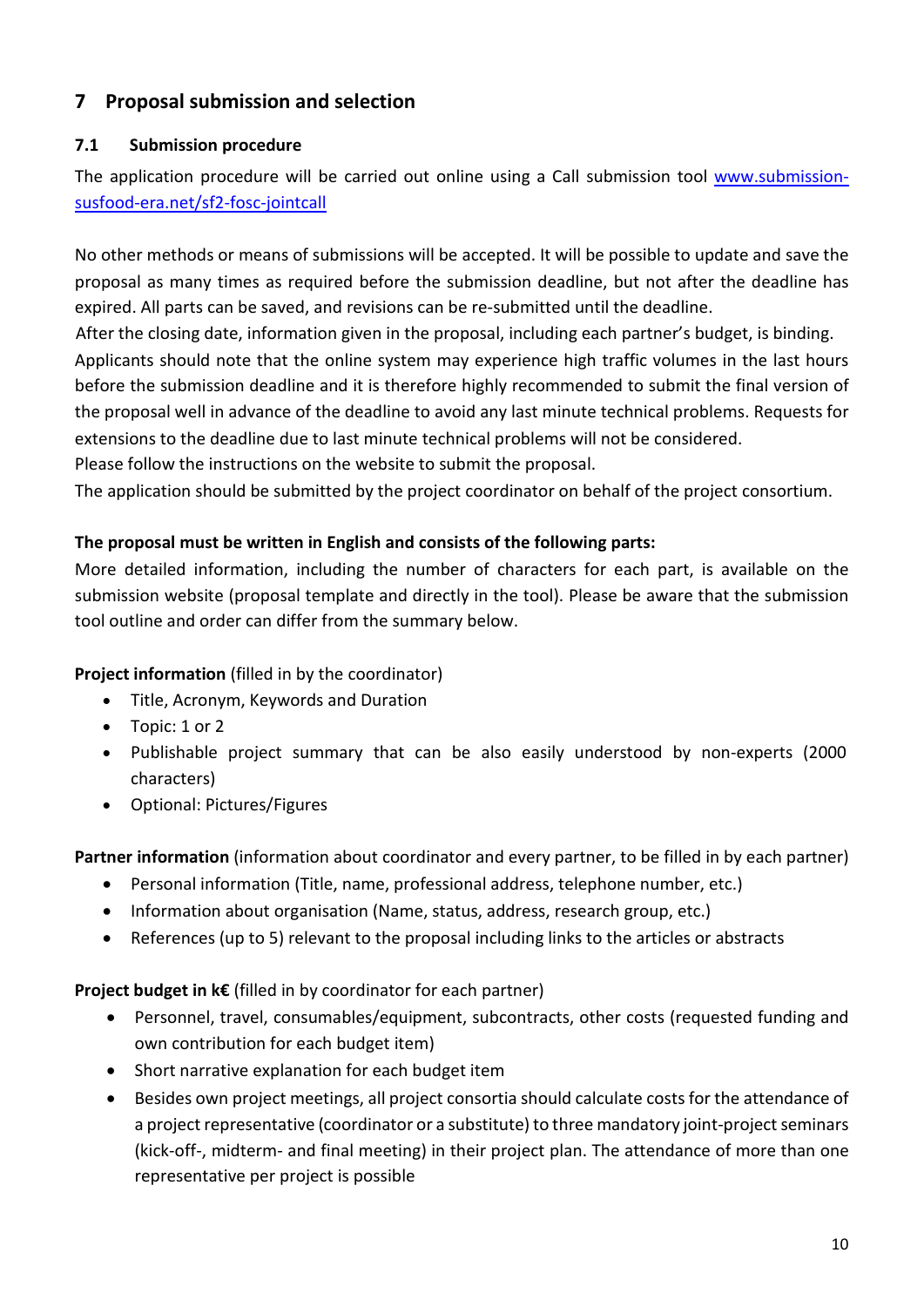# <span id="page-9-0"></span>**7 Proposal submission and selection**

#### <span id="page-9-1"></span>**7.1 Submission procedure**

The application procedure will be carried out online using a Call submission tool [www.submission](http://www.submission-susfood-era.net/sf2-fosc-jointcall)[susfood-era.net/sf2-fosc-jointcall](http://www.submission-susfood-era.net/sf2-fosc-jointcall)

No other methods or means of submissions will be accepted. It will be possible to update and save the proposal as many times as required before the submission deadline, but not after the deadline has expired. All parts can be saved, and revisions can be re-submitted until the deadline. After the closing date, information given in the proposal, including each partner's budget, is binding. Applicants should note that the online system may experience high traffic volumes in the last hours before the submission deadline and it is therefore highly recommended to submit the final version of

the proposal well in advance of the deadline to avoid any last minute technical problems. Requests for

extensions to the deadline due to last minute technical problems will not be considered.

Please follow the instructions on the website to submit the proposal.

The application should be submitted by the project coordinator on behalf of the project consortium.

#### **The proposal must be written in English and consists of the following parts:**

More detailed information, including the number of characters for each part, is available on the submission website (proposal template and directly in the tool). Please be aware that the submission tool outline and order can differ from the summary below.

#### **Project information** (filled in by the coordinator)

- Title, Acronym, Keywords and Duration
- Topic: 1 or 2
- Publishable project summary that can be also easily understood by non-experts (2000 characters)
- Optional: Pictures/Figures

**Partner information** (information about coordinator and every partner, to be filled in by each partner)

- Personal information (Title, name, professional address, telephone number, etc.)
- Information about organisation (Name, status, address, research group, etc.)
- References (up to 5) relevant to the proposal including links to the articles or abstracts

#### **Project budget in k€** (filled in by coordinator for each partner)

- Personnel, travel, consumables/equipment, subcontracts, other costs (requested funding and own contribution for each budget item)
- Short narrative explanation for each budget item
- Besides own project meetings, all project consortia should calculate costs for the attendance of a project representative (coordinator or a substitute) to three mandatory joint-project seminars (kick-off-, midterm- and final meeting) in their project plan. The attendance of more than one representative per project is possible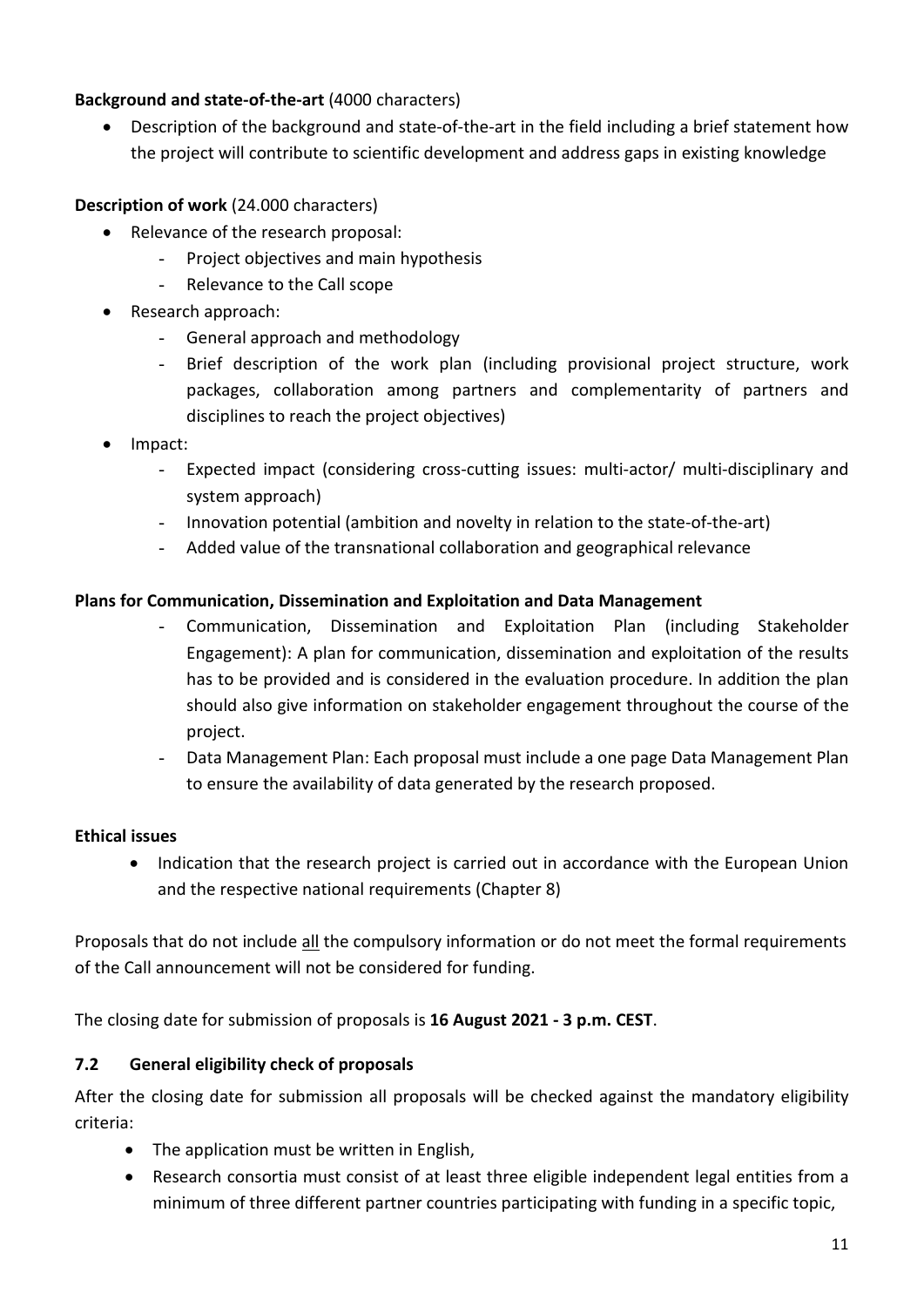#### **Background and state-of-the-art** (4000 characters)

• Description of the background and state-of-the-art in the field including a brief statement how the project will contribute to scientific development and address gaps in existing knowledge

## **Description of work** (24.000 characters)

- Relevance of the research proposal:
	- Project objectives and main hypothesis
	- Relevance to the Call scope
- Research approach:
	- General approach and methodology
	- Brief description of the work plan (including provisional project structure, work packages, collaboration among partners and complementarity of partners and disciplines to reach the project objectives)
- Impact:
	- Expected impact (considering cross-cutting issues: multi-actor/ multi-disciplinary and system approach)
	- Innovation potential (ambition and novelty in relation to the state-of-the-art)
	- Added value of the transnational collaboration and geographical relevance

#### **Plans for Communication, Dissemination and Exploitation and Data Management**

- Communication, Dissemination and Exploitation Plan (including Stakeholder Engagement): A plan for communication, dissemination and exploitation of the results has to be provided and is considered in the evaluation procedure. In addition the plan should also give information on stakeholder engagement throughout the course of the project.
- Data Management Plan: Each proposal must include a one page Data Management Plan to ensure the availability of data generated by the research proposed.

#### **Ethical issues**

• Indication that the research project is carried out in accordance with the European Union and the respective national requirements (Chapter 8)

Proposals that do not include all the compulsory information or do not meet the formal requirements of the Call announcement will not be considered for funding.

The closing date for submission of proposals is **16 August 2021 - 3 p.m. CEST**.

#### <span id="page-10-0"></span>**7.2 General eligibility check of proposals**

After the closing date for submission all proposals will be checked against the mandatory eligibility criteria:

- The application must be written in English,
- Research consortia must consist of at least three eligible independent legal entities from a minimum of three different partner countries participating with funding in a specific topic,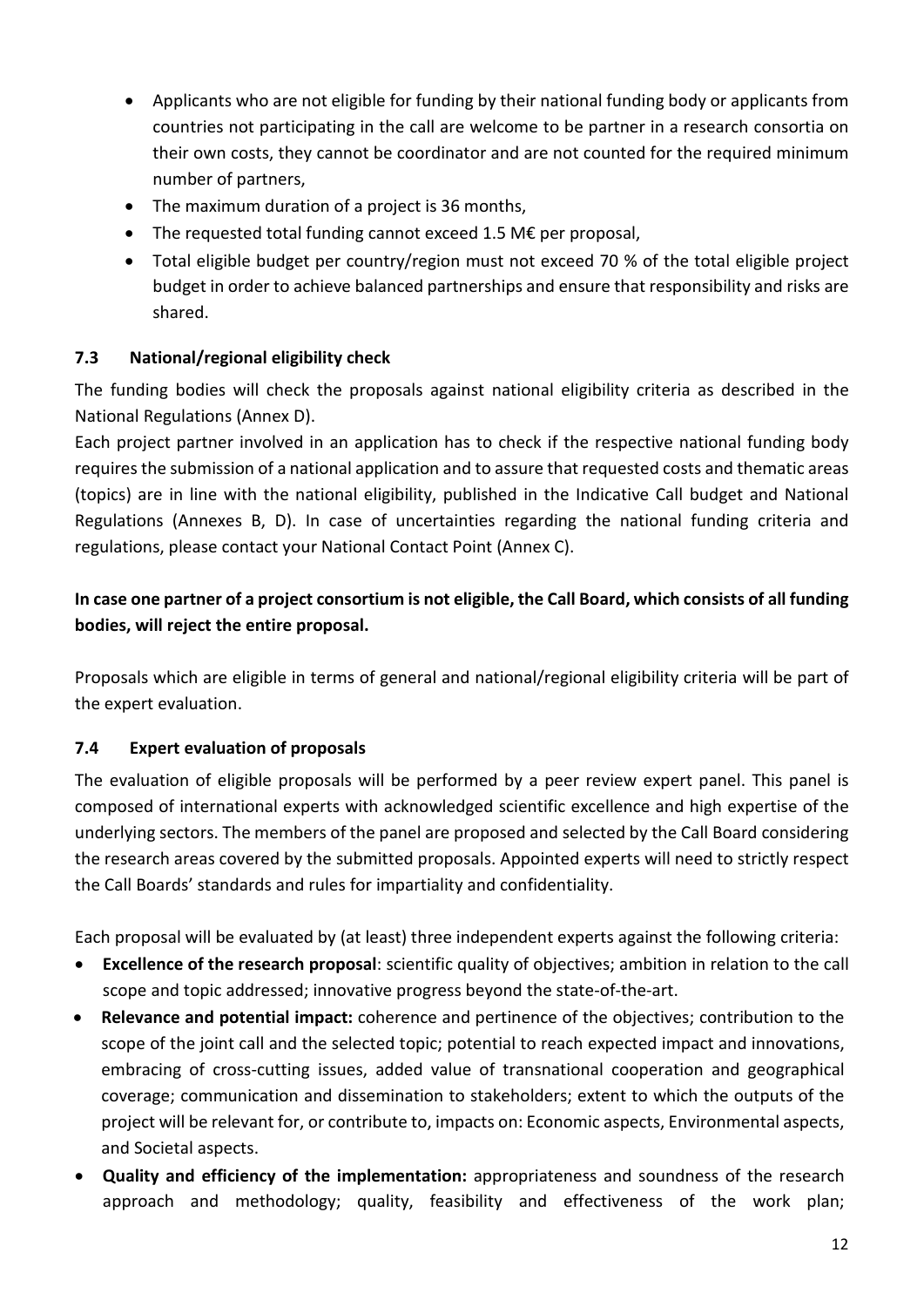- Applicants who are not eligible for funding by their national funding body or applicants from countries not participating in the call are welcome to be partner in a research consortia on their own costs, they cannot be coordinator and are not counted for the required minimum number of partners,
- The maximum duration of a project is 36 months,
- The requested total funding cannot exceed 1.5 M€ per proposal,
- Total eligible budget per country/region must not exceed 70 % of the total eligible project budget in order to achieve balanced partnerships and ensure that responsibility and risks are shared.

# <span id="page-11-0"></span>**7.3 National/regional eligibility check**

The funding bodies will check the proposals against national eligibility criteria as described in the National Regulations (Annex D).

Each project partner involved in an application has to check if the respective national funding body requires the submission of a national application and to assure that requested costs and thematic areas (topics) are in line with the national eligibility, published in the Indicative Call budget and National Regulations (Annexes B, D). In case of uncertainties regarding the national funding criteria and regulations, please contact your National Contact Point (Annex C).

# **In case one partner of a project consortium is not eligible, the Call Board, which consists of all funding bodies, will reject the entire proposal.**

Proposals which are eligible in terms of general and national/regional eligibility criteria will be part of the expert evaluation.

# <span id="page-11-1"></span>**7.4 Expert evaluation of proposals**

The evaluation of eligible proposals will be performed by a peer review expert panel. This panel is composed of international experts with acknowledged scientific excellence and high expertise of the underlying sectors. The members of the panel are proposed and selected by the Call Board considering the research areas covered by the submitted proposals. Appointed experts will need to strictly respect the Call Boards' standards and rules for impartiality and confidentiality.

Each proposal will be evaluated by (at least) three independent experts against the following criteria:

- **Excellence of the research proposal**: scientific quality of objectives; ambition in relation to the call scope and topic addressed; innovative progress beyond the state-of-the-art.
- **Relevance and potential impact:** coherence and pertinence of the objectives; contribution to the scope of the joint call and the selected topic; potential to reach expected impact and innovations, embracing of cross-cutting issues, added value of transnational cooperation and geographical coverage; communication and dissemination to stakeholders; extent to which the outputs of the project will be relevant for, or contribute to, impacts on: Economic aspects, Environmental aspects, and Societal aspects.
- **Quality and efficiency of the implementation:** appropriateness and soundness of the research approach and methodology; quality, feasibility and effectiveness of the work plan;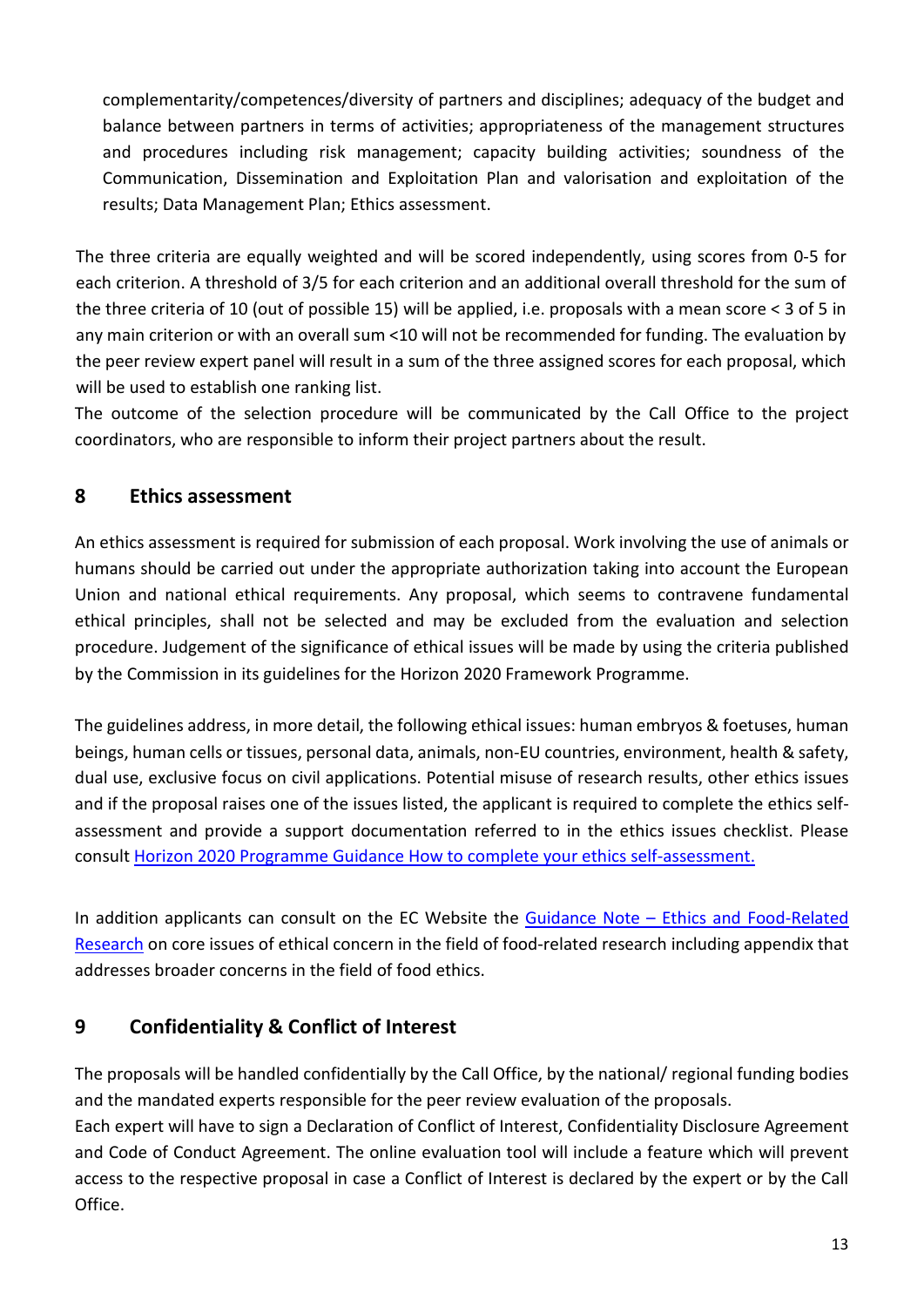complementarity/competences/diversity of partners and disciplines; adequacy of the budget and balance between partners in terms of activities; appropriateness of the management structures and procedures including risk management; capacity building activities; soundness of the Communication, Dissemination and Exploitation Plan and valorisation and exploitation of the results; Data Management Plan; Ethics assessment.

The three criteria are equally weighted and will be scored independently, using scores from 0-5 for each criterion. A threshold of 3/5 for each criterion and an additional overall threshold for the sum of the three criteria of 10 (out of possible 15) will be applied, i.e. proposals with a mean score < 3 of 5 in any main criterion or with an overall sum <10 will not be recommended for funding. The evaluation by the peer review expert panel will result in a sum of the three assigned scores for each proposal, which will be used to establish one ranking list.

The outcome of the selection procedure will be communicated by the Call Office to the project coordinators, who are responsible to inform their project partners about the result.

# <span id="page-12-0"></span>**8 Ethics assessment**

An ethics assessment is required for submission of each proposal. Work involving the use of animals or humans should be carried out under the appropriate authorization taking into account the European Union and national ethical requirements. Any proposal, which seems to contravene fundamental ethical principles, shall not be selected and may be excluded from the evaluation and selection procedure. Judgement of the significance of ethical issues will be made by using the criteria published by the Commission in its guidelines for the Horizon 2020 Framework Programme.

The guidelines address, in more detail, the following ethical issues: human embryos & foetuses, human beings, human cells or tissues, personal data, animals, non-EU countries, environment, health & safety, dual use, exclusive focus on civil applications. Potential misuse of research results, other ethics issues and if the proposal raises one of the issues listed, the applicant is required to complete the ethics selfassessment and provide a support documentation referred to in the ethics issues checklist. Please consult [Horizon 2020 Programme Guidance How to complete your ethics self-assessment.](http://ec.europa.eu/research/participants/data/ref/h2020/grants_manual/hi/ethics/h2020_hi_ethics-self-assess_en.pdf)

In addition applicants can consult on the EC Website the Guidance Note – Ethics and Food-Related [Research](http://ec.europa.eu/research/participants/data/ref/fp7/89847/research-food_en.pdf) on core issues of ethical concern in the field of food-related research including appendix that addresses broader concerns in the field of food ethics.

# <span id="page-12-1"></span>**9 Confidentiality & Conflict of Interest**

The proposals will be handled confidentially by the Call Office, by the national/ regional funding bodies and the mandated experts responsible for the peer review evaluation of the proposals.

Each expert will have to sign a Declaration of Conflict of Interest, Confidentiality Disclosure Agreement and Code of Conduct Agreement. The online evaluation tool will include a feature which will prevent access to the respective proposal in case a Conflict of Interest is declared by the expert or by the Call Office.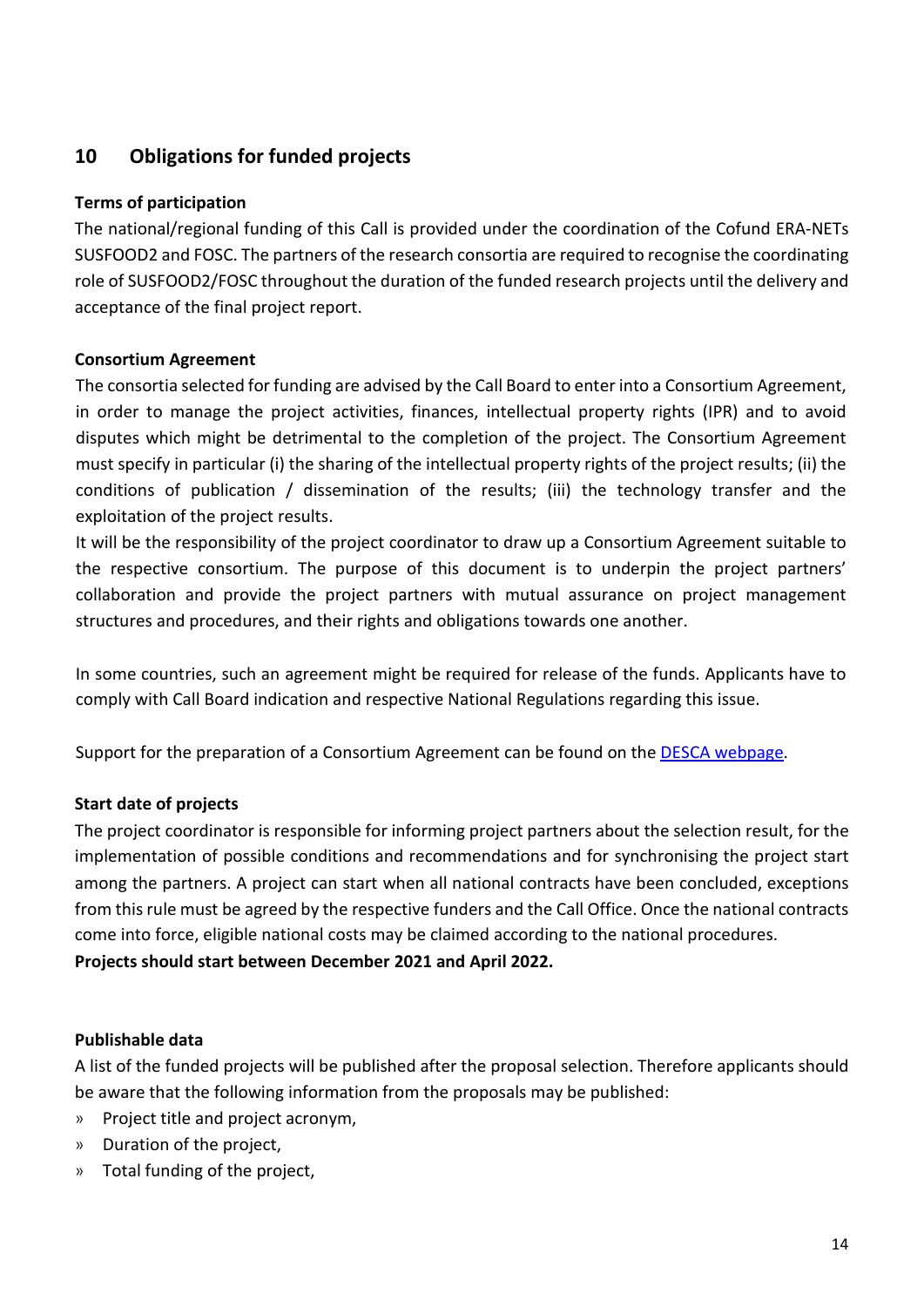# <span id="page-13-0"></span>**10 Obligations for funded projects**

#### **Terms of participation**

The national/regional funding of this Call is provided under the coordination of the Cofund ERA-NETs SUSFOOD2 and FOSC. The partners of the research consortia are required to recognise the coordinating role of SUSFOOD2/FOSC throughout the duration of the funded research projects until the delivery and acceptance of the final project report.

#### **Consortium Agreement**

The consortia selected for funding are advised by the Call Board to enter into a Consortium Agreement, in order to manage the project activities, finances, intellectual property rights (IPR) and to avoid disputes which might be detrimental to the completion of the project. The Consortium Agreement must specify in particular (i) the sharing of the intellectual property rights of the project results; (ii) the conditions of publication / dissemination of the results; (iii) the technology transfer and the exploitation of the project results.

It will be the responsibility of the project coordinator to draw up a Consortium Agreement suitable to the respective consortium. The purpose of this document is to underpin the project partners' collaboration and provide the project partners with mutual assurance on project management structures and procedures, and their rights and obligations towards one another.

In some countries, such an agreement might be required for release of the funds. Applicants have to comply with Call Board indication and respective National Regulations regarding this issue.

Support for the preparation of a Consortium Agreement can be found on th[e DESCA webpage.](http://www.desca-2020.eu/)

#### **Start date of projects**

The project coordinator is responsible for informing project partners about the selection result, for the implementation of possible conditions and recommendations and for synchronising the project start among the partners. A project can start when all national contracts have been concluded, exceptions from this rule must be agreed by the respective funders and the Call Office. Once the national contracts come into force, eligible national costs may be claimed according to the national procedures. **Projects should start between December 2021 and April 2022.**

#### **Publishable data**

A list of the funded projects will be published after the proposal selection. Therefore applicants should be aware that the following information from the proposals may be published:

- » Project title and project acronym,
- » Duration of the project,
- » Total funding of the project,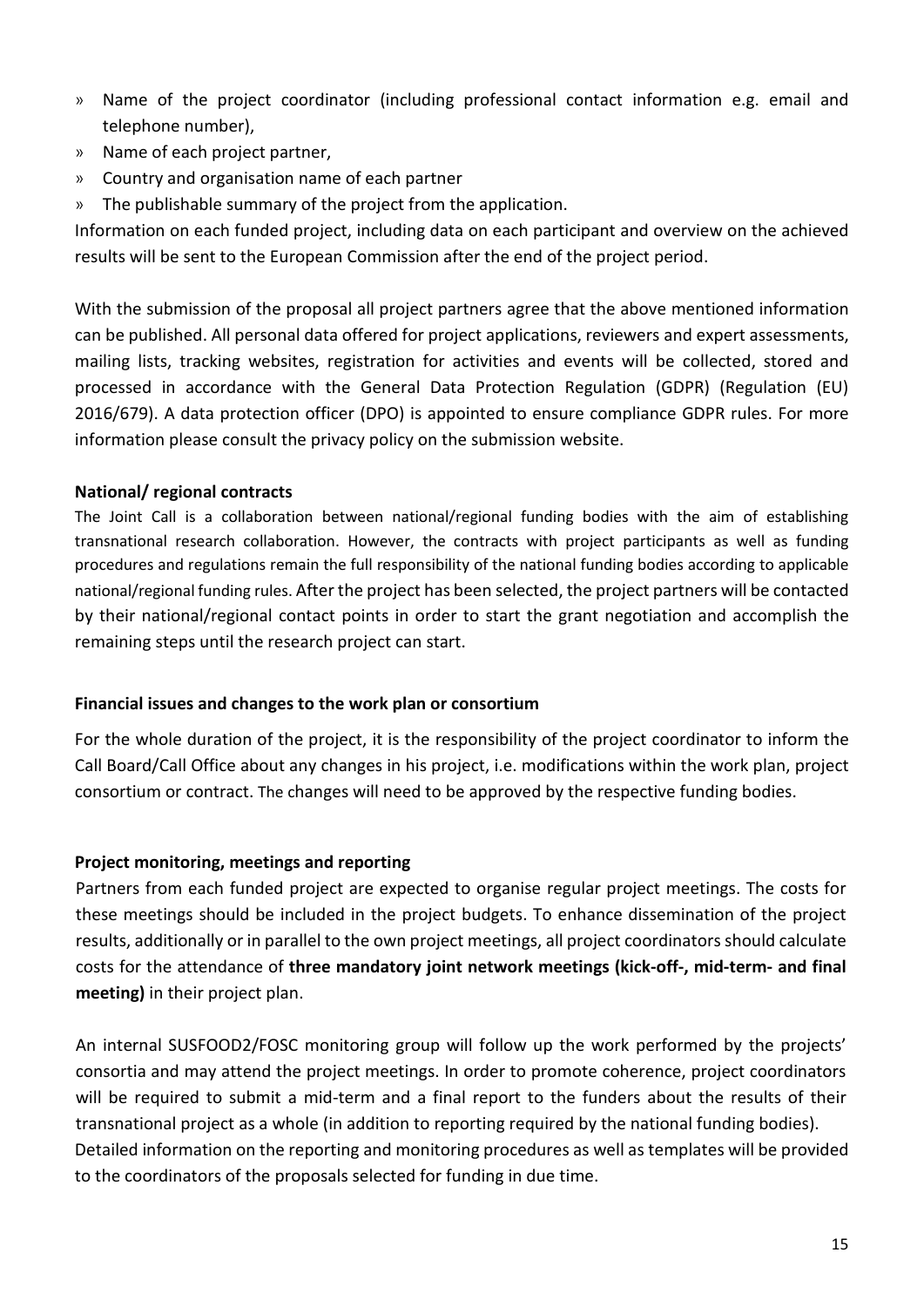- » Name of the project coordinator (including professional contact information e.g. email and telephone number),
- » Name of each project partner,
- » Country and organisation name of each partner
- » The publishable summary of the project from the application.

Information on each funded project, including data on each participant and overview on the achieved results will be sent to the European Commission after the end of the project period.

With the submission of the proposal all project partners agree that the above mentioned information can be published. All personal data offered for project applications, reviewers and expert assessments, mailing lists, tracking websites, registration for activities and events will be collected, stored and processed in accordance with the General Data Protection Regulation (GDPR) (Regulation (EU) 2016/679). A data protection officer (DPO) is appointed to ensure compliance GDPR rules. For more information please consult the privacy policy on the submission website.

#### **National/ regional contracts**

The Joint Call is a collaboration between national/regional funding bodies with the aim of establishing transnational research collaboration. However, the contracts with project participants as well as funding procedures and regulations remain the full responsibility of the national funding bodies according to applicable national/regional funding rules. After the project has been selected, the project partners will be contacted by their national/regional contact points in order to start the grant negotiation and accomplish the remaining steps until the research project can start.

#### **Financial issues and changes to the work plan or consortium**

For the whole duration of the project, it is the responsibility of the project coordinator to inform the Call Board/Call Office about any changes in his project, i.e. modifications within the work plan, project consortium or contract. The changes will need to be approved by the respective funding bodies.

#### **Project monitoring, meetings and reporting**

Partners from each funded project are expected to organise regular project meetings. The costs for these meetings should be included in the project budgets. To enhance dissemination of the project results, additionally or in parallel to the own project meetings, all project coordinators should calculate costs for the attendance of **three mandatory joint network meetings (kick-off-, mid-term- and final meeting)** in their project plan.

An internal SUSFOOD2/FOSC monitoring group will follow up the work performed by the projects' consortia and may attend the project meetings. In order to promote coherence, project coordinators will be required to submit a mid-term and a final report to the funders about the results of their transnational project as a whole (in addition to reporting required by the national funding bodies). Detailed information on the reporting and monitoring procedures as well as templates will be provided to the coordinators of the proposals selected for funding in due time.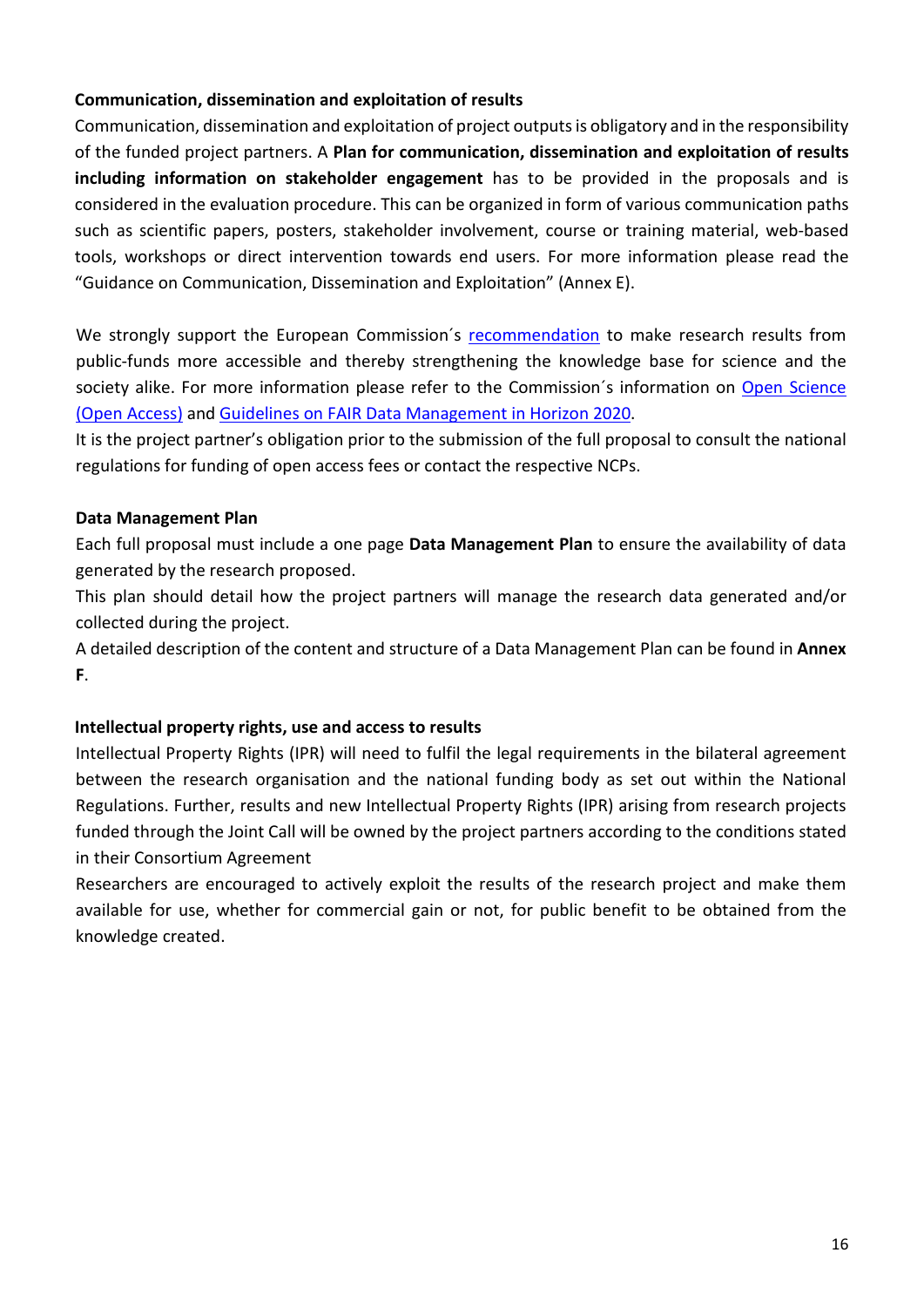#### **Communication, dissemination and exploitation of results**

Communication, dissemination and exploitation of project outputs is obligatory and in the responsibility of the funded project partners. A **Plan for communication, dissemination and exploitation of results including information on stakeholder engagement** has to be provided in the proposals and is considered in the evaluation procedure. This can be organized in form of various communication paths such as scientific papers, posters, stakeholder involvement, course or training material, web-based tools, workshops or direct intervention towards end users. For more information please read the "Guidance on Communication, Dissemination and Exploitation" (Annex E).

We strongly support the European Commission´s [recommendation](http://ec.europa.eu/research/science-society/document_library/pdf_06/recommendation-access-and-preservation-scientific-information_en.pdf) to make research results from public-funds more accessible and thereby strengthening the knowledge base for science and the society alike. For more information please refer to the Commission´s information on [Open Science](https://ec.europa.eu/programmes/horizon2020/en/h2020-section/open-science-open-access) [\(Open Access\)](https://ec.europa.eu/programmes/horizon2020/en/h2020-section/open-science-open-access) and [Guidelines on FAIR Data Management in Horizon 2020.](https://ec.europa.eu/research/participants/data/ref/h2020/grants_manual/hi/oa_pilot/h2020-hi-oa-data-mgt_en.pdf)

It is the project partner's obligation prior to the submission of the full proposal to consult the national regulations for funding of open access fees or contact the respective NCPs.

#### **Data Management Plan**

Each full proposal must include a one page **Data Management Plan** to ensure the availability of data generated by the research proposed.

This plan should detail how the project partners will manage the research data generated and/or collected during the project.

A detailed description of the content and structure of a Data Management Plan can be found in **Annex F**.

#### **Intellectual property rights, use and access to results**

Intellectual Property Rights (IPR) will need to fulfil the legal requirements in the bilateral agreement between the research organisation and the national funding body as set out within the National Regulations. Further, results and new Intellectual Property Rights (IPR) arising from research projects funded through the Joint Call will be owned by the project partners according to the conditions stated in their Consortium Agreement

Researchers are encouraged to actively exploit the results of the research project and make them available for use, whether for commercial gain or not, for public benefit to be obtained from the knowledge created.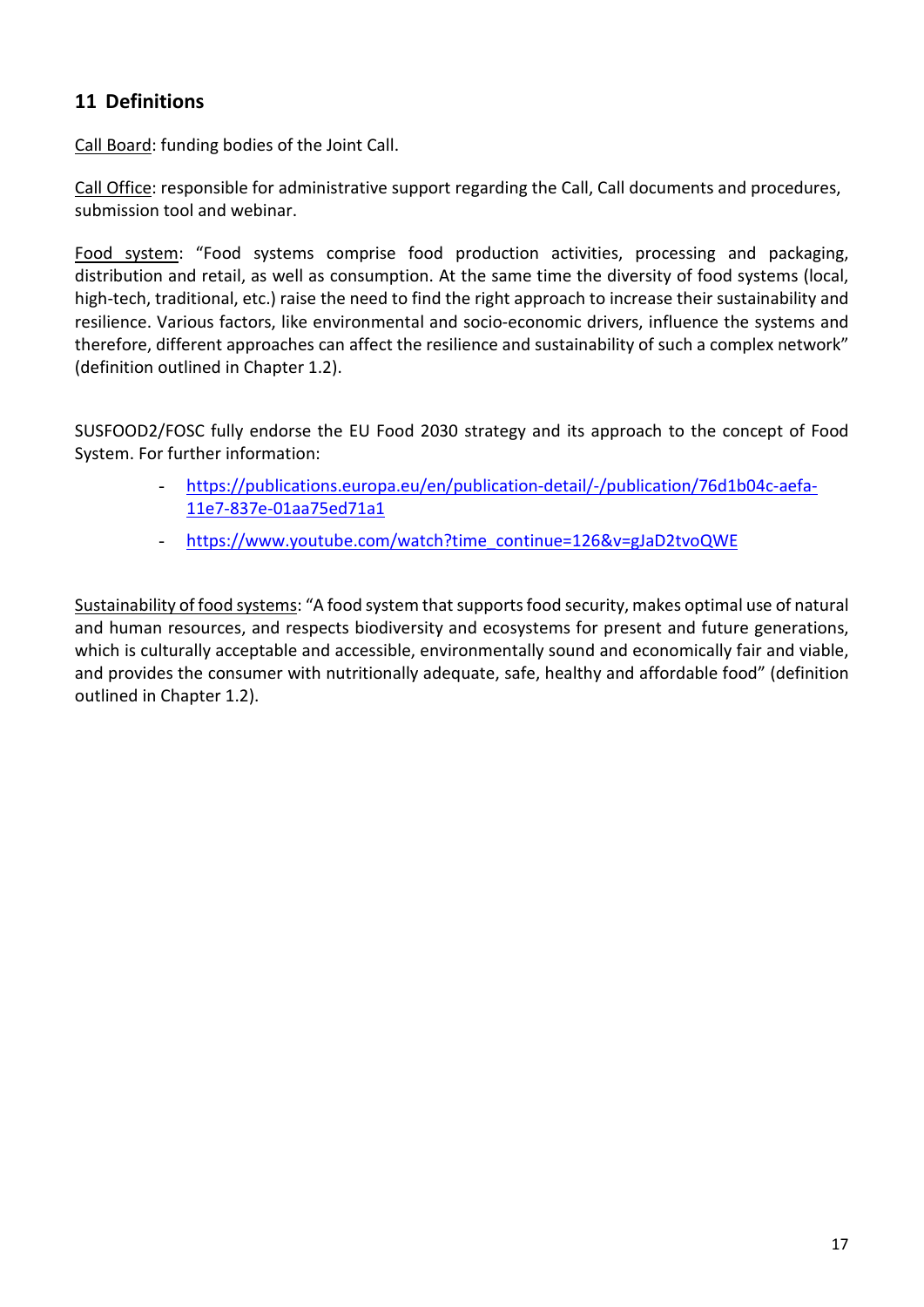# <span id="page-16-0"></span>**11 Definitions**

Call Board: funding bodies of the Joint Call.

Call Office: responsible for administrative support regarding the Call, Call documents and procedures, submission tool and webinar.

Food system: "Food systems comprise food production activities, processing and packaging, distribution and retail, as well as consumption. At the same time the diversity of food systems (local, high-tech, traditional, etc.) raise the need to find the right approach to increase their sustainability and resilience. Various factors, like environmental and socio-economic drivers, influence the systems and therefore, different approaches can affect the resilience and sustainability of such a complex network" (definition outlined in Chapter 1.2).

SUSFOOD2/FOSC fully endorse the EU Food 2030 strategy and its approach to the concept of Food System. For further information:

- [https://publications.europa.eu/en/publication-detail/-/publication/76d1b04c-aefa-](https://publications.europa.eu/en/publication-detail/-/publication/76d1b04c-aefa-11e7-837e-01aa75ed71a1)[11e7-837e-01aa75ed71a1](https://publications.europa.eu/en/publication-detail/-/publication/76d1b04c-aefa-11e7-837e-01aa75ed71a1)
- [https://www.youtube.com/watch?time\\_continue=126&v=gJaD2tvoQWE](https://www.youtube.com/watch?time_continue=126&v=gJaD2tvoQWE)

Sustainability of food systems: "A food system that supports food security, makes optimal use of natural and human resources, and respects biodiversity and ecosystems for present and future generations, which is culturally acceptable and accessible, environmentally sound and economically fair and viable, and provides the consumer with nutritionally adequate, safe, healthy and affordable food" (definition outlined in Chapter 1.2).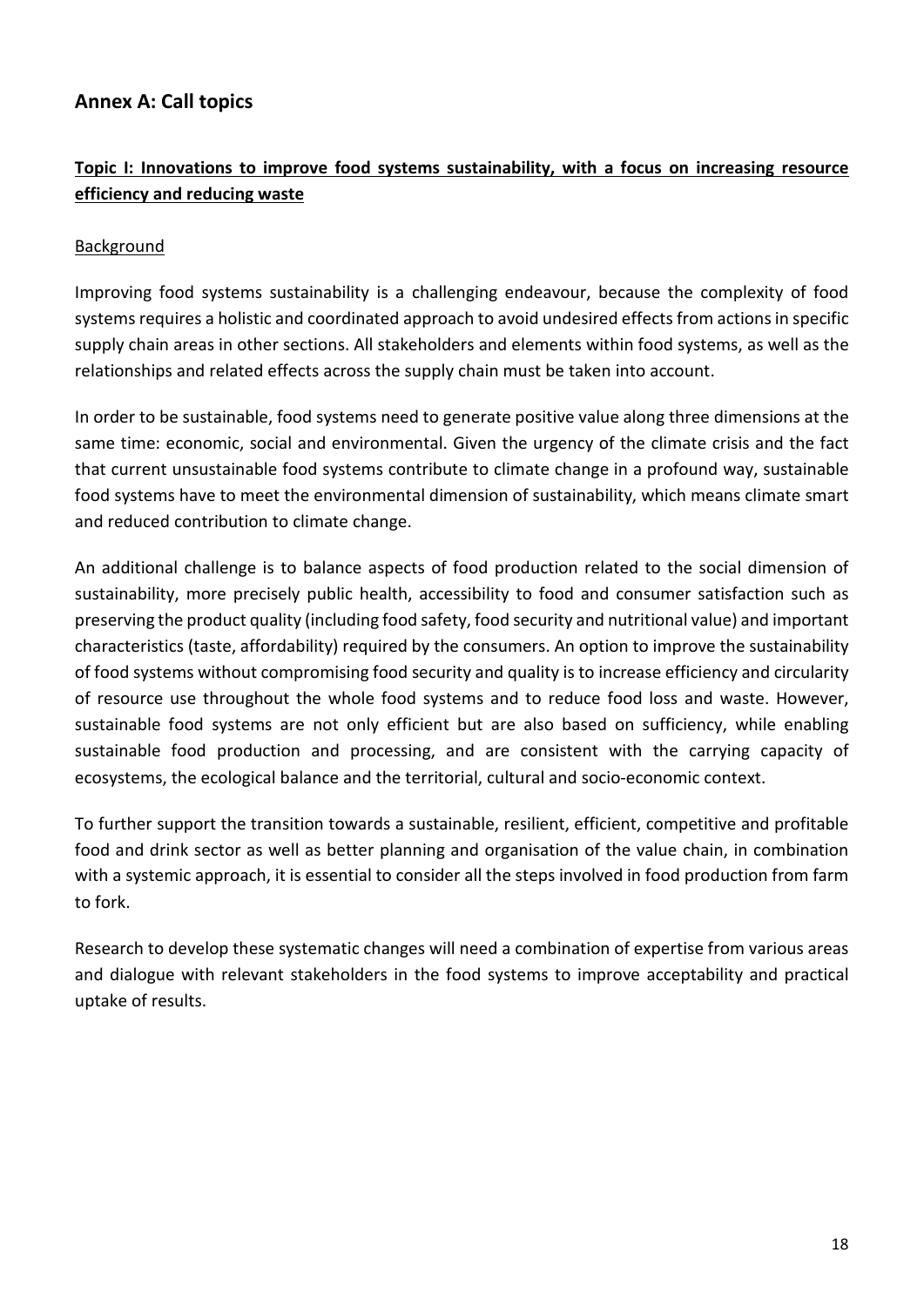# <span id="page-17-0"></span>**Annex A: Call topics**

# **Topic I: Innovations to improve food systems sustainability, with a focus on increasing resource efficiency and reducing waste**

#### Background

Improving food systems sustainability is a challenging endeavour, because the complexity of food systems requires a holistic and coordinated approach to avoid undesired effects from actions in specific supply chain areas in other sections. All stakeholders and elements within food systems, as well as the relationships and related effects across the supply chain must be taken into account.

In order to be sustainable, food systems need to generate positive value along three dimensions at the same time: economic, social and environmental. Given the urgency of the climate crisis and the fact that current unsustainable food systems contribute to climate change in a profound way, sustainable food systems have to meet the environmental dimension of sustainability, which means climate smart and reduced contribution to climate change.

An additional challenge is to balance aspects of food production related to the social dimension of sustainability, more precisely public health, accessibility to food and consumer satisfaction such as preserving the product quality (including food safety, food security and nutritional value) and important characteristics (taste, affordability) required by the consumers. An option to improve the sustainability of food systems without compromising food security and quality is to increase efficiency and circularity of resource use throughout the whole food systems and to reduce food loss and waste. However, sustainable food systems are not only efficient but are also based on sufficiency, while enabling sustainable food production and processing, and are consistent with the carrying capacity of ecosystems, the ecological balance and the territorial, cultural and socio-economic context.

To further support the transition towards a sustainable, resilient, efficient, competitive and profitable food and drink sector as well as better planning and organisation of the value chain, in combination with a systemic approach, it is essential to consider all the steps involved in food production from farm to fork.

Research to develop these systematic changes will need a combination of expertise from various areas and dialogue with relevant stakeholders in the food systems to improve acceptability and practical uptake of results.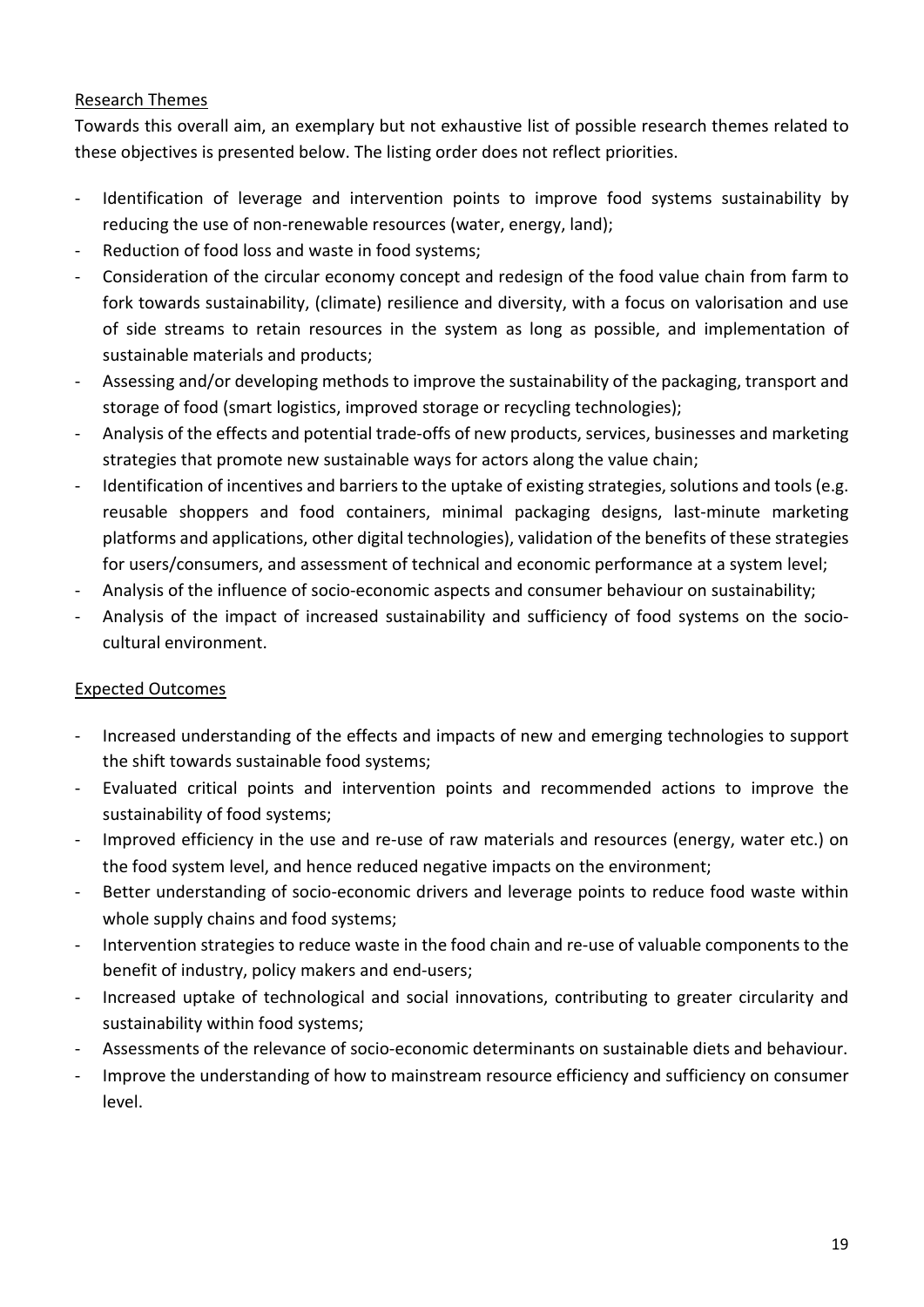#### Research Themes

Towards this overall aim, an exemplary but not exhaustive list of possible research themes related to these objectives is presented below. The listing order does not reflect priorities.

- Identification of leverage and intervention points to improve food systems sustainability by reducing the use of non-renewable resources (water, energy, land);
- Reduction of food loss and waste in food systems;
- Consideration of the circular economy concept and redesign of the food value chain from farm to fork towards sustainability, (climate) resilience and diversity, with a focus on valorisation and use of side streams to retain resources in the system as long as possible, and implementation of sustainable materials and products;
- Assessing and/or developing methods to improve the sustainability of the packaging, transport and storage of food (smart logistics, improved storage or recycling technologies);
- Analysis of the effects and potential trade-offs of new products, services, businesses and marketing strategies that promote new sustainable ways for actors along the value chain;
- Identification of incentives and barriers to the uptake of existing strategies, solutions and tools (e.g. reusable shoppers and food containers, minimal packaging designs, last-minute marketing platforms and applications, other digital technologies), validation of the benefits of these strategies for users/consumers, and assessment of technical and economic performance at a system level;
- Analysis of the influence of socio-economic aspects and consumer behaviour on sustainability;
- Analysis of the impact of increased sustainability and sufficiency of food systems on the sociocultural environment.

#### Expected Outcomes

- Increased understanding of the effects and impacts of new and emerging technologies to support the shift towards sustainable food systems;
- Evaluated critical points and intervention points and recommended actions to improve the sustainability of food systems;
- Improved efficiency in the use and re-use of raw materials and resources (energy, water etc.) on the food system level, and hence reduced negative impacts on the environment;
- Better understanding of socio-economic drivers and leverage points to reduce food waste within whole supply chains and food systems;
- Intervention strategies to reduce waste in the food chain and re-use of valuable components to the benefit of industry, policy makers and end-users;
- Increased uptake of technological and social innovations, contributing to greater circularity and sustainability within food systems;
- Assessments of the relevance of socio-economic determinants on sustainable diets and behaviour.
- Improve the understanding of how to mainstream resource efficiency and sufficiency on consumer level.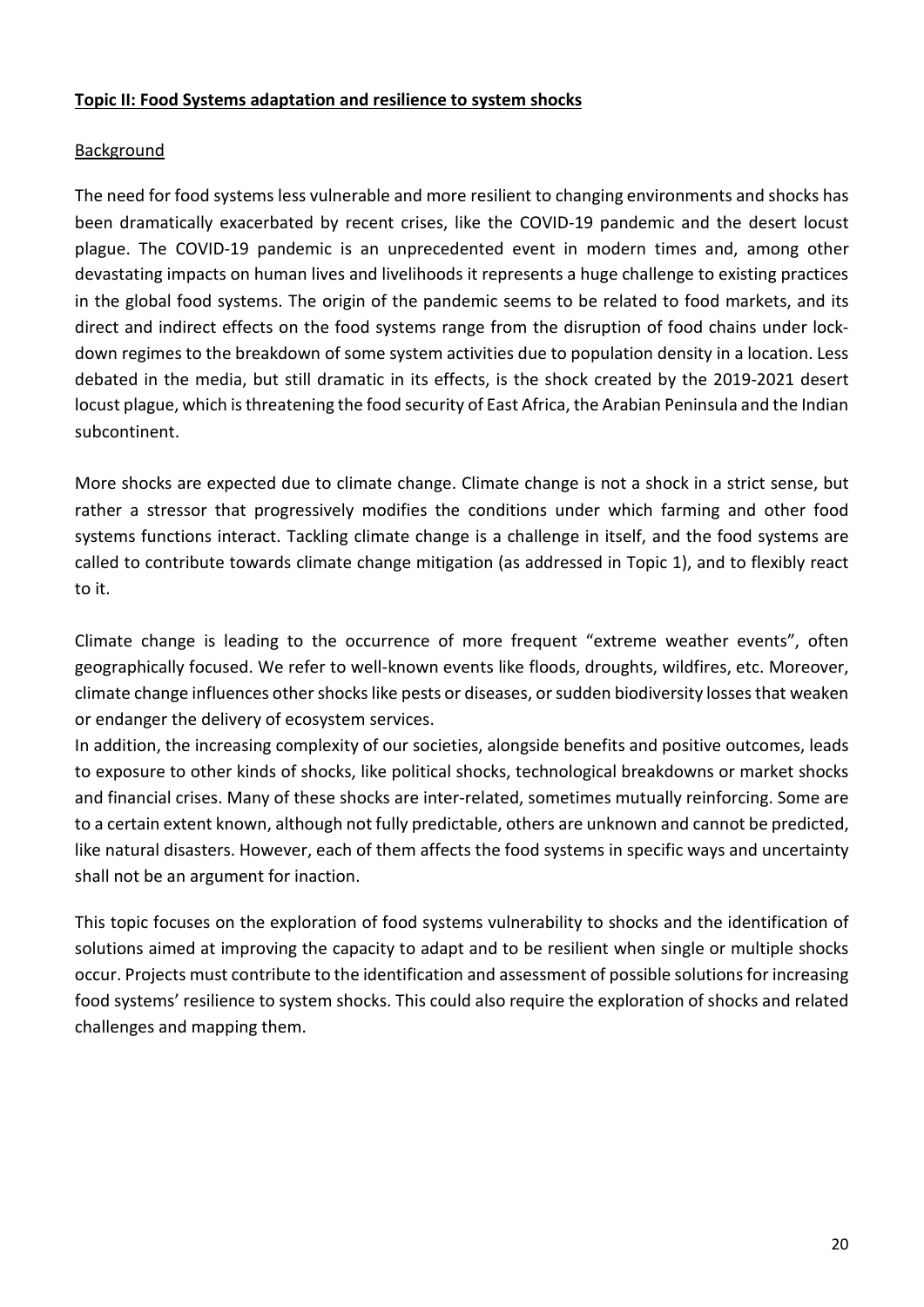#### **Topic II: Food Systems adaptation and resilience to system shocks**

#### **Background**

The need for food systems less vulnerable and more resilient to changing environments and shocks has been dramatically exacerbated by recent crises, like the COVID-19 pandemic and the desert locust plague. The COVID-19 pandemic is an unprecedented event in modern times and, among other devastating impacts on human lives and livelihoods it represents a huge challenge to existing practices in the global food systems. The origin of the pandemic seems to be related to food markets, and its direct and indirect effects on the food systems range from the disruption of food chains under lockdown regimes to the breakdown of some system activities due to population density in a location. Less debated in the media, but still dramatic in its effects, is the shock created by the 2019-2021 desert locust plague, which is threatening the food security of East Africa, the Arabian Peninsula and the Indian subcontinent.

More shocks are expected due to climate change. Climate change is not a shock in a strict sense, but rather a stressor that progressively modifies the conditions under which farming and other food systems functions interact. Tackling climate change is a challenge in itself, and the food systems are called to contribute towards climate change mitigation (as addressed in Topic 1), and to flexibly react to it.

Climate change is leading to the occurrence of more frequent "extreme weather events", often geographically focused. We refer to well-known events like floods, droughts, wildfires, etc. Moreover, climate change influences other shocks like pests or diseases, or sudden biodiversity losses that weaken or endanger the delivery of ecosystem services.

In addition, the increasing complexity of our societies, alongside benefits and positive outcomes, leads to exposure to other kinds of shocks, like political shocks, technological breakdowns or market shocks and financial crises. Many of these shocks are inter-related, sometimes mutually reinforcing. Some are to a certain extent known, although not fully predictable, others are unknown and cannot be predicted, like natural disasters. However, each of them affects the food systems in specific ways and uncertainty shall not be an argument for inaction.

This topic focuses on the exploration of food systems vulnerability to shocks and the identification of solutions aimed at improving the capacity to adapt and to be resilient when single or multiple shocks occur. Projects must contribute to the identification and assessment of possible solutions for increasing food systems' resilience to system shocks. This could also require the exploration of shocks and related challenges and mapping them.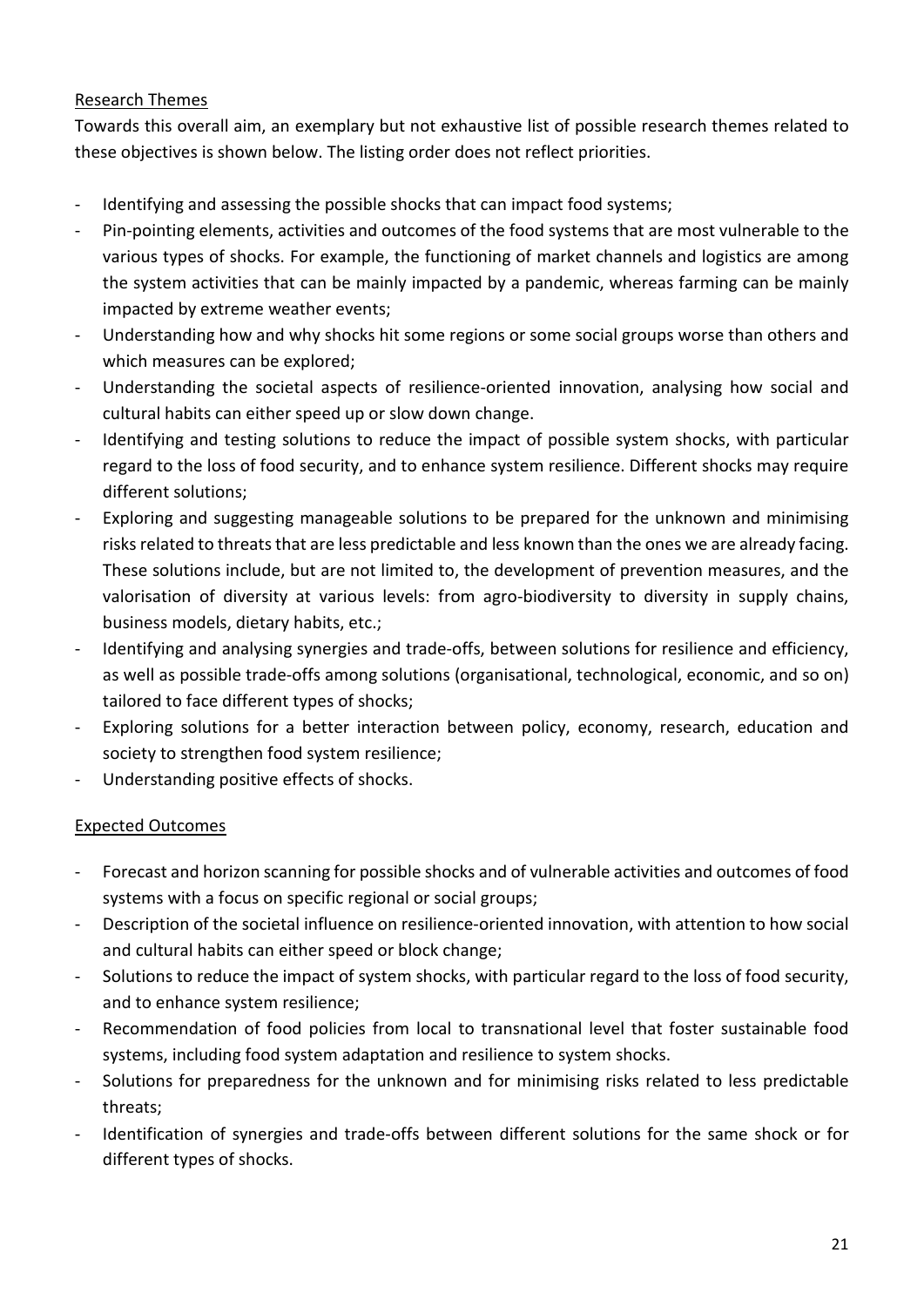#### Research Themes

Towards this overall aim, an exemplary but not exhaustive list of possible research themes related to these objectives is shown below. The listing order does not reflect priorities.

- Identifying and assessing the possible shocks that can impact food systems;
- Pin-pointing elements, activities and outcomes of the food systems that are most vulnerable to the various types of shocks. For example, the functioning of market channels and logistics are among the system activities that can be mainly impacted by a pandemic, whereas farming can be mainly impacted by extreme weather events;
- Understanding how and why shocks hit some regions or some social groups worse than others and which measures can be explored;
- Understanding the societal aspects of resilience-oriented innovation, analysing how social and cultural habits can either speed up or slow down change.
- Identifying and testing solutions to reduce the impact of possible system shocks, with particular regard to the loss of food security, and to enhance system resilience. Different shocks may require different solutions;
- Exploring and suggesting manageable solutions to be prepared for the unknown and minimising risks related to threats that are less predictable and less known than the ones we are already facing. These solutions include, but are not limited to, the development of prevention measures, and the valorisation of diversity at various levels: from agro-biodiversity to diversity in supply chains, business models, dietary habits, etc.;
- Identifying and analysing synergies and trade-offs, between solutions for resilience and efficiency, as well as possible trade-offs among solutions (organisational, technological, economic, and so on) tailored to face different types of shocks;
- Exploring solutions for a better interaction between policy, economy, research, education and society to strengthen food system resilience;
- Understanding positive effects of shocks.

#### Expected Outcomes

- Forecast and horizon scanning for possible shocks and of vulnerable activities and outcomes of food systems with a focus on specific regional or social groups;
- Description of the societal influence on resilience-oriented innovation, with attention to how social and cultural habits can either speed or block change;
- Solutions to reduce the impact of system shocks, with particular regard to the loss of food security, and to enhance system resilience;
- Recommendation of food policies from local to transnational level that foster sustainable food systems, including food system adaptation and resilience to system shocks.
- Solutions for preparedness for the unknown and for minimising risks related to less predictable threats;
- Identification of synergies and trade-offs between different solutions for the same shock or for different types of shocks.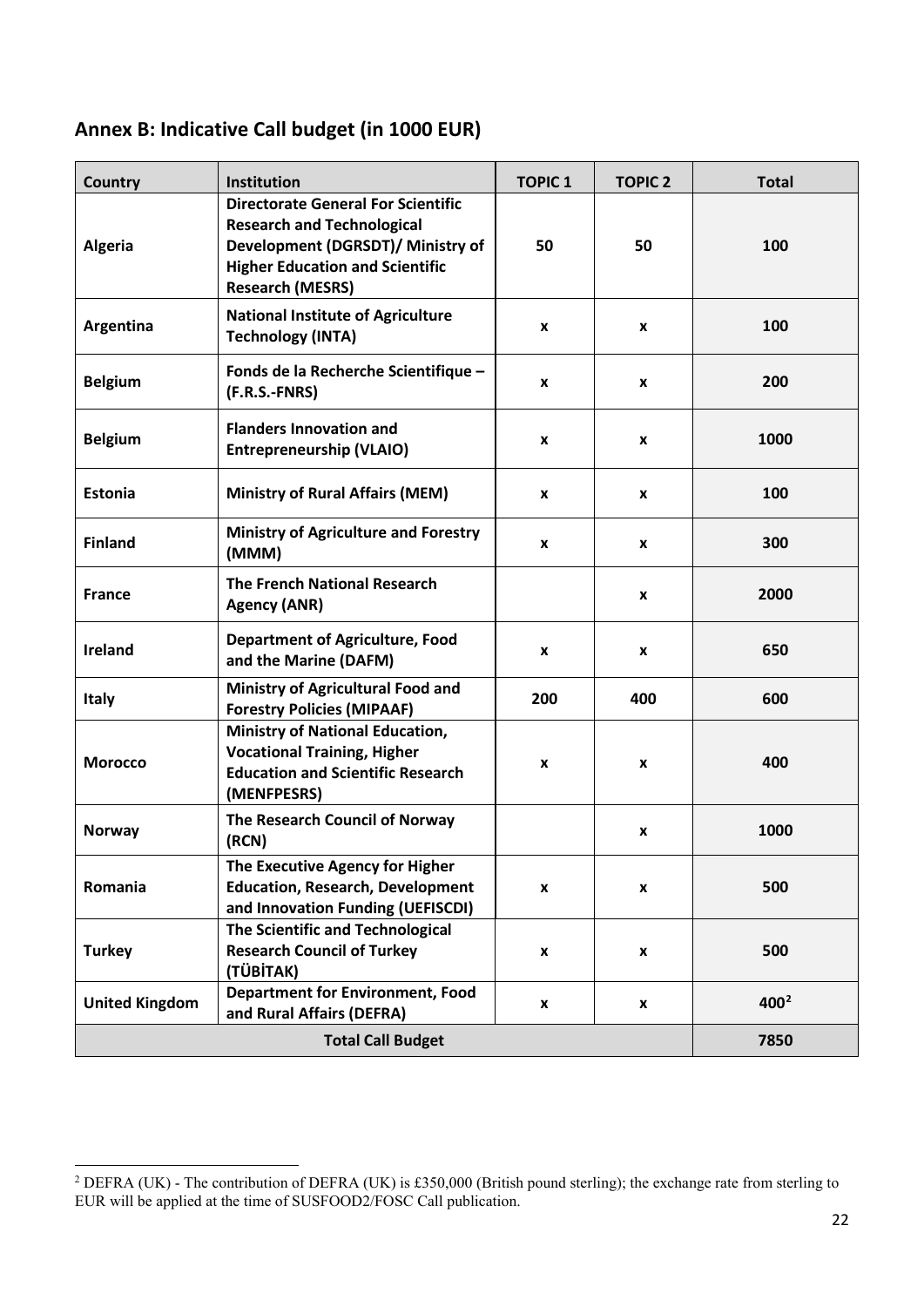# <span id="page-21-0"></span>**Annex B: Indicative Call budget (in 1000 EUR)**

| Country                  | Institution                                                                                                                                                                              | <b>TOPIC 1</b> | <b>TOPIC 2</b> | <b>Total</b> |
|--------------------------|------------------------------------------------------------------------------------------------------------------------------------------------------------------------------------------|----------------|----------------|--------------|
| <b>Algeria</b>           | <b>Directorate General For Scientific</b><br><b>Research and Technological</b><br>Development (DGRSDT)/ Ministry of<br><b>Higher Education and Scientific</b><br><b>Research (MESRS)</b> | 50             | 50             | 100          |
| Argentina                | <b>National Institute of Agriculture</b><br><b>Technology (INTA)</b>                                                                                                                     | x              | X              | 100          |
| <b>Belgium</b>           | Fonds de la Recherche Scientifique -<br>(F.R.S.-FNRS)                                                                                                                                    | x              | X              | 200          |
| <b>Belgium</b>           | <b>Flanders Innovation and</b><br><b>Entrepreneurship (VLAIO)</b>                                                                                                                        | x              | X              | 1000         |
| <b>Estonia</b>           | <b>Ministry of Rural Affairs (MEM)</b>                                                                                                                                                   | X              | X              | 100          |
| <b>Finland</b>           | <b>Ministry of Agriculture and Forestry</b><br>(MMM)                                                                                                                                     | x              | x              | 300          |
| <b>France</b>            | <b>The French National Research</b><br><b>Agency (ANR)</b>                                                                                                                               |                | X              | 2000         |
| Ireland                  | <b>Department of Agriculture, Food</b><br>and the Marine (DAFM)                                                                                                                          | x              | X              | 650          |
| <b>Italy</b>             | <b>Ministry of Agricultural Food and</b><br><b>Forestry Policies (MIPAAF)</b>                                                                                                            | 200            | 400            | 600          |
| <b>Morocco</b>           | <b>Ministry of National Education,</b><br><b>Vocational Training, Higher</b><br><b>Education and Scientific Research</b><br>(MENFPESRS)                                                  | X              | X              | 400          |
| <b>Norway</b>            | The Research Council of Norway<br>(RCN)                                                                                                                                                  |                | X              | 1000         |
| Romania                  | The Executive Agency for Higher<br><b>Education, Research, Development</b><br>and Innovation Funding (UEFISCDI)                                                                          | X              | X              | 500          |
| <b>Turkey</b>            | The Scientific and Technological<br><b>Research Council of Turkey</b><br>(TÜBİTAK)                                                                                                       | X              | X              | 500          |
| <b>United Kingdom</b>    | <b>Department for Environment, Food</b><br>and Rural Affairs (DEFRA)                                                                                                                     | x              | X              | $400^2$      |
| <b>Total Call Budget</b> |                                                                                                                                                                                          |                | 7850           |              |

<span id="page-21-1"></span><sup>&</sup>lt;sup>2</sup> DEFRA (UK) - The contribution of DEFRA (UK) is £350,000 (British pound sterling); the exchange rate from sterling to EUR will be applied at the time of SUSFOOD2/FOSC Call publication.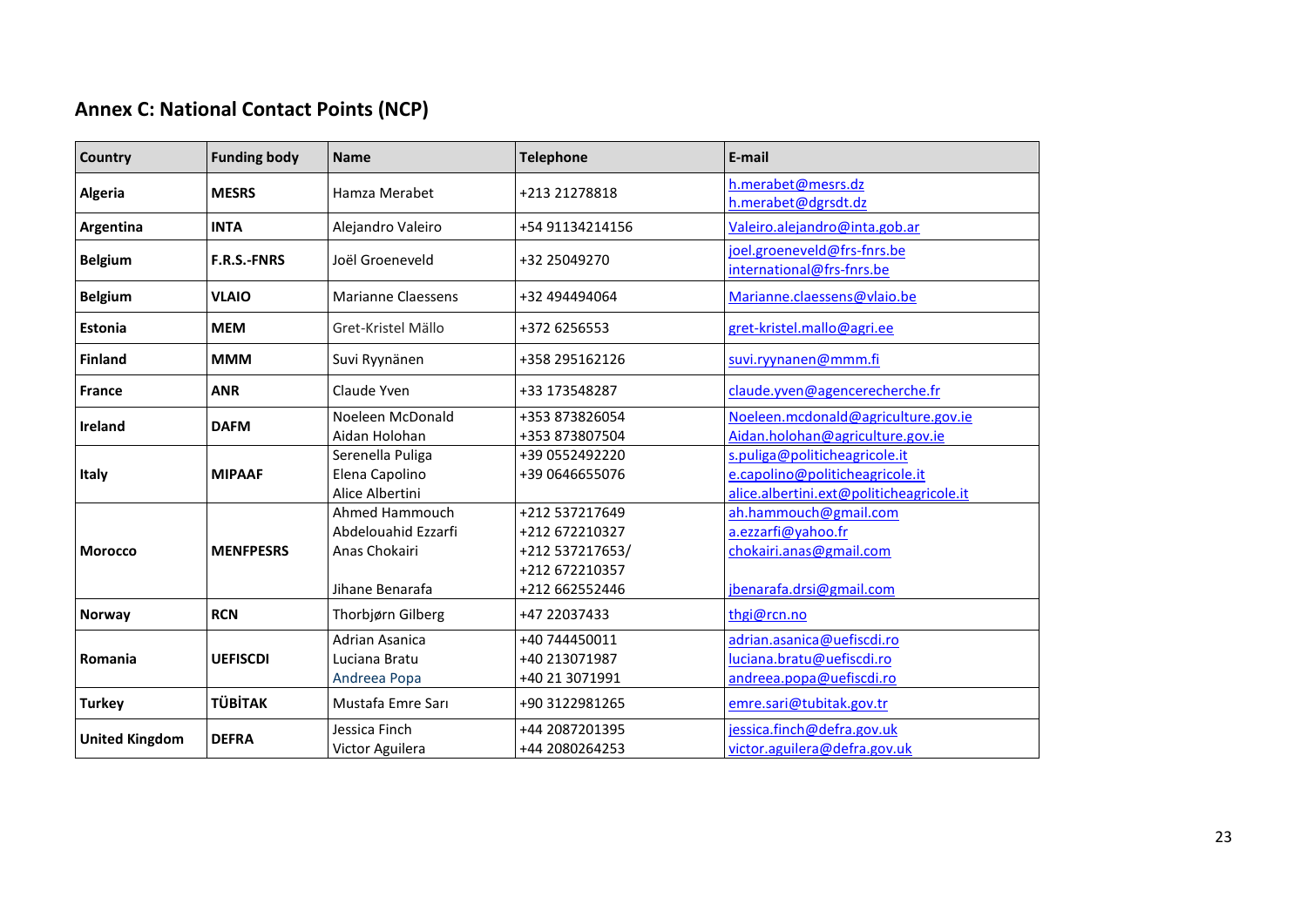# **Annex C: National Contact Points (NCP)**

<span id="page-22-0"></span>

| Country               | <b>Funding body</b> | <b>Name</b>                                                               | <b>Telephone</b>                                                                        | E-mail                                                                                                       |
|-----------------------|---------------------|---------------------------------------------------------------------------|-----------------------------------------------------------------------------------------|--------------------------------------------------------------------------------------------------------------|
| <b>Algeria</b>        | <b>MESRS</b>        | Hamza Merabet                                                             | +213 21278818                                                                           | h.merabet@mesrs.dz<br>h.merabet@dgrsdt.dz                                                                    |
| Argentina             | <b>INTA</b>         | Alejandro Valeiro                                                         | +54 91134214156                                                                         | Valeiro.alejandro@inta.gob.ar                                                                                |
| <b>Belgium</b>        | <b>F.R.S.-FNRS</b>  | Joël Groeneveld                                                           | +32 25049270                                                                            | joel.groeneveld@frs-fnrs.be<br>international@frs-fnrs.be                                                     |
| <b>Belgium</b>        | <b>VLAIO</b>        | <b>Marianne Claessens</b>                                                 | +32 494494064                                                                           | Marianne.claessens@vlaio.be                                                                                  |
| <b>Estonia</b>        | <b>MEM</b>          | Gret-Kristel Mällo                                                        | +372 6256553                                                                            | gret-kristel.mallo@agri.ee                                                                                   |
| <b>Finland</b>        | <b>MMM</b>          | Suvi Ryynänen                                                             | +358 295162126                                                                          | suvi.ryynanen@mmm.fi                                                                                         |
| <b>France</b>         | <b>ANR</b>          | Claude Yven                                                               | +33 173548287                                                                           | claude.yven@agencerecherche.fr                                                                               |
| <b>Ireland</b>        | <b>DAFM</b>         | Noeleen McDonald<br>Aidan Holohan                                         | +353 873826054<br>+353 873807504                                                        | Noeleen.mcdonald@agriculture.gov.ie<br>Aidan.holohan@agriculture.gov.ie                                      |
| <b>Italy</b>          | <b>MIPAAF</b>       | Serenella Puliga<br>Elena Capolino<br>Alice Albertini                     | +39 0552492220<br>+39 0646655076                                                        | s.puliga@politicheagricole.it<br>e.capolino@politicheagricole.it<br>alice.albertini.ext@politicheagricole.it |
| <b>Morocco</b>        | <b>MENFPESRS</b>    | Ahmed Hammouch<br>Abdelouahid Ezzarfi<br>Anas Chokairi<br>Jihane Benarafa | +212 537217649<br>+212 672210327<br>+212 537217653/<br>+212 672210357<br>+212 662552446 | ah.hammouch@gmail.com<br>a.ezzarfi@yahoo.fr<br>chokairi.anas@gmail.com<br>jbenarafa.drsi@gmail.com           |
| <b>Norway</b>         | <b>RCN</b>          | Thorbjørn Gilberg                                                         | +47 22037433                                                                            | thgi@rcn.no                                                                                                  |
| Romania               | <b>UEFISCDI</b>     | Adrian Asanica<br>Luciana Bratu<br>Andreea Popa                           | +40 744450011<br>+40 213071987<br>+40 21 3071991                                        | adrian.asanica@uefiscdi.ro<br>luciana.bratu@uefiscdi.ro<br>andreea.popa@uefiscdi.ro                          |
| <b>Turkey</b>         | <b>TÜBİTAK</b>      | Mustafa Emre Sarı                                                         | +90 3122981265                                                                          | emre.sari@tubitak.gov.tr                                                                                     |
| <b>United Kingdom</b> | <b>DEFRA</b>        | Jessica Finch<br>Victor Aguilera                                          | +44 2087201395<br>+44 2080264253                                                        | jessica.finch@defra.gov.uk<br>victor.aguilera@defra.gov.uk                                                   |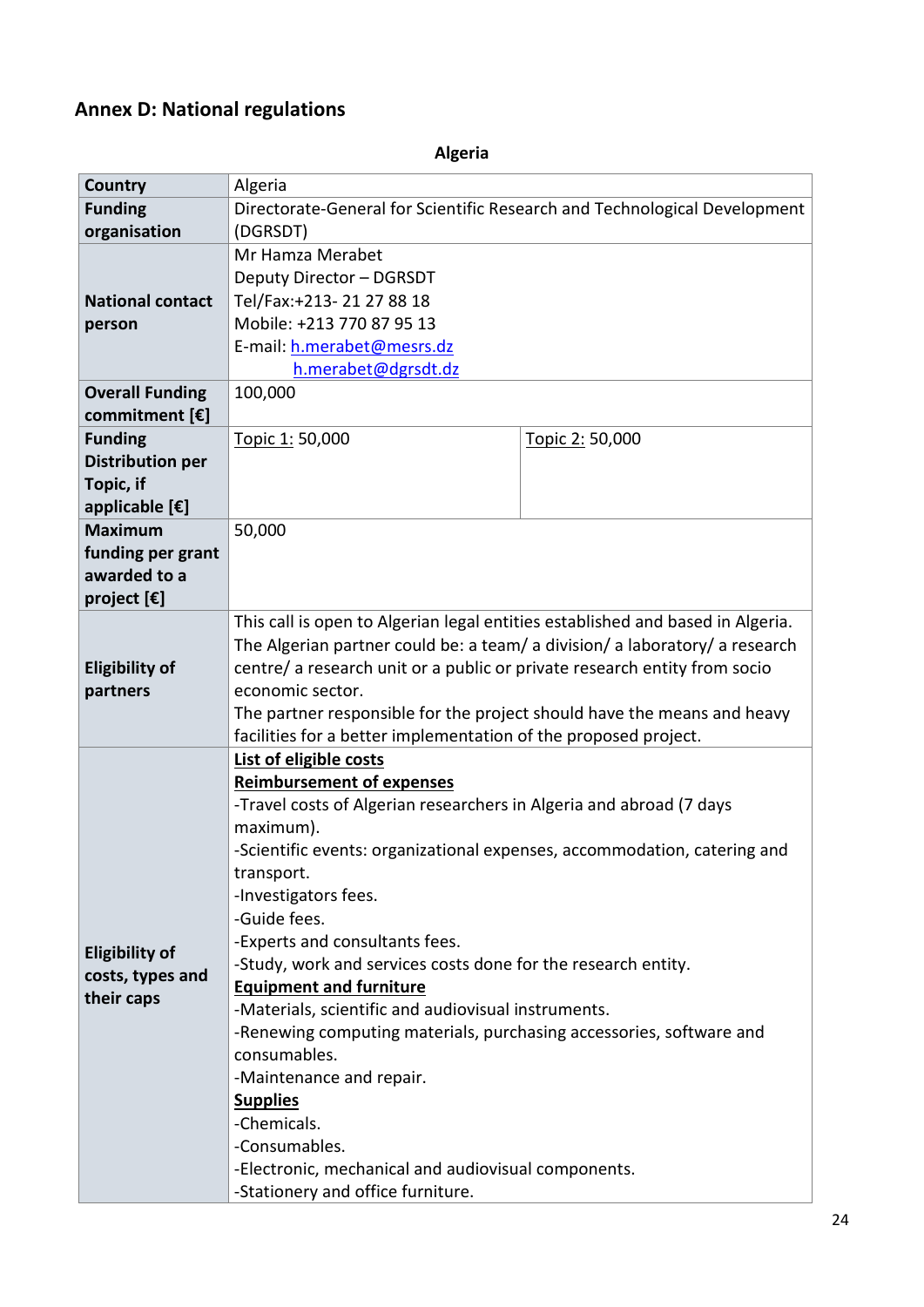#### <span id="page-23-0"></span>**Annex D: National regulations**

**Country Algeria Funding organisation** Directorate-General for Scientific Research and Technological Development (DGRSDT) **National contact person** Mr Hamza Merabet Deputy Director – DGRSDT Tel/Fax:+213- 21 27 88 18 Mobile: +213 770 87 95 13 E-mail: [h.merabet@mesrs.dz](mailto:h.merabet@mesrs.dz) [h.merabet@dgrsdt.dz](mailto:h.merabet@dgrsdt.dz) **Overall Funding commitment [€]** 100,000 **Funding Distribution per Topic, if applicable [€]** Topic 1: 50,000 Topic 2: 50,000 **Maximum funding per grant awarded to a project [€]** 50,000 **Eligibility of partners**  This call is open to Algerian legal entities established and based in Algeria. The Algerian partner could be: a team/ a division/ a laboratory/ a research centre/ a research unit or a public or private research entity from socio economic sector. The partner responsible for the project should have the means and heavy facilities for a better implementation of the proposed project. **Eligibility of costs, types and their caps List of eligible costs Reimbursement of expenses** -Travel costs of Algerian researchers in Algeria and abroad (7 days maximum). -Scientific events: organizational expenses, accommodation, catering and transport. -Investigators fees. -Guide fees. -Experts and consultants fees. -Study, work and services costs done for the research entity. **Equipment and furniture** -Materials, scientific and audiovisual instruments. -Renewing computing materials, purchasing accessories, software and consumables. -Maintenance and repair. **Supplies** -Chemicals. -Consumables. -Electronic, mechanical and audiovisual components. -Stationery and office furniture.

**Algeria**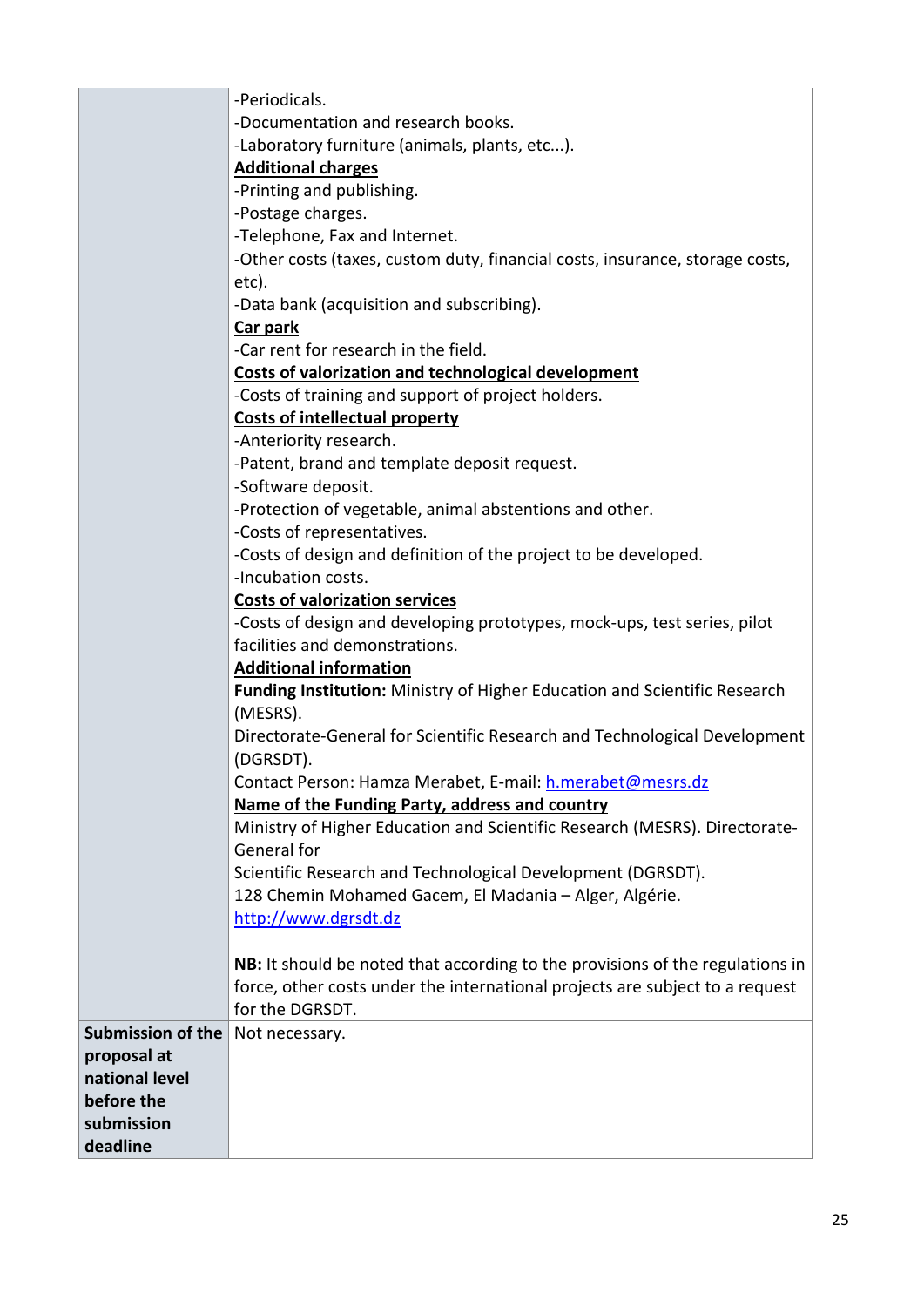|                          | -Periodicals.                                                                 |
|--------------------------|-------------------------------------------------------------------------------|
|                          | -Documentation and research books.                                            |
|                          | -Laboratory furniture (animals, plants, etc).                                 |
|                          | <b>Additional charges</b>                                                     |
|                          | -Printing and publishing.                                                     |
|                          | -Postage charges.                                                             |
|                          | -Telephone, Fax and Internet.                                                 |
|                          | -Other costs (taxes, custom duty, financial costs, insurance, storage costs,  |
|                          | etc).                                                                         |
|                          | -Data bank (acquisition and subscribing).                                     |
|                          | Car park                                                                      |
|                          | -Car rent for research in the field.                                          |
|                          | Costs of valorization and technological development                           |
|                          | -Costs of training and support of project holders.                            |
|                          | <b>Costs of intellectual property</b>                                         |
|                          | -Anteriority research.                                                        |
|                          | -Patent, brand and template deposit request.                                  |
|                          | -Software deposit.                                                            |
|                          | -Protection of vegetable, animal abstentions and other.                       |
|                          | -Costs of representatives.                                                    |
|                          | -Costs of design and definition of the project to be developed.               |
|                          | -Incubation costs.                                                            |
|                          | <b>Costs of valorization services</b>                                         |
|                          | -Costs of design and developing prototypes, mock-ups, test series, pilot      |
|                          | facilities and demonstrations.                                                |
|                          | <b>Additional information</b>                                                 |
|                          | Funding Institution: Ministry of Higher Education and Scientific Research     |
|                          | (MESRS).                                                                      |
|                          | Directorate-General for Scientific Research and Technological Development     |
|                          | (DGRSDT).                                                                     |
|                          | Contact Person: Hamza Merabet, E-mail: h.merabet@mesrs.dz                     |
|                          | Name of the Funding Party, address and country                                |
|                          | Ministry of Higher Education and Scientific Research (MESRS). Directorate-    |
|                          | General for                                                                   |
|                          | Scientific Research and Technological Development (DGRSDT).                   |
|                          | 128 Chemin Mohamed Gacem, El Madania - Alger, Algérie.                        |
|                          | http://www.dgrsdt.dz                                                          |
|                          |                                                                               |
|                          | NB: It should be noted that according to the provisions of the regulations in |
|                          | force, other costs under the international projects are subject to a request  |
|                          | for the DGRSDT.                                                               |
| <b>Submission of the</b> | Not necessary.                                                                |
| proposal at              |                                                                               |
| national level           |                                                                               |
| before the               |                                                                               |
| submission               |                                                                               |
| deadline                 |                                                                               |
|                          |                                                                               |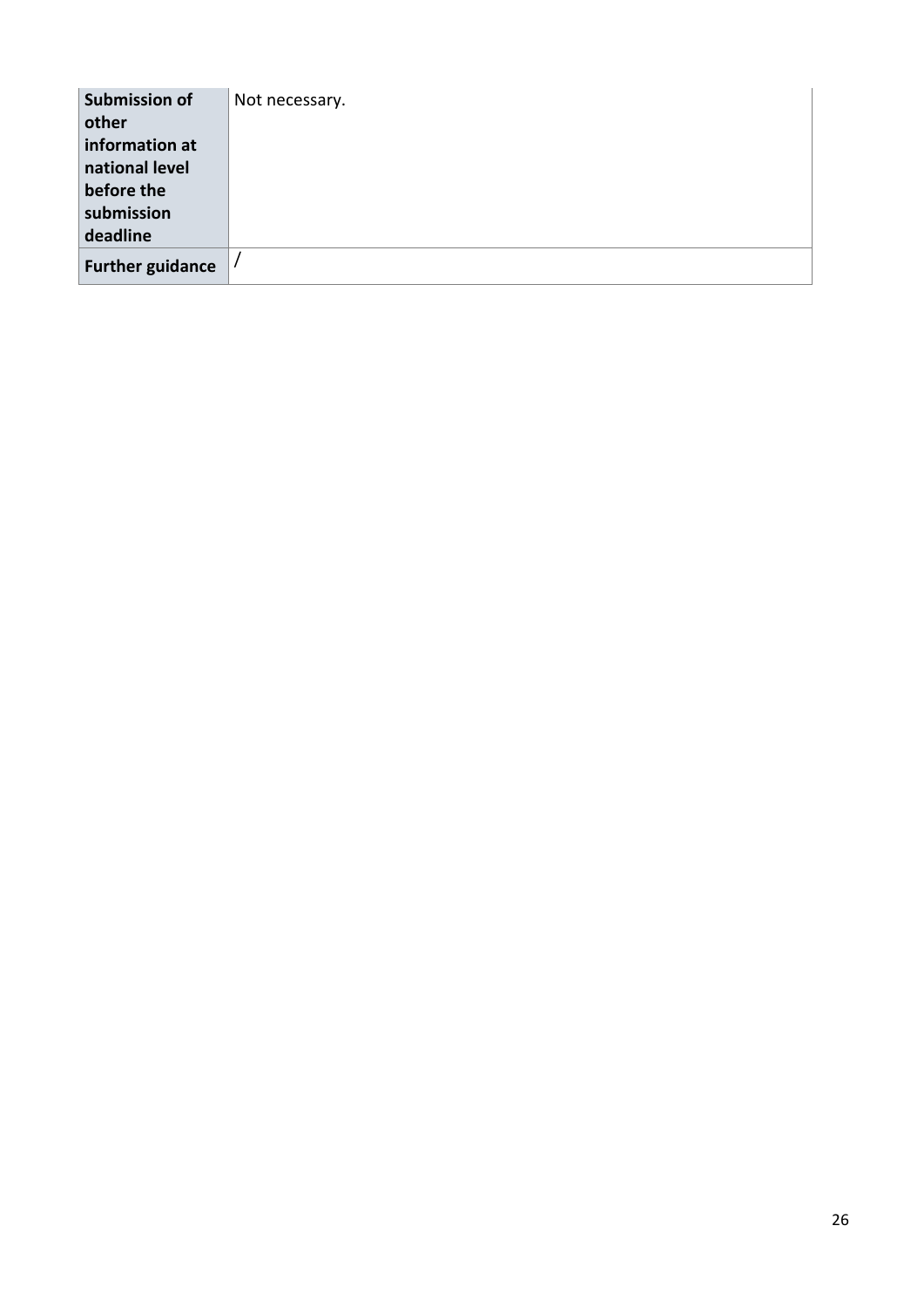| Submission of<br>other<br>information at<br>national level<br>before the<br>submission | Not necessary. |
|----------------------------------------------------------------------------------------|----------------|
| deadline                                                                               |                |
| <b>Further guidance</b>                                                                |                |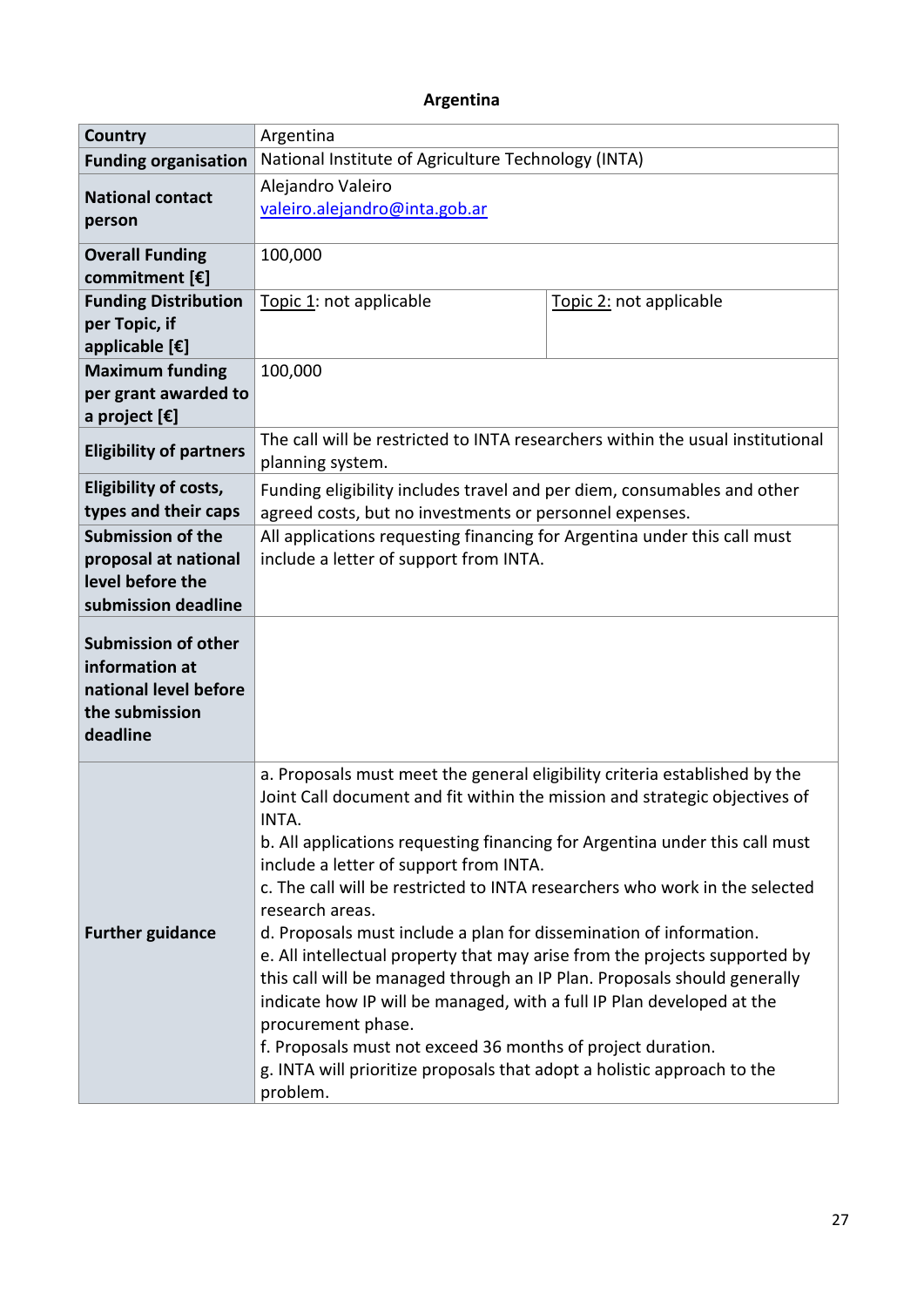# **Argentina**

| Country                                                                                             | Argentina                                                                                                                                                                                                                                                                                                                                                                                                                                                                                                                                                                                                                                                                                                                                                                                                                                                                               |                         |  |
|-----------------------------------------------------------------------------------------------------|-----------------------------------------------------------------------------------------------------------------------------------------------------------------------------------------------------------------------------------------------------------------------------------------------------------------------------------------------------------------------------------------------------------------------------------------------------------------------------------------------------------------------------------------------------------------------------------------------------------------------------------------------------------------------------------------------------------------------------------------------------------------------------------------------------------------------------------------------------------------------------------------|-------------------------|--|
| <b>Funding organisation</b>                                                                         | National Institute of Agriculture Technology (INTA)                                                                                                                                                                                                                                                                                                                                                                                                                                                                                                                                                                                                                                                                                                                                                                                                                                     |                         |  |
| <b>National contact</b><br>person                                                                   | Alejandro Valeiro<br>valeiro.alejandro@inta.gob.ar                                                                                                                                                                                                                                                                                                                                                                                                                                                                                                                                                                                                                                                                                                                                                                                                                                      |                         |  |
| <b>Overall Funding</b><br>commitment [€]                                                            | 100,000                                                                                                                                                                                                                                                                                                                                                                                                                                                                                                                                                                                                                                                                                                                                                                                                                                                                                 |                         |  |
| <b>Funding Distribution</b><br>per Topic, if<br>applicable [€]                                      | Topic 1: not applicable                                                                                                                                                                                                                                                                                                                                                                                                                                                                                                                                                                                                                                                                                                                                                                                                                                                                 | Topic 2: not applicable |  |
| <b>Maximum funding</b><br>per grant awarded to<br>a project [€]                                     | 100,000                                                                                                                                                                                                                                                                                                                                                                                                                                                                                                                                                                                                                                                                                                                                                                                                                                                                                 |                         |  |
| <b>Eligibility of partners</b>                                                                      | The call will be restricted to INTA researchers within the usual institutional<br>planning system.                                                                                                                                                                                                                                                                                                                                                                                                                                                                                                                                                                                                                                                                                                                                                                                      |                         |  |
| <b>Eligibility of costs,</b><br>types and their caps                                                | Funding eligibility includes travel and per diem, consumables and other<br>agreed costs, but no investments or personnel expenses.                                                                                                                                                                                                                                                                                                                                                                                                                                                                                                                                                                                                                                                                                                                                                      |                         |  |
| <b>Submission of the</b><br>proposal at national<br>level before the<br>submission deadline         | All applications requesting financing for Argentina under this call must<br>include a letter of support from INTA.                                                                                                                                                                                                                                                                                                                                                                                                                                                                                                                                                                                                                                                                                                                                                                      |                         |  |
| <b>Submission of other</b><br>information at<br>national level before<br>the submission<br>deadline |                                                                                                                                                                                                                                                                                                                                                                                                                                                                                                                                                                                                                                                                                                                                                                                                                                                                                         |                         |  |
| <b>Further guidance</b>                                                                             | a. Proposals must meet the general eligibility criteria established by the<br>Joint Call document and fit within the mission and strategic objectives of<br><b>INTA</b><br>b. All applications requesting financing for Argentina under this call must<br>include a letter of support from INTA.<br>c. The call will be restricted to INTA researchers who work in the selected<br>research areas.<br>d. Proposals must include a plan for dissemination of information.<br>e. All intellectual property that may arise from the projects supported by<br>this call will be managed through an IP Plan. Proposals should generally<br>indicate how IP will be managed, with a full IP Plan developed at the<br>procurement phase.<br>f. Proposals must not exceed 36 months of project duration.<br>g. INTA will prioritize proposals that adopt a holistic approach to the<br>problem. |                         |  |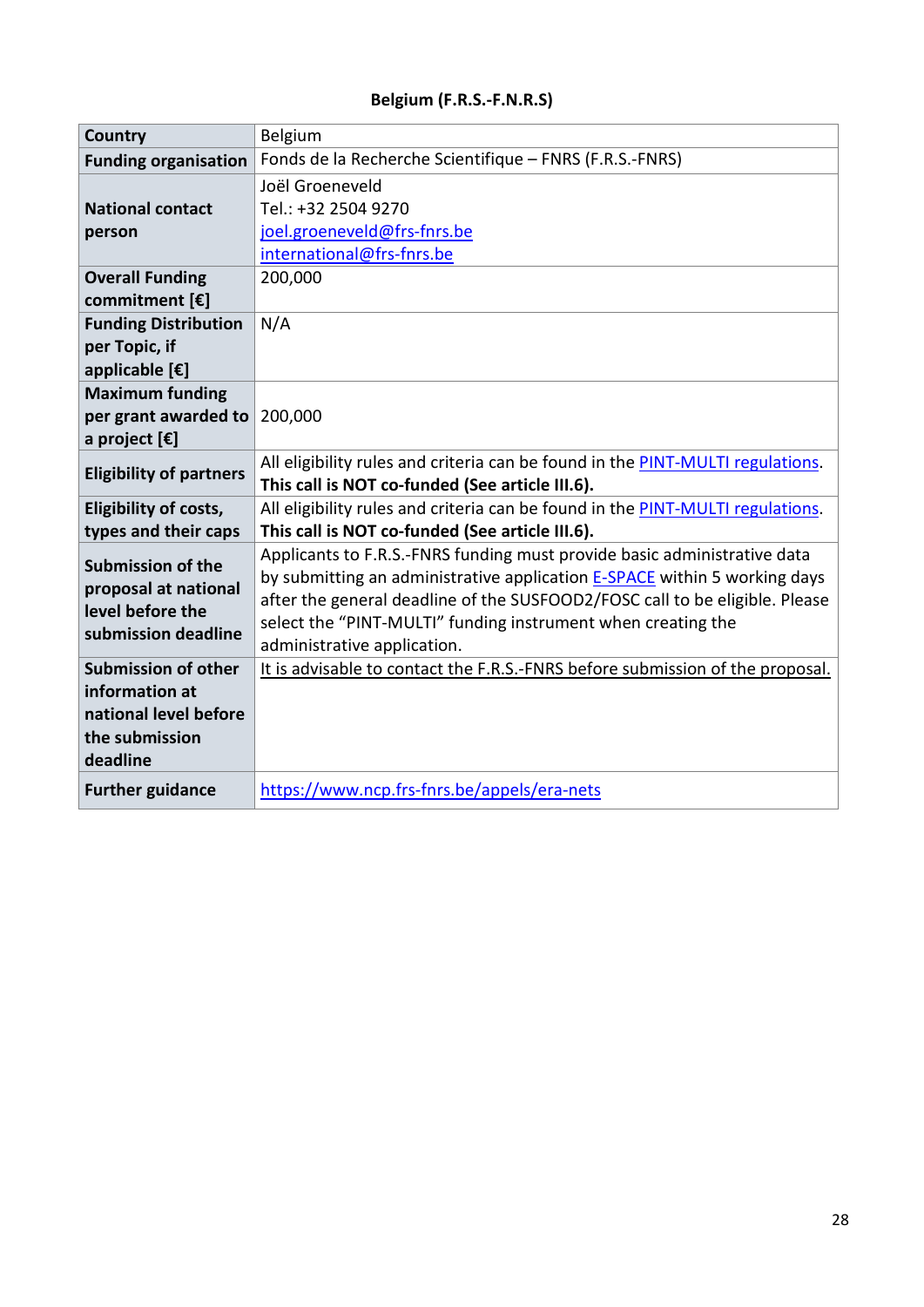# **Belgium (F.R.S.-F.N.R.S)**

| Country                         | Belgium                                                                                                                           |
|---------------------------------|-----------------------------------------------------------------------------------------------------------------------------------|
| <b>Funding organisation</b>     | Fonds de la Recherche Scientifique - FNRS (F.R.S.-FNRS)                                                                           |
|                                 | Joël Groeneveld                                                                                                                   |
| <b>National contact</b>         | Tel.: +32 2504 9270                                                                                                               |
| person                          | joel.groeneveld@frs-fnrs.be                                                                                                       |
|                                 | international@frs-fnrs.be                                                                                                         |
| <b>Overall Funding</b>          | 200,000                                                                                                                           |
| commitment [€]                  |                                                                                                                                   |
| <b>Funding Distribution</b>     | N/A                                                                                                                               |
| per Topic, if                   |                                                                                                                                   |
| applicable [€]                  |                                                                                                                                   |
| <b>Maximum funding</b>          |                                                                                                                                   |
| per grant awarded to            | 200,000                                                                                                                           |
| a project $[\mathbf{\epsilon}]$ |                                                                                                                                   |
| <b>Eligibility of partners</b>  | All eligibility rules and criteria can be found in the PINT-MULTI regulations.<br>This call is NOT co-funded (See article III.6). |
| <b>Eligibility of costs,</b>    | All eligibility rules and criteria can be found in the PINT-MULTI regulations.                                                    |
| types and their caps            | This call is NOT co-funded (See article III.6).                                                                                   |
|                                 | Applicants to F.R.S.-FNRS funding must provide basic administrative data                                                          |
| <b>Submission of the</b>        | by submitting an administrative application <b>E-SPACE</b> within 5 working days                                                  |
| proposal at national            | after the general deadline of the SUSFOOD2/FOSC call to be eligible. Please                                                       |
| level before the                | select the "PINT-MULTI" funding instrument when creating the                                                                      |
| submission deadline             | administrative application.                                                                                                       |
| <b>Submission of other</b>      | It is advisable to contact the F.R.S.-FNRS before submission of the proposal.                                                     |
| information at                  |                                                                                                                                   |
| national level before           |                                                                                                                                   |
| the submission                  |                                                                                                                                   |
| deadline                        |                                                                                                                                   |
| <b>Further guidance</b>         | https://www.ncp.frs-fnrs.be/appels/era-nets                                                                                       |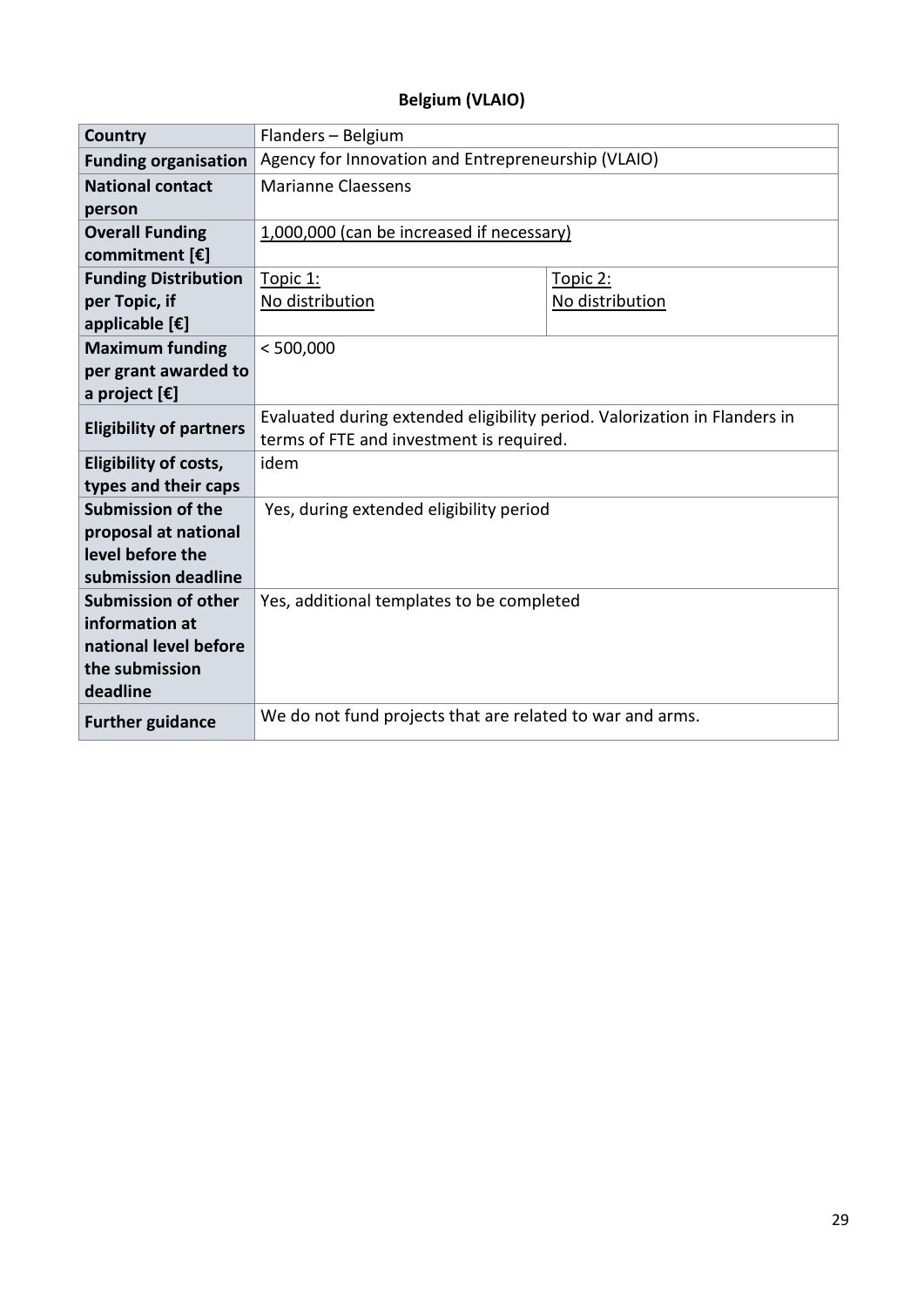# **Belgium (VLAIO)**

| <b>Country</b>                   | Flanders - Belgium                                                        |                 |
|----------------------------------|---------------------------------------------------------------------------|-----------------|
| <b>Funding organisation</b>      | Agency for Innovation and Entrepreneurship (VLAIO)                        |                 |
| <b>National contact</b>          | <b>Marianne Claessens</b>                                                 |                 |
| person                           |                                                                           |                 |
| <b>Overall Funding</b>           | 1,000,000 (can be increased if necessary)                                 |                 |
| commitment $[\mathbf{\epsilon}]$ |                                                                           |                 |
| <b>Funding Distribution</b>      | Topic 1:                                                                  | Topic 2:        |
| per Topic, if                    | No distribution                                                           | No distribution |
| applicable [€]                   |                                                                           |                 |
| <b>Maximum funding</b>           | < 500,000                                                                 |                 |
| per grant awarded to             |                                                                           |                 |
| a project $[\mathbf{\epsilon}]$  |                                                                           |                 |
| <b>Eligibility of partners</b>   | Evaluated during extended eligibility period. Valorization in Flanders in |                 |
|                                  | terms of FTE and investment is required.                                  |                 |
| <b>Eligibility of costs,</b>     | idem                                                                      |                 |
| types and their caps             |                                                                           |                 |
| <b>Submission of the</b>         | Yes, during extended eligibility period                                   |                 |
| proposal at national             |                                                                           |                 |
| level before the                 |                                                                           |                 |
| submission deadline              |                                                                           |                 |
| <b>Submission of other</b>       | Yes, additional templates to be completed                                 |                 |
| information at                   |                                                                           |                 |
| national level before            |                                                                           |                 |
| the submission<br>deadline       |                                                                           |                 |
|                                  |                                                                           |                 |
| <b>Further guidance</b>          | We do not fund projects that are related to war and arms.                 |                 |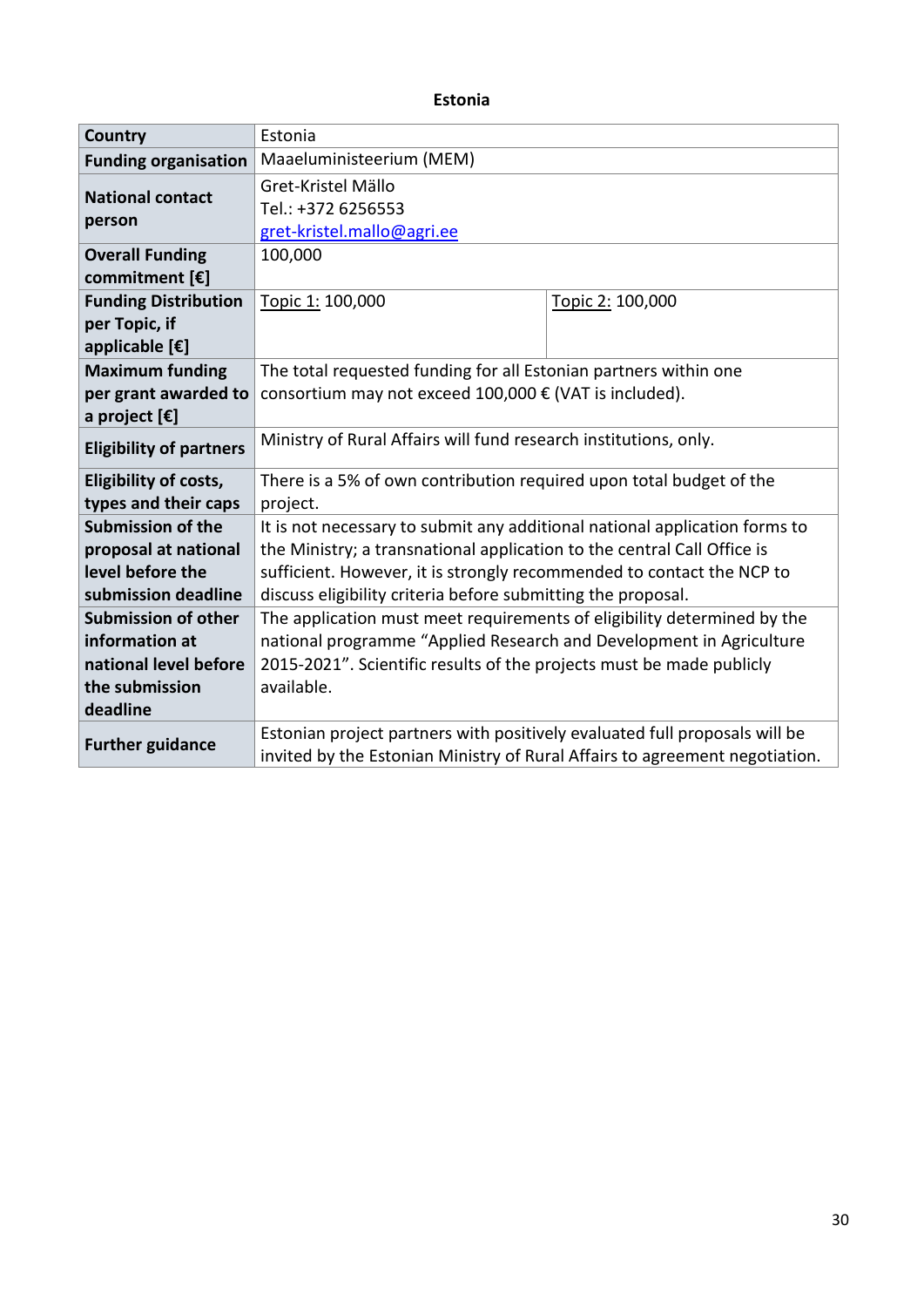#### **Estonia**

| <b>Country</b>                 | Estonia                                                                     |                  |  |
|--------------------------------|-----------------------------------------------------------------------------|------------------|--|
| <b>Funding organisation</b>    | Maaeluministeerium (MEM)                                                    |                  |  |
| <b>National contact</b>        | Gret-Kristel Mällo                                                          |                  |  |
| person                         | Tel.: +372 6256553                                                          |                  |  |
|                                | gret-kristel.mallo@agri.ee                                                  |                  |  |
| <b>Overall Funding</b>         | 100,000                                                                     |                  |  |
| commitment [€]                 |                                                                             |                  |  |
| <b>Funding Distribution</b>    | Topic 1: 100,000                                                            | Topic 2: 100,000 |  |
| per Topic, if                  |                                                                             |                  |  |
| applicable [€]                 |                                                                             |                  |  |
| <b>Maximum funding</b>         | The total requested funding for all Estonian partners within one            |                  |  |
| per grant awarded to           | consortium may not exceed 100,000 € (VAT is included).                      |                  |  |
| a project [€]                  |                                                                             |                  |  |
| <b>Eligibility of partners</b> | Ministry of Rural Affairs will fund research institutions, only.            |                  |  |
| <b>Eligibility of costs,</b>   | There is a 5% of own contribution required upon total budget of the         |                  |  |
| types and their caps           | project.                                                                    |                  |  |
| <b>Submission of the</b>       | It is not necessary to submit any additional national application forms to  |                  |  |
| proposal at national           | the Ministry; a transnational application to the central Call Office is     |                  |  |
| level before the               | sufficient. However, it is strongly recommended to contact the NCP to       |                  |  |
| submission deadline            | discuss eligibility criteria before submitting the proposal.                |                  |  |
| <b>Submission of other</b>     | The application must meet requirements of eligibility determined by the     |                  |  |
| information at                 | national programme "Applied Research and Development in Agriculture         |                  |  |
| national level before          | 2015-2021". Scientific results of the projects must be made publicly        |                  |  |
| the submission                 | available.                                                                  |                  |  |
| deadline                       |                                                                             |                  |  |
| <b>Further guidance</b>        | Estonian project partners with positively evaluated full proposals will be  |                  |  |
|                                | invited by the Estonian Ministry of Rural Affairs to agreement negotiation. |                  |  |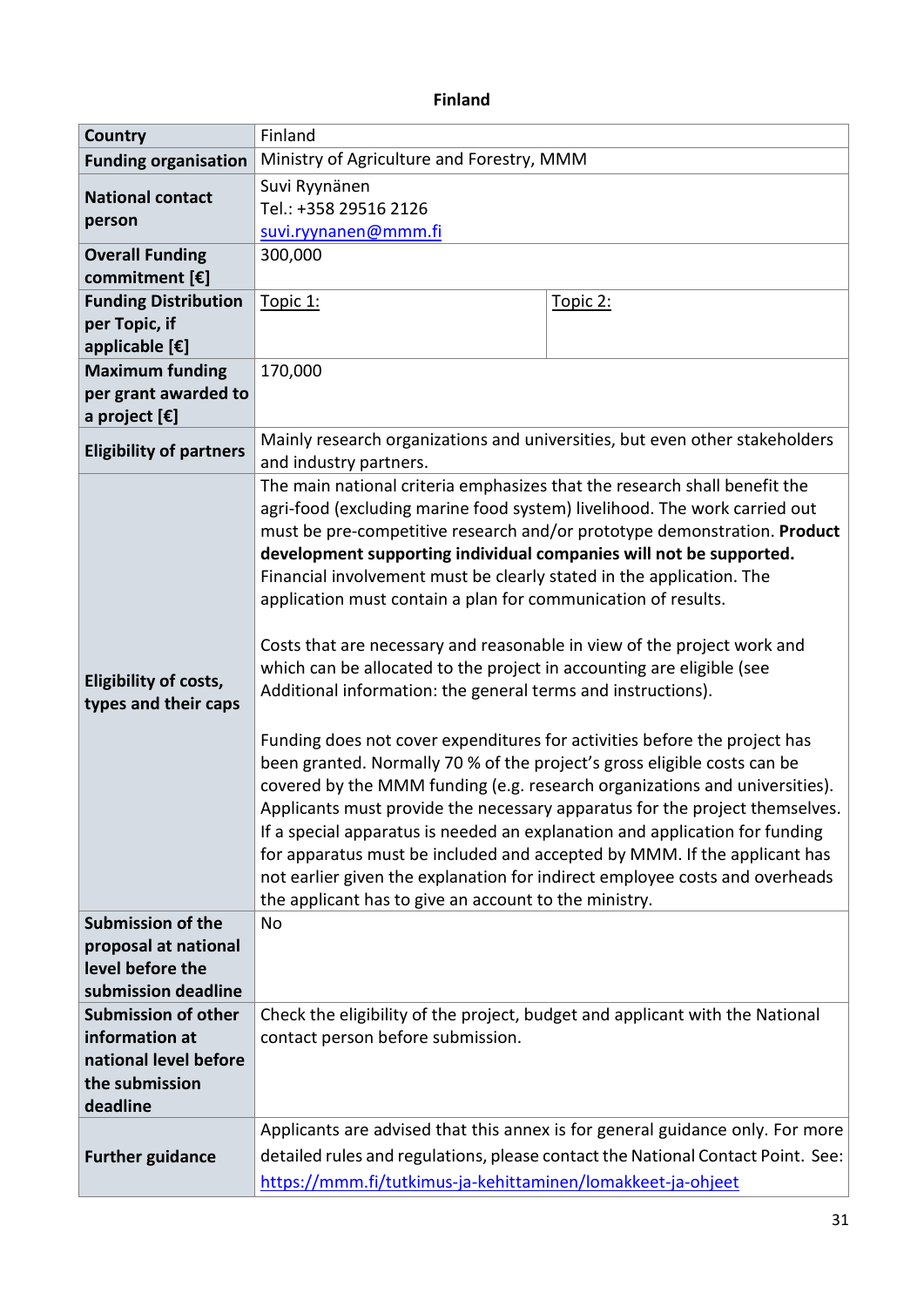# **Finland**

| <b>Country</b>                                                                                      | Finland                                                                                                                                                                                                                                                                                                                                                                                                                                                                                                                                                                                                                                                                                                                                                                                                                                                                                                                                                                                                                                                                                                                                                                                                                                                                                        |          |  |
|-----------------------------------------------------------------------------------------------------|------------------------------------------------------------------------------------------------------------------------------------------------------------------------------------------------------------------------------------------------------------------------------------------------------------------------------------------------------------------------------------------------------------------------------------------------------------------------------------------------------------------------------------------------------------------------------------------------------------------------------------------------------------------------------------------------------------------------------------------------------------------------------------------------------------------------------------------------------------------------------------------------------------------------------------------------------------------------------------------------------------------------------------------------------------------------------------------------------------------------------------------------------------------------------------------------------------------------------------------------------------------------------------------------|----------|--|
| <b>Funding organisation</b>                                                                         | Ministry of Agriculture and Forestry, MMM                                                                                                                                                                                                                                                                                                                                                                                                                                                                                                                                                                                                                                                                                                                                                                                                                                                                                                                                                                                                                                                                                                                                                                                                                                                      |          |  |
| <b>National contact</b><br>person                                                                   | Suvi Ryynänen<br>Tel.: +358 29516 2126<br>suvi.ryynanen@mmm.fi                                                                                                                                                                                                                                                                                                                                                                                                                                                                                                                                                                                                                                                                                                                                                                                                                                                                                                                                                                                                                                                                                                                                                                                                                                 |          |  |
| <b>Overall Funding</b><br>commitment $[\mathbf{\epsilon}]$                                          | 300,000                                                                                                                                                                                                                                                                                                                                                                                                                                                                                                                                                                                                                                                                                                                                                                                                                                                                                                                                                                                                                                                                                                                                                                                                                                                                                        |          |  |
| <b>Funding Distribution</b><br>per Topic, if<br>applicable [€]                                      | Topic 1:                                                                                                                                                                                                                                                                                                                                                                                                                                                                                                                                                                                                                                                                                                                                                                                                                                                                                                                                                                                                                                                                                                                                                                                                                                                                                       | Topic 2: |  |
| <b>Maximum funding</b><br>per grant awarded to<br>a project $[\mathbf{\epsilon}]$                   | 170,000                                                                                                                                                                                                                                                                                                                                                                                                                                                                                                                                                                                                                                                                                                                                                                                                                                                                                                                                                                                                                                                                                                                                                                                                                                                                                        |          |  |
| <b>Eligibility of partners</b>                                                                      | Mainly research organizations and universities, but even other stakeholders<br>and industry partners.                                                                                                                                                                                                                                                                                                                                                                                                                                                                                                                                                                                                                                                                                                                                                                                                                                                                                                                                                                                                                                                                                                                                                                                          |          |  |
| Eligibility of costs,<br>types and their caps                                                       | The main national criteria emphasizes that the research shall benefit the<br>agri-food (excluding marine food system) livelihood. The work carried out<br>must be pre-competitive research and/or prototype demonstration. Product<br>development supporting individual companies will not be supported.<br>Financial involvement must be clearly stated in the application. The<br>application must contain a plan for communication of results.<br>Costs that are necessary and reasonable in view of the project work and<br>which can be allocated to the project in accounting are eligible (see<br>Additional information: the general terms and instructions).<br>Funding does not cover expenditures for activities before the project has<br>been granted. Normally 70 % of the project's gross eligible costs can be<br>covered by the MMM funding (e.g. research organizations and universities).<br>Applicants must provide the necessary apparatus for the project themselves.<br>If a special apparatus is needed an explanation and application for funding<br>for apparatus must be included and accepted by MMM. If the applicant has<br>not earlier given the explanation for indirect employee costs and overheads<br>the applicant has to give an account to the ministry. |          |  |
| <b>Submission of the</b><br>proposal at national                                                    | <b>No</b>                                                                                                                                                                                                                                                                                                                                                                                                                                                                                                                                                                                                                                                                                                                                                                                                                                                                                                                                                                                                                                                                                                                                                                                                                                                                                      |          |  |
| level before the<br>submission deadline                                                             |                                                                                                                                                                                                                                                                                                                                                                                                                                                                                                                                                                                                                                                                                                                                                                                                                                                                                                                                                                                                                                                                                                                                                                                                                                                                                                |          |  |
| <b>Submission of other</b><br>information at<br>national level before<br>the submission<br>deadline | Check the eligibility of the project, budget and applicant with the National<br>contact person before submission.                                                                                                                                                                                                                                                                                                                                                                                                                                                                                                                                                                                                                                                                                                                                                                                                                                                                                                                                                                                                                                                                                                                                                                              |          |  |
| <b>Further guidance</b>                                                                             | Applicants are advised that this annex is for general guidance only. For more<br>detailed rules and regulations, please contact the National Contact Point. See:<br>https://mmm.fi/tutkimus-ja-kehittaminen/lomakkeet-ja-ohjeet                                                                                                                                                                                                                                                                                                                                                                                                                                                                                                                                                                                                                                                                                                                                                                                                                                                                                                                                                                                                                                                                |          |  |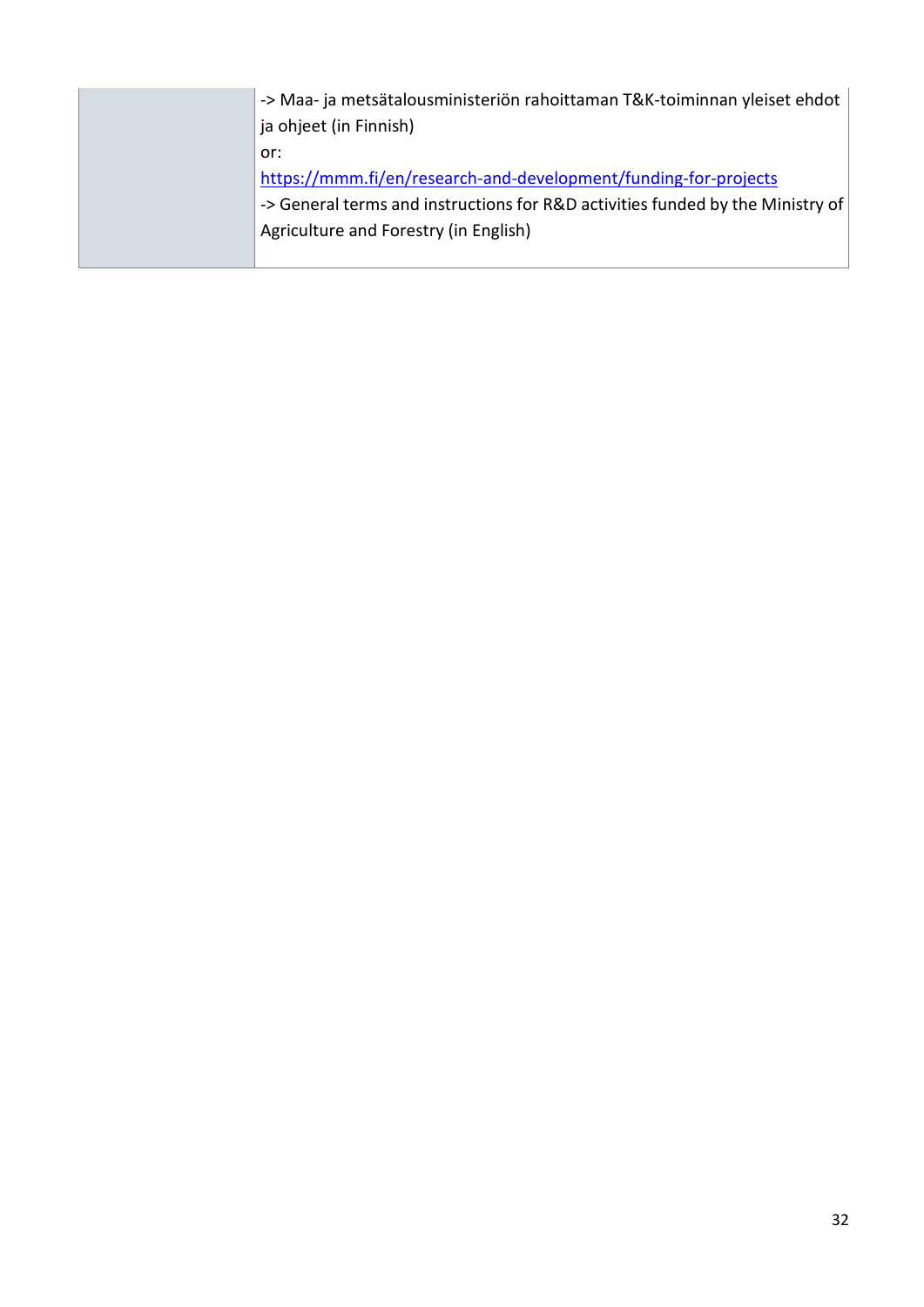| -> Maa- ja metsätalousministeriön rahoittaman T&K-toiminnan yleiset ehdot<br>ja ohjeet (in Finnish)                                                                                               |
|---------------------------------------------------------------------------------------------------------------------------------------------------------------------------------------------------|
| or:<br>https://mmm.fi/en/research-and-development/funding-for-projects<br>-> General terms and instructions for R&D activities funded by the Ministry of<br>Agriculture and Forestry (in English) |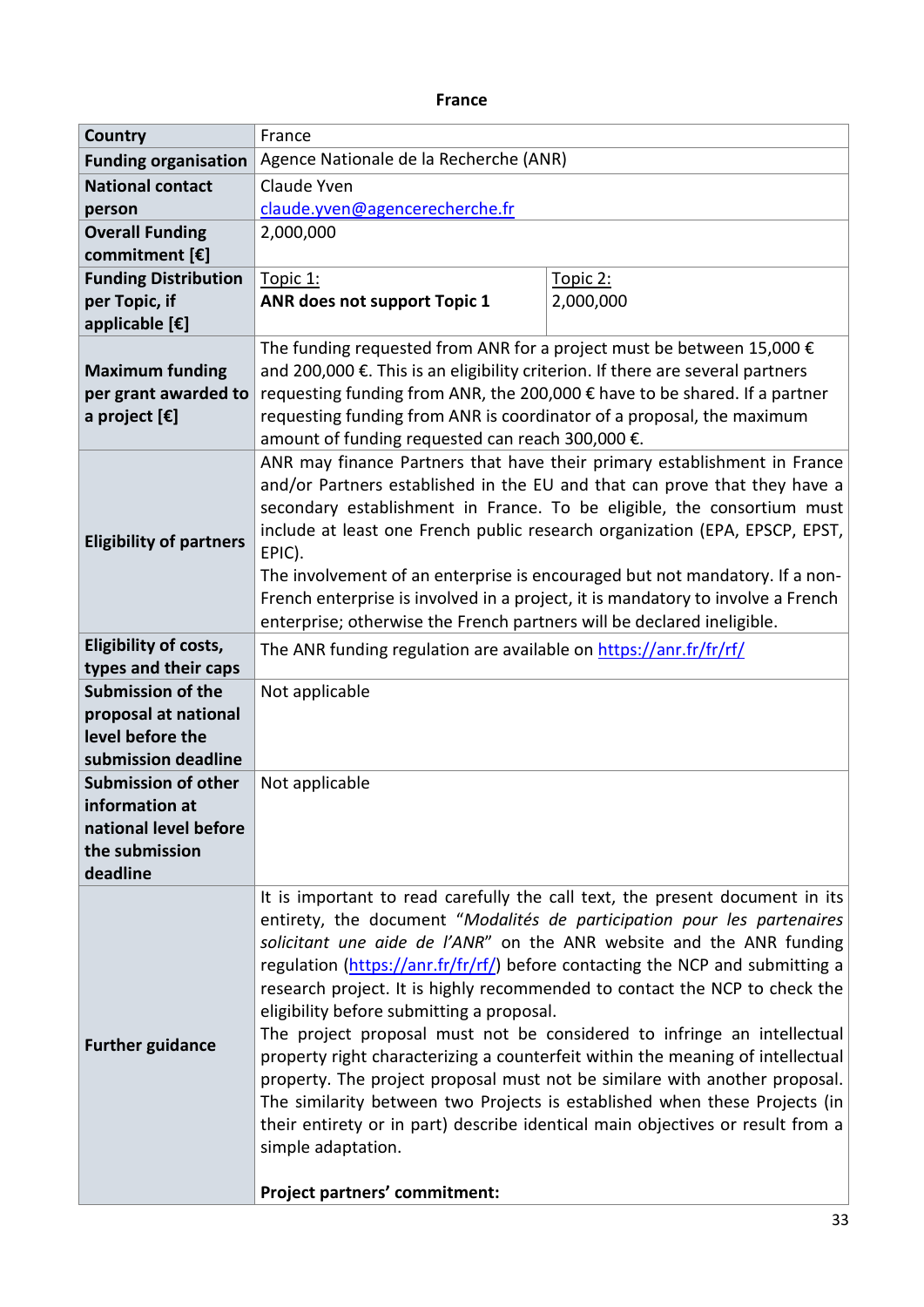#### **France**

| <b>Country</b>                   | France                                                                                                                                                                                                                                                                                                                                                                                                                                                                                                                             |                                                                               |  |
|----------------------------------|------------------------------------------------------------------------------------------------------------------------------------------------------------------------------------------------------------------------------------------------------------------------------------------------------------------------------------------------------------------------------------------------------------------------------------------------------------------------------------------------------------------------------------|-------------------------------------------------------------------------------|--|
| <b>Funding organisation</b>      | Agence Nationale de la Recherche (ANR)                                                                                                                                                                                                                                                                                                                                                                                                                                                                                             |                                                                               |  |
| <b>National contact</b>          | Claude Yven                                                                                                                                                                                                                                                                                                                                                                                                                                                                                                                        |                                                                               |  |
| person                           | claude.yven@agencerecherche.fr                                                                                                                                                                                                                                                                                                                                                                                                                                                                                                     |                                                                               |  |
| <b>Overall Funding</b>           | 2,000,000                                                                                                                                                                                                                                                                                                                                                                                                                                                                                                                          |                                                                               |  |
| commitment [€]                   |                                                                                                                                                                                                                                                                                                                                                                                                                                                                                                                                    |                                                                               |  |
| <b>Funding Distribution</b>      | Topic 1:                                                                                                                                                                                                                                                                                                                                                                                                                                                                                                                           | Topic 2:                                                                      |  |
| per Topic, if                    | ANR does not support Topic 1<br>2,000,000                                                                                                                                                                                                                                                                                                                                                                                                                                                                                          |                                                                               |  |
| applicable $[\mathbf{\epsilon}]$ |                                                                                                                                                                                                                                                                                                                                                                                                                                                                                                                                    |                                                                               |  |
|                                  | The funding requested from ANR for a project must be between 15,000 $\epsilon$                                                                                                                                                                                                                                                                                                                                                                                                                                                     |                                                                               |  |
| <b>Maximum funding</b>           | and 200,000 €. This is an eligibility criterion. If there are several partners                                                                                                                                                                                                                                                                                                                                                                                                                                                     |                                                                               |  |
| per grant awarded to             | requesting funding from ANR, the 200,000 € have to be shared. If a partner                                                                                                                                                                                                                                                                                                                                                                                                                                                         |                                                                               |  |
| a project $[\mathbf{\epsilon}]$  | requesting funding from ANR is coordinator of a proposal, the maximum                                                                                                                                                                                                                                                                                                                                                                                                                                                              |                                                                               |  |
|                                  | amount of funding requested can reach 300,000 €.                                                                                                                                                                                                                                                                                                                                                                                                                                                                                   |                                                                               |  |
|                                  |                                                                                                                                                                                                                                                                                                                                                                                                                                                                                                                                    | ANR may finance Partners that have their primary establishment in France      |  |
|                                  |                                                                                                                                                                                                                                                                                                                                                                                                                                                                                                                                    | and/or Partners established in the EU and that can prove that they have a     |  |
|                                  |                                                                                                                                                                                                                                                                                                                                                                                                                                                                                                                                    | secondary establishment in France. To be eligible, the consortium must        |  |
| <b>Eligibility of partners</b>   |                                                                                                                                                                                                                                                                                                                                                                                                                                                                                                                                    | include at least one French public research organization (EPA, EPSCP, EPST,   |  |
|                                  | EPIC).                                                                                                                                                                                                                                                                                                                                                                                                                                                                                                                             | The involvement of an enterprise is encouraged but not mandatory. If a non-   |  |
|                                  |                                                                                                                                                                                                                                                                                                                                                                                                                                                                                                                                    |                                                                               |  |
|                                  | French enterprise is involved in a project, it is mandatory to involve a French<br>enterprise; otherwise the French partners will be declared ineligible.                                                                                                                                                                                                                                                                                                                                                                          |                                                                               |  |
| Eligibility of costs,            |                                                                                                                                                                                                                                                                                                                                                                                                                                                                                                                                    |                                                                               |  |
| types and their caps             | The ANR funding regulation are available on https://anr.fr/fr/rf/                                                                                                                                                                                                                                                                                                                                                                                                                                                                  |                                                                               |  |
| <b>Submission of the</b>         | Not applicable                                                                                                                                                                                                                                                                                                                                                                                                                                                                                                                     |                                                                               |  |
| proposal at national             |                                                                                                                                                                                                                                                                                                                                                                                                                                                                                                                                    |                                                                               |  |
| level before the                 |                                                                                                                                                                                                                                                                                                                                                                                                                                                                                                                                    |                                                                               |  |
| submission deadline              |                                                                                                                                                                                                                                                                                                                                                                                                                                                                                                                                    |                                                                               |  |
| <b>Submission of other</b>       | Not applicable                                                                                                                                                                                                                                                                                                                                                                                                                                                                                                                     |                                                                               |  |
| information at                   |                                                                                                                                                                                                                                                                                                                                                                                                                                                                                                                                    |                                                                               |  |
| national level before            |                                                                                                                                                                                                                                                                                                                                                                                                                                                                                                                                    |                                                                               |  |
| the submission                   |                                                                                                                                                                                                                                                                                                                                                                                                                                                                                                                                    |                                                                               |  |
| deadline                         |                                                                                                                                                                                                                                                                                                                                                                                                                                                                                                                                    |                                                                               |  |
|                                  | It is important to read carefully the call text, the present document in its                                                                                                                                                                                                                                                                                                                                                                                                                                                       |                                                                               |  |
|                                  |                                                                                                                                                                                                                                                                                                                                                                                                                                                                                                                                    | entirety, the document "Modalités de participation pour les partenaires       |  |
|                                  |                                                                                                                                                                                                                                                                                                                                                                                                                                                                                                                                    | solicitant une aide de l'ANR" on the ANR website and the ANR funding          |  |
|                                  |                                                                                                                                                                                                                                                                                                                                                                                                                                                                                                                                    | regulation (https://anr.fr/fr/rf/) before contacting the NCP and submitting a |  |
|                                  | research project. It is highly recommended to contact the NCP to check the<br>eligibility before submitting a proposal.<br>The project proposal must not be considered to infringe an intellectual<br>property right characterizing a counterfeit within the meaning of intellectual<br>property. The project proposal must not be similare with another proposal.<br>The similarity between two Projects is established when these Projects (in<br>their entirety or in part) describe identical main objectives or result from a |                                                                               |  |
|                                  |                                                                                                                                                                                                                                                                                                                                                                                                                                                                                                                                    |                                                                               |  |
| <b>Further guidance</b>          |                                                                                                                                                                                                                                                                                                                                                                                                                                                                                                                                    |                                                                               |  |
|                                  |                                                                                                                                                                                                                                                                                                                                                                                                                                                                                                                                    |                                                                               |  |
|                                  |                                                                                                                                                                                                                                                                                                                                                                                                                                                                                                                                    |                                                                               |  |
|                                  |                                                                                                                                                                                                                                                                                                                                                                                                                                                                                                                                    |                                                                               |  |
|                                  | simple adaptation.                                                                                                                                                                                                                                                                                                                                                                                                                                                                                                                 |                                                                               |  |
|                                  |                                                                                                                                                                                                                                                                                                                                                                                                                                                                                                                                    |                                                                               |  |
|                                  | <b>Project partners' commitment:</b>                                                                                                                                                                                                                                                                                                                                                                                                                                                                                               |                                                                               |  |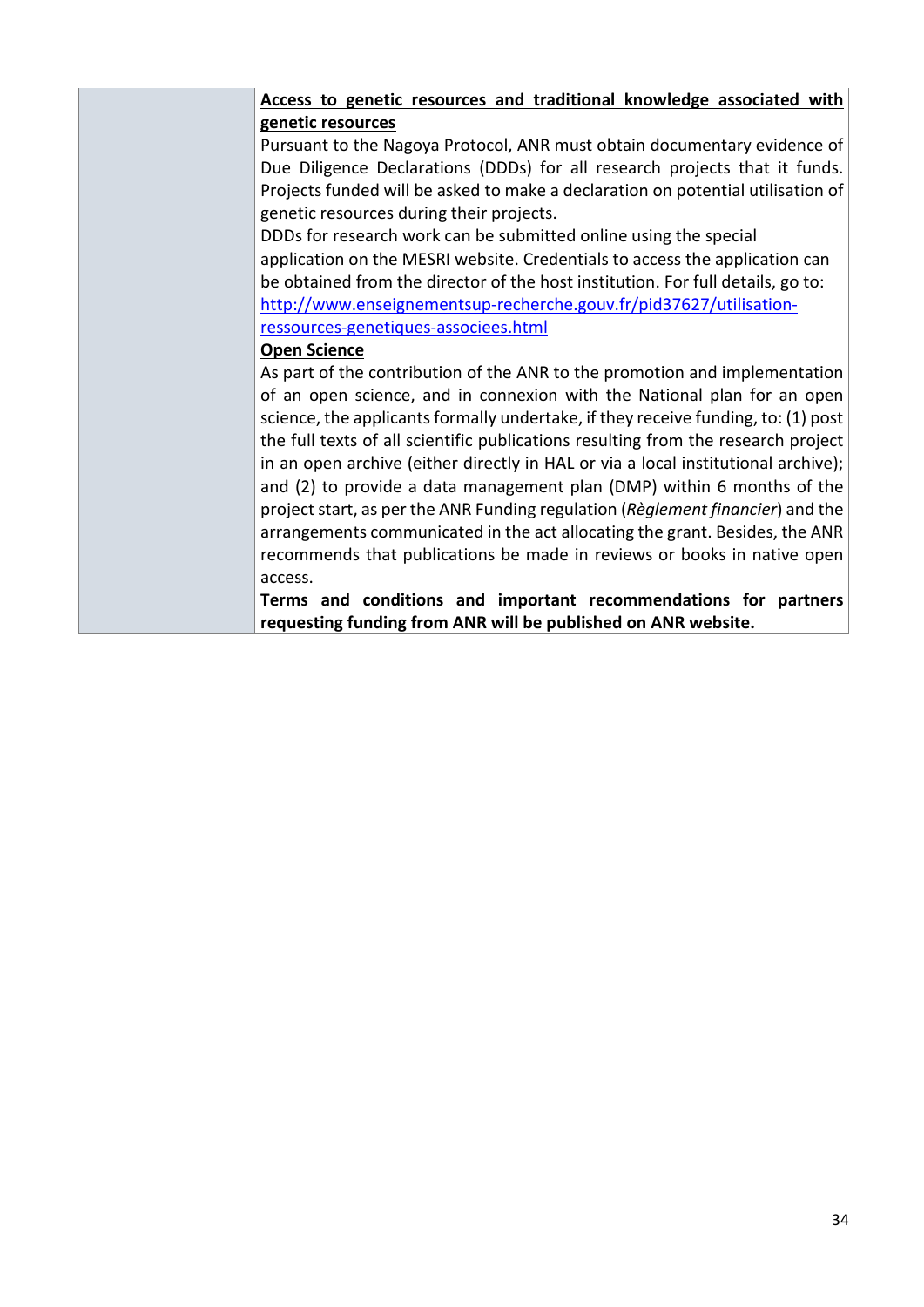#### **Access to genetic resources and traditional knowledge associated with genetic resources**

Pursuant to the Nagoya Protocol, ANR must obtain documentary evidence of Due Diligence Declarations (DDDs) for all research projects that it funds. Projects funded will be asked to make a declaration on potential utilisation of genetic resources during their projects.

DDDs for research work can be submitted online using the special application on the MESRI website. Credentials to access the application can be obtained from the director of the host institution. For full details, go to: [http://www.enseignementsup-recherche.gouv.fr/pid37627/utilisation](http://www.enseignementsup-recherche.gouv.fr/pid37627/utilisation-ressources-genetiques-associees.html)[ressources-genetiques-associees.html](http://www.enseignementsup-recherche.gouv.fr/pid37627/utilisation-ressources-genetiques-associees.html)

#### **Open Science**

As part of the contribution of the ANR to the promotion and implementation of an open science, and in connexion with the National plan for an open science, the applicants formally undertake, if they receive funding, to: (1) post the full texts of all scientific publications resulting from the research project in an open archive (either directly in HAL or via a local institutional archive); and (2) to provide a data management plan (DMP) within 6 months of the project start, as per the ANR Funding regulation (*Règlement financier*) and the arrangements communicated in the act allocating the grant. Besides, the ANR recommends that publications be made in reviews or books in native open access.

**Terms and conditions and important recommendations for partners requesting funding from ANR will be published on ANR website.**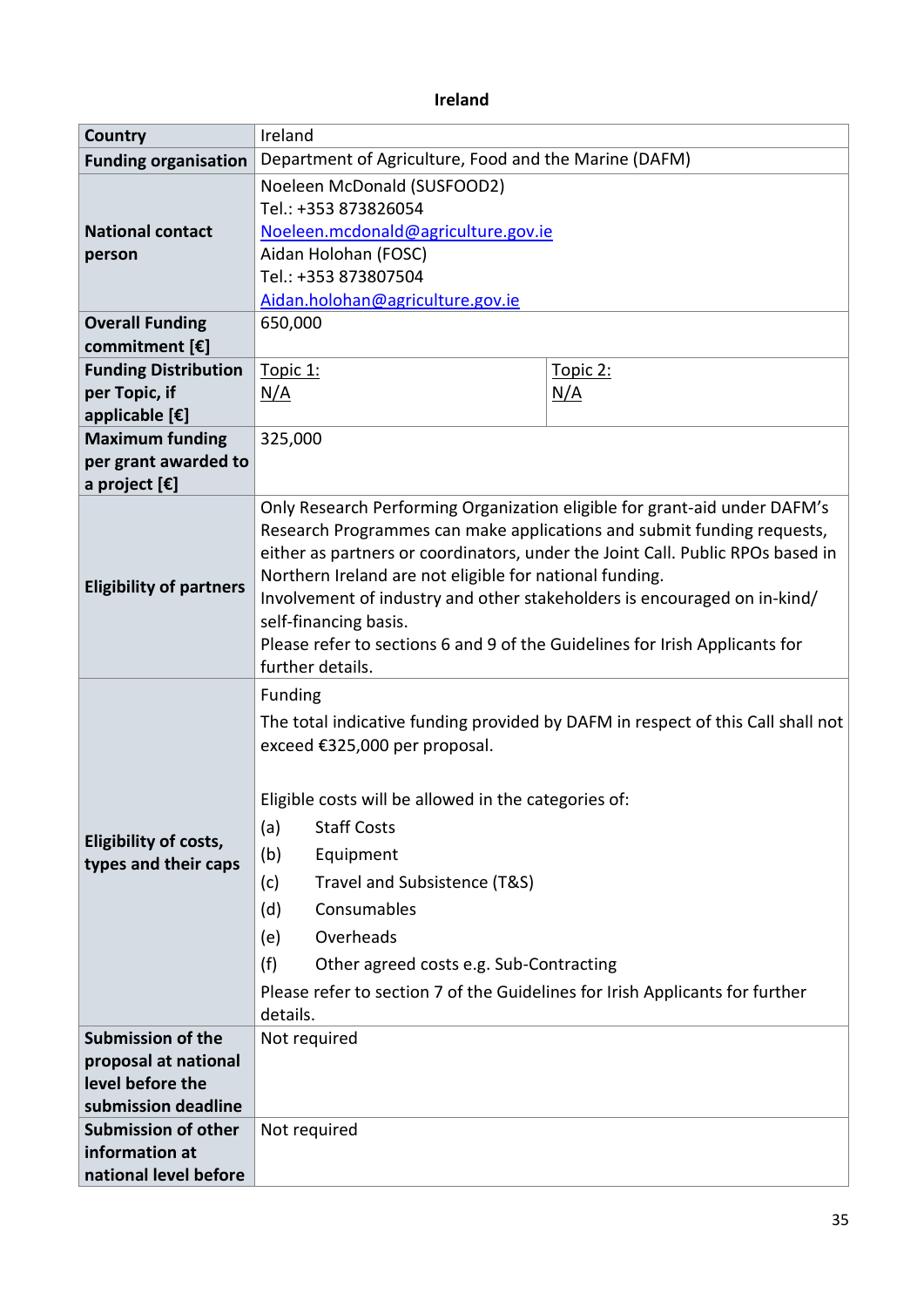### **Ireland**

| Country                                              | Ireland                                                                                                                                                                                                                                                                                                                                                                                                                                                                                                  |            |  |
|------------------------------------------------------|----------------------------------------------------------------------------------------------------------------------------------------------------------------------------------------------------------------------------------------------------------------------------------------------------------------------------------------------------------------------------------------------------------------------------------------------------------------------------------------------------------|------------|--|
| <b>Funding organisation</b>                          | Department of Agriculture, Food and the Marine (DAFM)                                                                                                                                                                                                                                                                                                                                                                                                                                                    |            |  |
| <b>National contact</b><br>person                    | Noeleen McDonald (SUSFOOD2)<br>Tel.: +353 873826054<br>Noeleen.mcdonald@agriculture.gov.ie<br>Aidan Holohan (FOSC)<br>Tel.: +353 873807504<br>Aidan.holohan@agriculture.gov.ie                                                                                                                                                                                                                                                                                                                           |            |  |
| <b>Overall Funding</b>                               | 650,000                                                                                                                                                                                                                                                                                                                                                                                                                                                                                                  |            |  |
| commitment [€]                                       |                                                                                                                                                                                                                                                                                                                                                                                                                                                                                                          |            |  |
| <b>Funding Distribution</b>                          | Topic 1:                                                                                                                                                                                                                                                                                                                                                                                                                                                                                                 | Topic 2:   |  |
| per Topic, if                                        | <u>N/A</u>                                                                                                                                                                                                                                                                                                                                                                                                                                                                                               | <u>N/A</u> |  |
| applicable [€]                                       |                                                                                                                                                                                                                                                                                                                                                                                                                                                                                                          |            |  |
| <b>Maximum funding</b>                               | 325,000                                                                                                                                                                                                                                                                                                                                                                                                                                                                                                  |            |  |
| per grant awarded to                                 |                                                                                                                                                                                                                                                                                                                                                                                                                                                                                                          |            |  |
| a project [€]                                        |                                                                                                                                                                                                                                                                                                                                                                                                                                                                                                          |            |  |
| <b>Eligibility of partners</b>                       | Only Research Performing Organization eligible for grant-aid under DAFM's<br>Research Programmes can make applications and submit funding requests,<br>either as partners or coordinators, under the Joint Call. Public RPOs based in<br>Northern Ireland are not eligible for national funding.<br>Involvement of industry and other stakeholders is encouraged on in-kind/<br>self-financing basis.<br>Please refer to sections 6 and 9 of the Guidelines for Irish Applicants for<br>further details. |            |  |
| <b>Eligibility of costs,</b><br>types and their caps | <b>Funding</b><br>The total indicative funding provided by DAFM in respect of this Call shall not<br>exceed €325,000 per proposal.<br>Eligible costs will be allowed in the categories of:<br>(a)<br><b>Staff Costs</b><br>(b)<br>Equipment<br>Travel and Subsistence (T&S)<br>(c)<br>(d)<br>Consumables<br>Overheads<br>(e)<br>(f)<br>Other agreed costs e.g. Sub-Contracting<br>Please refer to section 7 of the Guidelines for Irish Applicants for further<br>details.                               |            |  |
| <b>Submission of the</b>                             | Not required                                                                                                                                                                                                                                                                                                                                                                                                                                                                                             |            |  |
| proposal at national<br>level before the             |                                                                                                                                                                                                                                                                                                                                                                                                                                                                                                          |            |  |
| submission deadline                                  |                                                                                                                                                                                                                                                                                                                                                                                                                                                                                                          |            |  |
| <b>Submission of other</b>                           | Not required                                                                                                                                                                                                                                                                                                                                                                                                                                                                                             |            |  |
| information at                                       |                                                                                                                                                                                                                                                                                                                                                                                                                                                                                                          |            |  |
| national level before                                |                                                                                                                                                                                                                                                                                                                                                                                                                                                                                                          |            |  |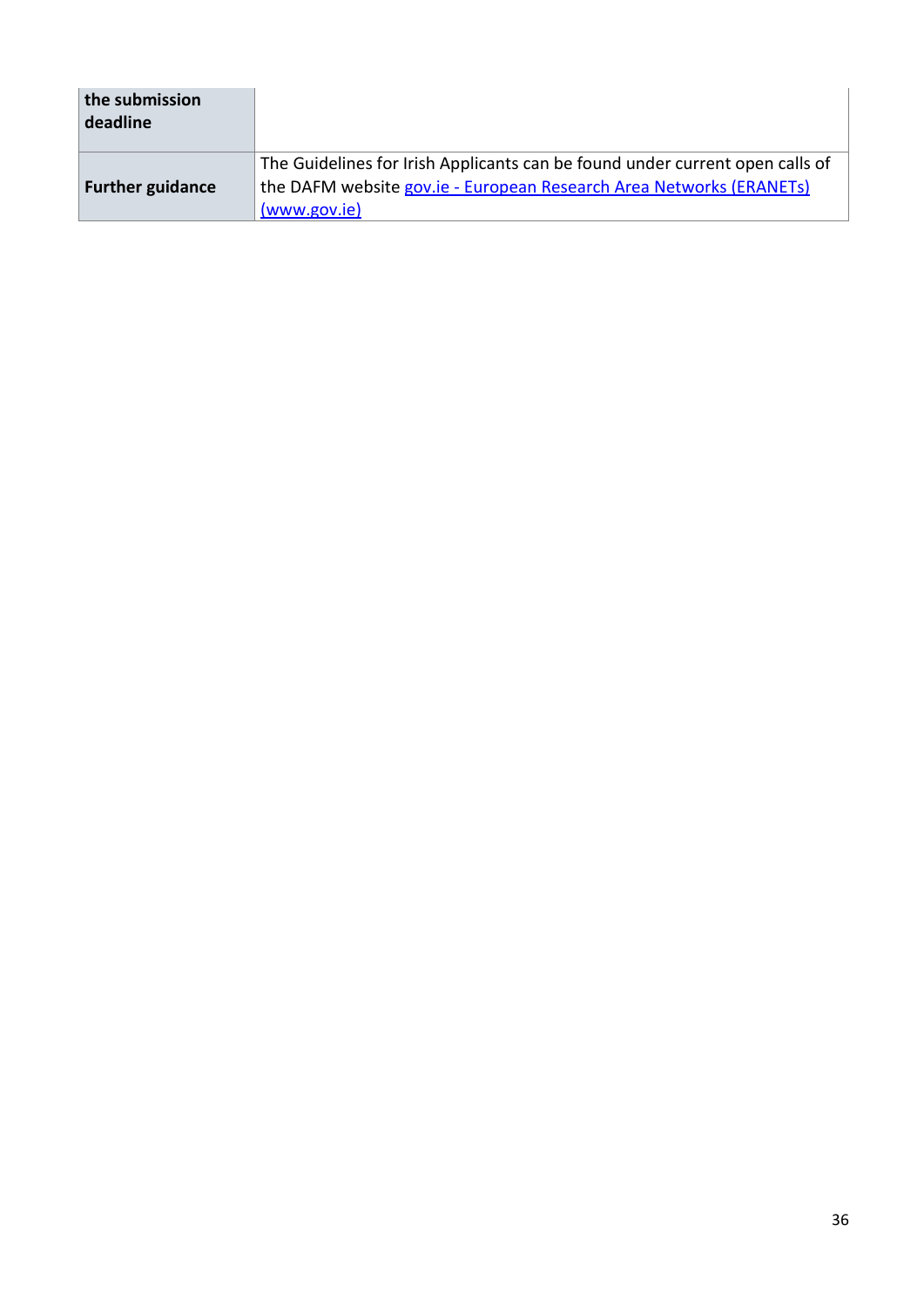| the submission<br>deadline |                                                                                                                                                                     |
|----------------------------|---------------------------------------------------------------------------------------------------------------------------------------------------------------------|
| <b>Further guidance</b>    | The Guidelines for Irish Applicants can be found under current open calls of<br>the DAFM website gov.ie - European Research Area Networks (ERANETs)<br>(www.gov.ie) |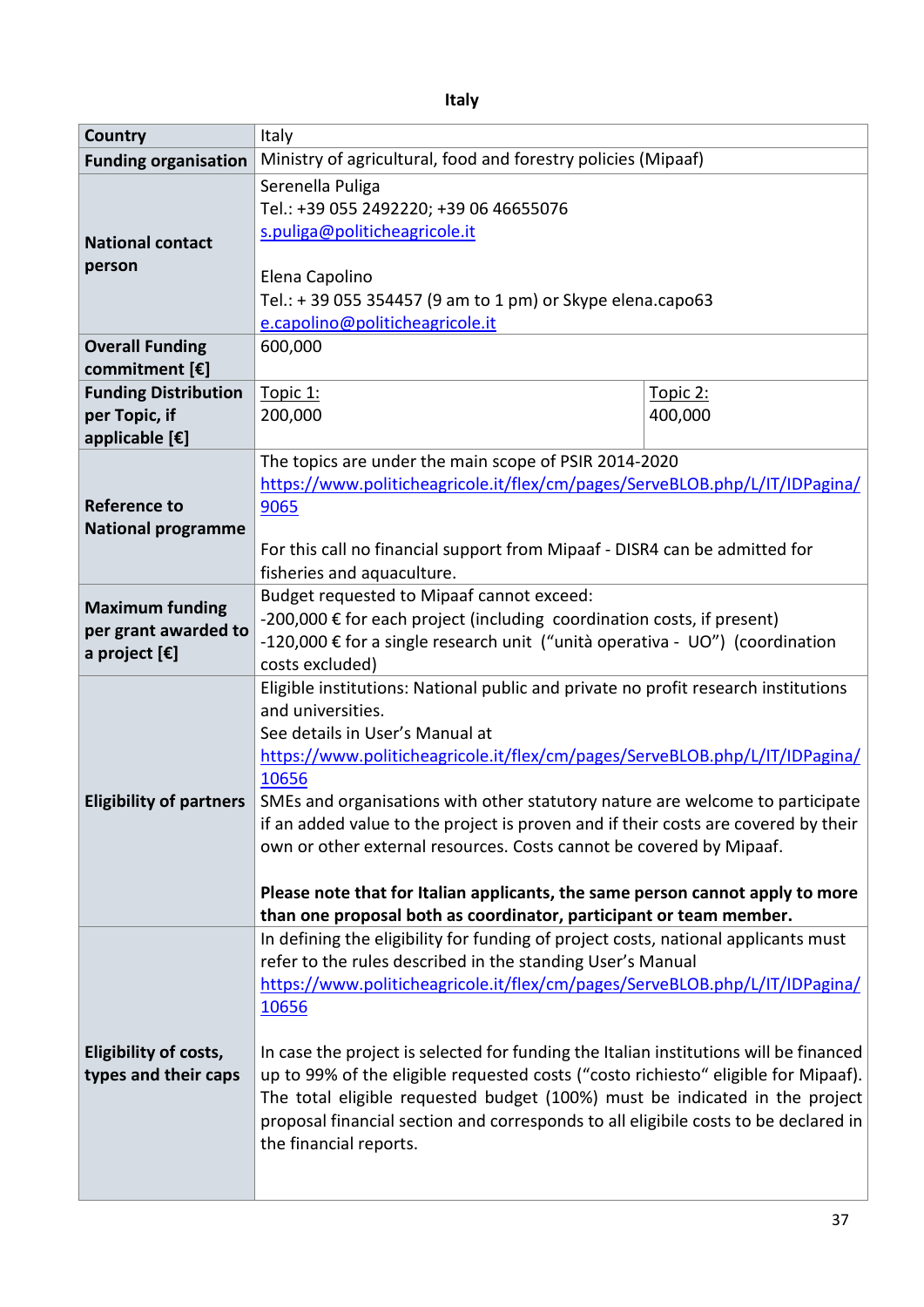**Italy**

| <b>Country</b>                 | Italy                                                                                                   |          |  |
|--------------------------------|---------------------------------------------------------------------------------------------------------|----------|--|
| <b>Funding organisation</b>    | Ministry of agricultural, food and forestry policies (Mipaaf)                                           |          |  |
|                                | Serenella Puliga                                                                                        |          |  |
|                                | Tel.: +39 055 2492220; +39 06 46655076                                                                  |          |  |
|                                | s.puliga@politicheagricole.it                                                                           |          |  |
| <b>National contact</b>        |                                                                                                         |          |  |
| person                         | Elena Capolino<br>Tel.: +39 055 354457 (9 am to 1 pm) or Skype elena.capo63                             |          |  |
|                                |                                                                                                         |          |  |
|                                | e.capolino@politicheagricole.it                                                                         |          |  |
| <b>Overall Funding</b>         | 600,000                                                                                                 |          |  |
| commitment [€]                 |                                                                                                         |          |  |
| <b>Funding Distribution</b>    | Topic 1:                                                                                                | Topic 2: |  |
| per Topic, if                  | 200,000                                                                                                 | 400,000  |  |
| applicable [€]                 |                                                                                                         |          |  |
|                                | The topics are under the main scope of PSIR 2014-2020                                                   |          |  |
|                                | https://www.politicheagricole.it/flex/cm/pages/ServeBLOB.php/L/IT/IDPagina/                             |          |  |
| <b>Reference to</b>            | 9065                                                                                                    |          |  |
| <b>National programme</b>      |                                                                                                         |          |  |
|                                | For this call no financial support from Mipaaf - DISR4 can be admitted for                              |          |  |
|                                | fisheries and aquaculture.                                                                              |          |  |
| <b>Maximum funding</b>         | Budget requested to Mipaaf cannot exceed:                                                               |          |  |
| per grant awarded to           | -200,000 € for each project (including coordination costs, if present)                                  |          |  |
| a project [€]                  | -120,000 € for a single research unit ("unità operativa - UO") (coordination                            |          |  |
|                                | costs excluded)                                                                                         |          |  |
|                                | Eligible institutions: National public and private no profit research institutions<br>and universities. |          |  |
|                                | See details in User's Manual at                                                                         |          |  |
|                                | https://www.politicheagricole.it/flex/cm/pages/ServeBLOB.php/L/IT/IDPagina/                             |          |  |
|                                | 10656                                                                                                   |          |  |
| <b>Eligibility of partners</b> | SMEs and organisations with other statutory nature are welcome to participate                           |          |  |
|                                | if an added value to the project is proven and if their costs are covered by their                      |          |  |
|                                | own or other external resources. Costs cannot be covered by Mipaaf.                                     |          |  |
|                                |                                                                                                         |          |  |
|                                | Please note that for Italian applicants, the same person cannot apply to more                           |          |  |
|                                | than one proposal both as coordinator, participant or team member.                                      |          |  |
|                                | In defining the eligibility for funding of project costs, national applicants must                      |          |  |
|                                | refer to the rules described in the standing User's Manual                                              |          |  |
|                                | https://www.politicheagricole.it/flex/cm/pages/ServeBLOB.php/L/IT/IDPagina/                             |          |  |
|                                | 10656                                                                                                   |          |  |
|                                |                                                                                                         |          |  |
| <b>Eligibility of costs,</b>   | In case the project is selected for funding the Italian institutions will be financed                   |          |  |
| types and their caps           | up to 99% of the eligible requested costs ("costo richiesto" eligible for Mipaaf).                      |          |  |
|                                | The total eligible requested budget (100%) must be indicated in the project                             |          |  |
|                                | proposal financial section and corresponds to all eligibile costs to be declared in                     |          |  |
| the financial reports.         |                                                                                                         |          |  |
|                                |                                                                                                         |          |  |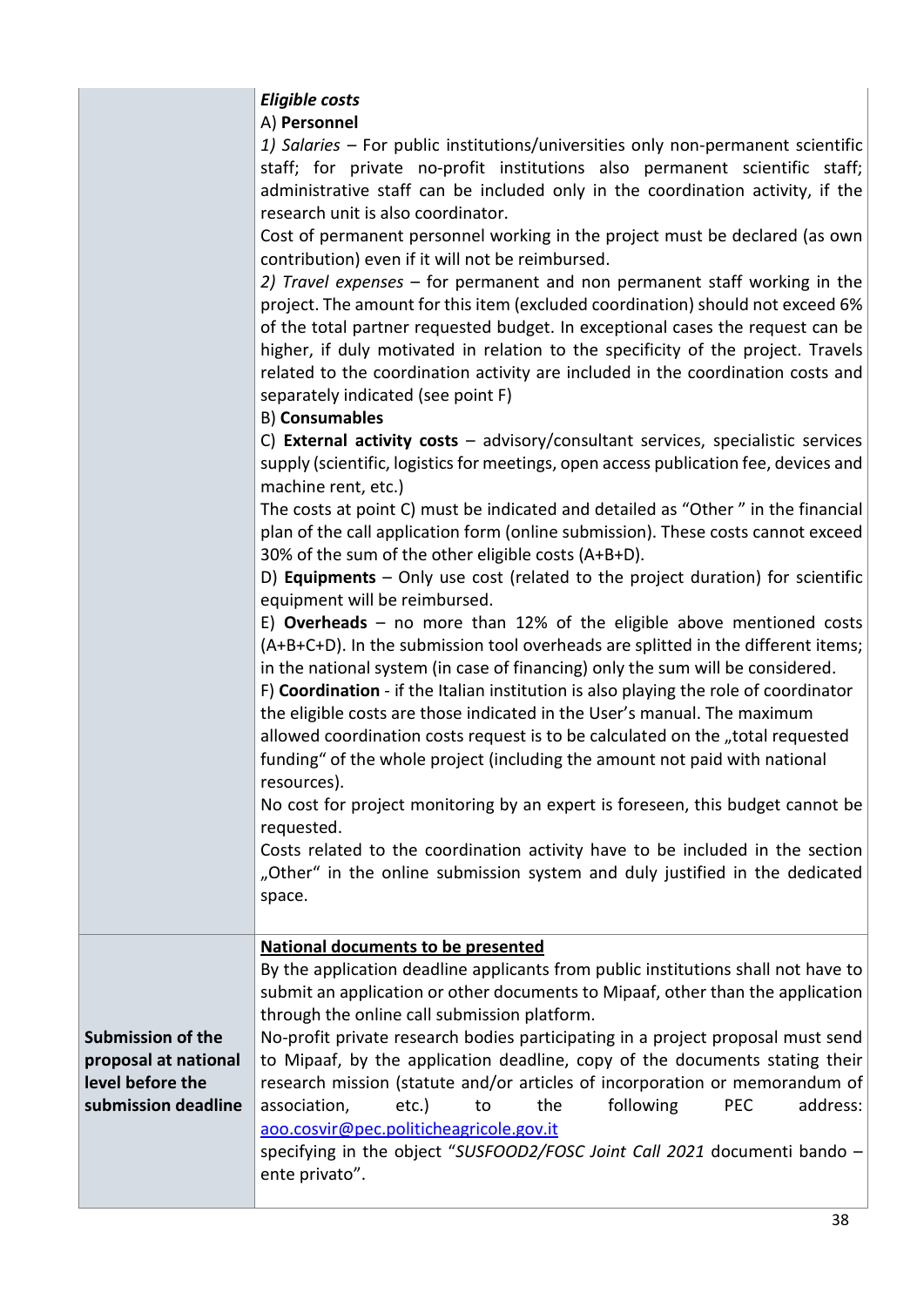| <b>Eligible costs</b> |  |
|-----------------------|--|
|-----------------------|--|

۰ A) **Personnel**

|                                                                                             | A) Personnel<br>1) Salaries - For public institutions/universities only non-permanent scientific<br>staff; for private no-profit institutions also permanent scientific staff;<br>administrative staff can be included only in the coordination activity, if the<br>research unit is also coordinator.<br>Cost of permanent personnel working in the project must be declared (as own<br>contribution) even if it will not be reimbursed.<br>2) Travel expenses – for permanent and non permanent staff working in the<br>project. The amount for this item (excluded coordination) should not exceed 6%<br>of the total partner requested budget. In exceptional cases the request can be<br>higher, if duly motivated in relation to the specificity of the project. Travels<br>related to the coordination activity are included in the coordination costs and<br>separately indicated (see point F)<br><b>B) Consumables</b><br>C) External activity costs - advisory/consultant services, specialistic services<br>supply (scientific, logistics for meetings, open access publication fee, devices and<br>machine rent, etc.)<br>The costs at point C) must be indicated and detailed as "Other" in the financial<br>plan of the call application form (online submission). These costs cannot exceed<br>30% of the sum of the other eligible costs (A+B+D).<br>D) Equipments $-$ Only use cost (related to the project duration) for scientific<br>equipment will be reimbursed.<br>E) Overheads – no more than 12% of the eligible above mentioned costs<br>(A+B+C+D). In the submission tool overheads are splitted in the different items;<br>in the national system (in case of financing) only the sum will be considered.<br>F) Coordination - if the Italian institution is also playing the role of coordinator<br>the eligible costs are those indicated in the User's manual. The maximum<br>allowed coordination costs request is to be calculated on the "total requested<br>funding" of the whole project (including the amount not paid with national<br>resources).<br>No cost for project monitoring by an expert is foreseen, this budget cannot be<br>requested.<br>Costs related to the coordination activity have to be included in the section<br>"Other" in the online submission system and duly justified in the dedicated<br>space. |
|---------------------------------------------------------------------------------------------|---------------------------------------------------------------------------------------------------------------------------------------------------------------------------------------------------------------------------------------------------------------------------------------------------------------------------------------------------------------------------------------------------------------------------------------------------------------------------------------------------------------------------------------------------------------------------------------------------------------------------------------------------------------------------------------------------------------------------------------------------------------------------------------------------------------------------------------------------------------------------------------------------------------------------------------------------------------------------------------------------------------------------------------------------------------------------------------------------------------------------------------------------------------------------------------------------------------------------------------------------------------------------------------------------------------------------------------------------------------------------------------------------------------------------------------------------------------------------------------------------------------------------------------------------------------------------------------------------------------------------------------------------------------------------------------------------------------------------------------------------------------------------------------------------------------------------------------------------------------------------------------------------------------------------------------------------------------------------------------------------------------------------------------------------------------------------------------------------------------------------------------------------------------------------------------------------------------------------------------------------------------------------------------------------------------------------------------------------------------------|
| <b>Submission of the</b><br>proposal at national<br>level before the<br>submission deadline | <b>National documents to be presented</b><br>By the application deadline applicants from public institutions shall not have to<br>submit an application or other documents to Mipaaf, other than the application<br>through the online call submission platform.<br>No-profit private research bodies participating in a project proposal must send<br>to Mipaaf, by the application deadline, copy of the documents stating their<br>research mission (statute and/or articles of incorporation or memorandum of<br>association,<br>following<br>PEC<br>address:<br>$etc.$ )<br>the<br>to<br>aoo.cosvir@pec.politicheagricole.gov.it<br>specifying in the object "SUSFOOD2/FOSC Joint Call 2021 documenti bando -<br>ente privato".                                                                                                                                                                                                                                                                                                                                                                                                                                                                                                                                                                                                                                                                                                                                                                                                                                                                                                                                                                                                                                                                                                                                                                                                                                                                                                                                                                                                                                                                                                                                                                                                                                |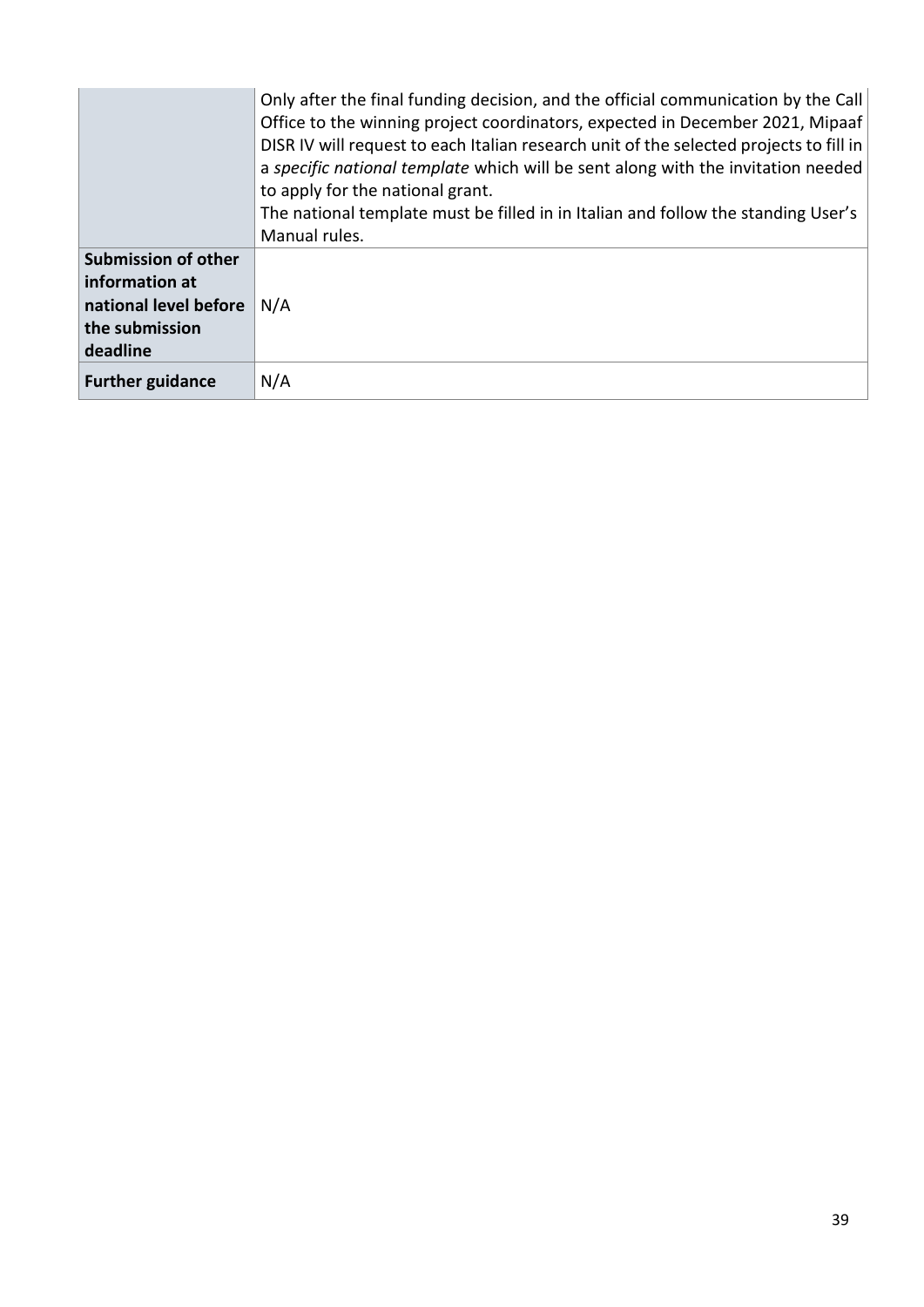|                                                                                                     | Only after the final funding decision, and the official communication by the Call<br>Office to the winning project coordinators, expected in December 2021, Mipaaf<br>DISR IV will request to each Italian research unit of the selected projects to fill in<br>a specific national template which will be sent along with the invitation needed<br>to apply for the national grant.<br>The national template must be filled in in Italian and follow the standing User's<br>Manual rules. |
|-----------------------------------------------------------------------------------------------------|--------------------------------------------------------------------------------------------------------------------------------------------------------------------------------------------------------------------------------------------------------------------------------------------------------------------------------------------------------------------------------------------------------------------------------------------------------------------------------------------|
| <b>Submission of other</b><br>information at<br>national level before<br>the submission<br>deadline | N/A                                                                                                                                                                                                                                                                                                                                                                                                                                                                                        |
| <b>Further guidance</b>                                                                             | N/A                                                                                                                                                                                                                                                                                                                                                                                                                                                                                        |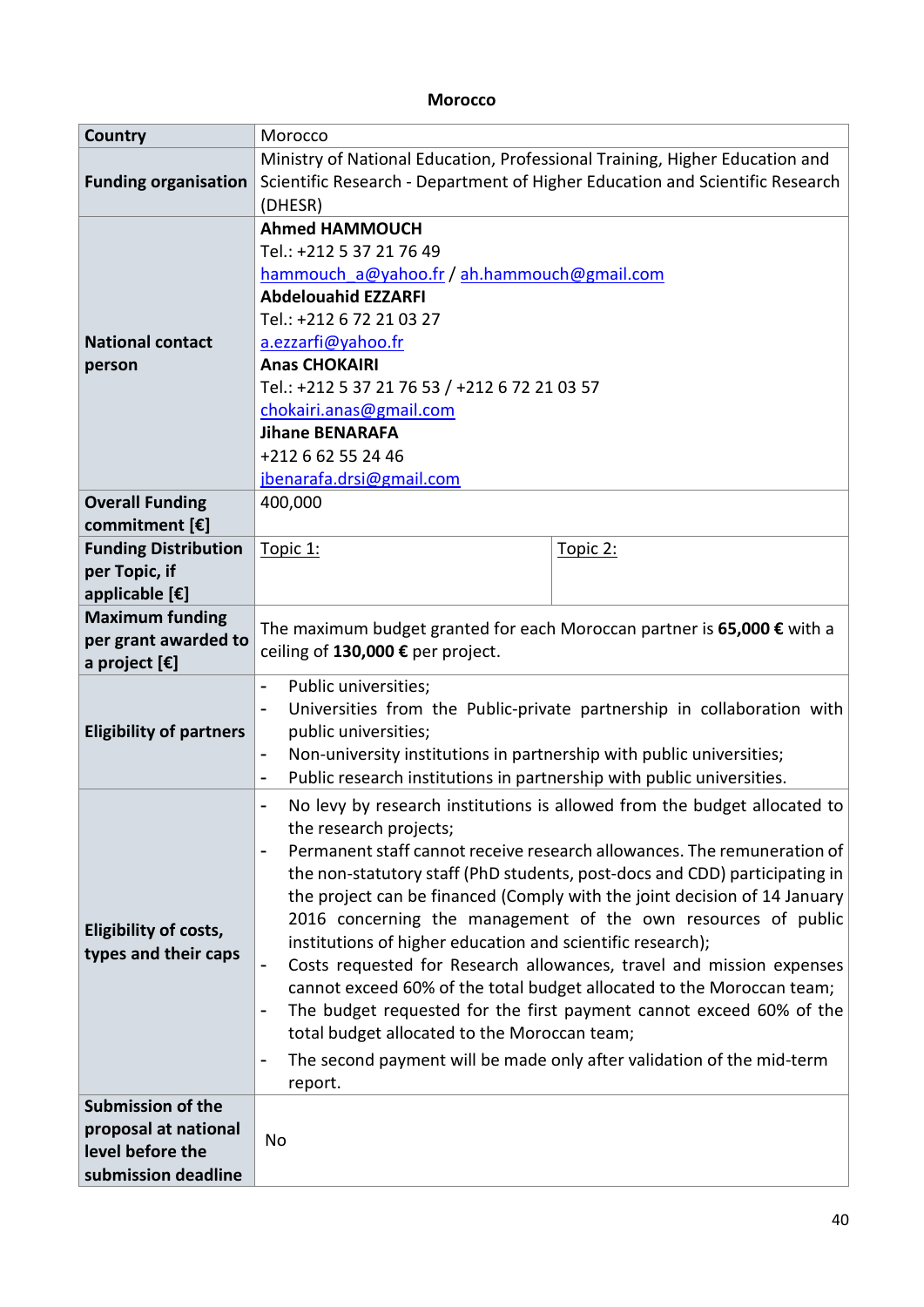#### **Morocco**

| Country                                  | Morocco                                                                                          |                                                                            |  |
|------------------------------------------|--------------------------------------------------------------------------------------------------|----------------------------------------------------------------------------|--|
|                                          | Ministry of National Education, Professional Training, Higher Education and                      |                                                                            |  |
| <b>Funding organisation</b>              | Scientific Research - Department of Higher Education and Scientific Research                     |                                                                            |  |
|                                          | (DHESR)                                                                                          |                                                                            |  |
|                                          | <b>Ahmed HAMMOUCH</b>                                                                            |                                                                            |  |
|                                          | Tel.: +212 5 37 21 76 49                                                                         |                                                                            |  |
|                                          | hammouch a@yahoo.fr / ah.hammouch@gmail.com<br><b>Abdelouahid EZZARFI</b>                        |                                                                            |  |
|                                          | Tel.: +212 6 72 21 03 27                                                                         |                                                                            |  |
|                                          |                                                                                                  |                                                                            |  |
| <b>National contact</b>                  | a.ezzarfi@yahoo.fr<br><b>Anas CHOKAIRI</b>                                                       |                                                                            |  |
| person                                   |                                                                                                  |                                                                            |  |
|                                          | Tel.: +212 5 37 21 76 53 / +212 6 72 21 03 57                                                    |                                                                            |  |
|                                          | chokairi.anas@gmail.com<br><b>Jihane BENARAFA</b>                                                |                                                                            |  |
|                                          | +212 6 62 55 24 46                                                                               |                                                                            |  |
|                                          | jbenarafa.drsi@gmail.com                                                                         |                                                                            |  |
|                                          | 400,000                                                                                          |                                                                            |  |
| <b>Overall Funding</b><br>commitment [€] |                                                                                                  |                                                                            |  |
| <b>Funding Distribution</b>              |                                                                                                  |                                                                            |  |
| per Topic, if                            | Topic 1:                                                                                         | Topic 2:                                                                   |  |
| applicable [€]                           |                                                                                                  |                                                                            |  |
| <b>Maximum funding</b>                   |                                                                                                  |                                                                            |  |
| per grant awarded to                     | The maximum budget granted for each Moroccan partner is 65,000 € with a                          |                                                                            |  |
| a project $[\mathbf{\epsilon}]$          | ceiling of 130,000 € per project.                                                                |                                                                            |  |
|                                          | Public universities;                                                                             |                                                                            |  |
|                                          | $\overline{\phantom{a}}$                                                                         | Universities from the Public-private partnership in collaboration with     |  |
| <b>Eligibility of partners</b>           | public universities;                                                                             |                                                                            |  |
|                                          | Non-university institutions in partnership with public universities;<br>$\overline{\phantom{a}}$ |                                                                            |  |
|                                          | Public research institutions in partnership with public universities.                            |                                                                            |  |
|                                          | No levy by research institutions is allowed from the budget allocated to                         |                                                                            |  |
|                                          | the research projects;                                                                           |                                                                            |  |
|                                          |                                                                                                  | Permanent staff cannot receive research allowances. The remuneration of    |  |
|                                          |                                                                                                  | the non-statutory staff (PhD students, post-docs and CDD) participating in |  |
|                                          |                                                                                                  | the project can be financed (Comply with the joint decision of 14 January  |  |
|                                          |                                                                                                  | 2016 concerning the management of the own resources of public              |  |
| <b>Eligibility of costs,</b>             | institutions of higher education and scientific research);                                       |                                                                            |  |
| types and their caps                     |                                                                                                  | Costs requested for Research allowances, travel and mission expenses       |  |
|                                          | cannot exceed 60% of the total budget allocated to the Moroccan team;                            |                                                                            |  |
|                                          | The budget requested for the first payment cannot exceed 60% of the                              |                                                                            |  |
|                                          | total budget allocated to the Moroccan team;                                                     |                                                                            |  |
|                                          |                                                                                                  | The second payment will be made only after validation of the mid-term      |  |
|                                          | report.                                                                                          |                                                                            |  |
| <b>Submission of the</b>                 |                                                                                                  |                                                                            |  |
| proposal at national                     |                                                                                                  |                                                                            |  |
| level before the                         | No                                                                                               |                                                                            |  |
| submission deadline                      |                                                                                                  |                                                                            |  |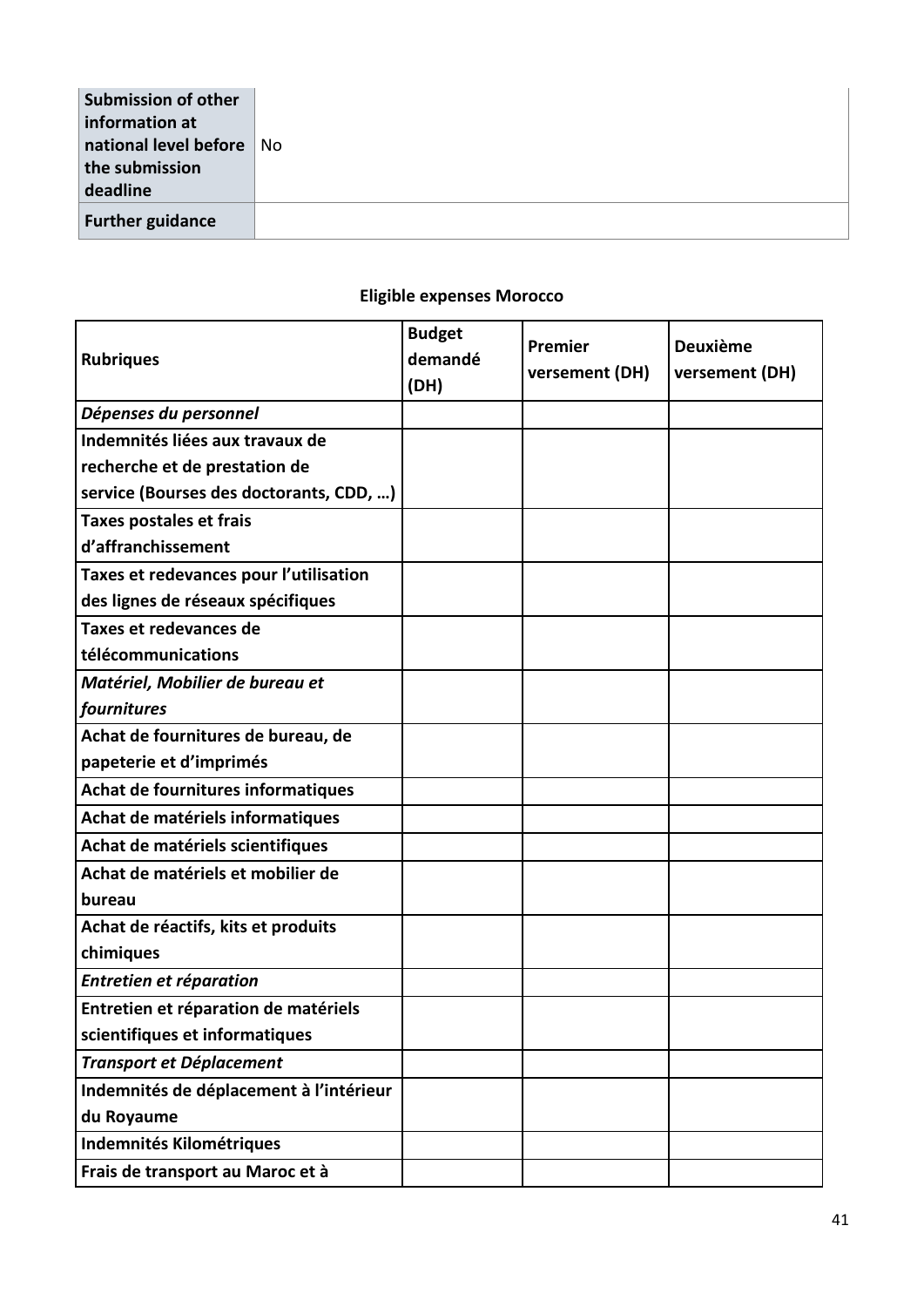| Submission of other<br>information at |
|---------------------------------------|
| national level before No              |
| the submission                        |
| deadline                              |
| <b>Further guidance</b>               |
|                                       |

# **Rubriques Budget demandé (DH) Premier versement (DH) Deuxième versement (DH)** *Dépenses du personnel* **Indemnités liées aux travaux de recherche et de prestation de service (Bourses des doctorants, CDD, …) Taxes postales et frais d'affranchissement**

#### **Eligible expenses Morocco**

| Taxes et redevances pour l'utilisation  |  |  |
|-----------------------------------------|--|--|
| des lignes de réseaux spécifiques       |  |  |
| Taxes et redevances de                  |  |  |
| télécommunications                      |  |  |
| Matériel, Mobilier de bureau et         |  |  |
| fournitures                             |  |  |
| Achat de fournitures de bureau, de      |  |  |
| papeterie et d'imprimés                 |  |  |
| Achat de fournitures informatiques      |  |  |
| Achat de matériels informatiques        |  |  |
| Achat de matériels scientifiques        |  |  |
| Achat de matériels et mobilier de       |  |  |
| bureau                                  |  |  |
| Achat de réactifs, kits et produits     |  |  |
| chimiques                               |  |  |
| Entretien et réparation                 |  |  |
| Entretien et réparation de matériels    |  |  |
| scientifiques et informatiques          |  |  |
| <b>Transport et Déplacement</b>         |  |  |
| Indemnités de déplacement à l'intérieur |  |  |
| du Royaume                              |  |  |
| <b>Indemnités Kilométriques</b>         |  |  |
| Frais de transport au Maroc et à        |  |  |
|                                         |  |  |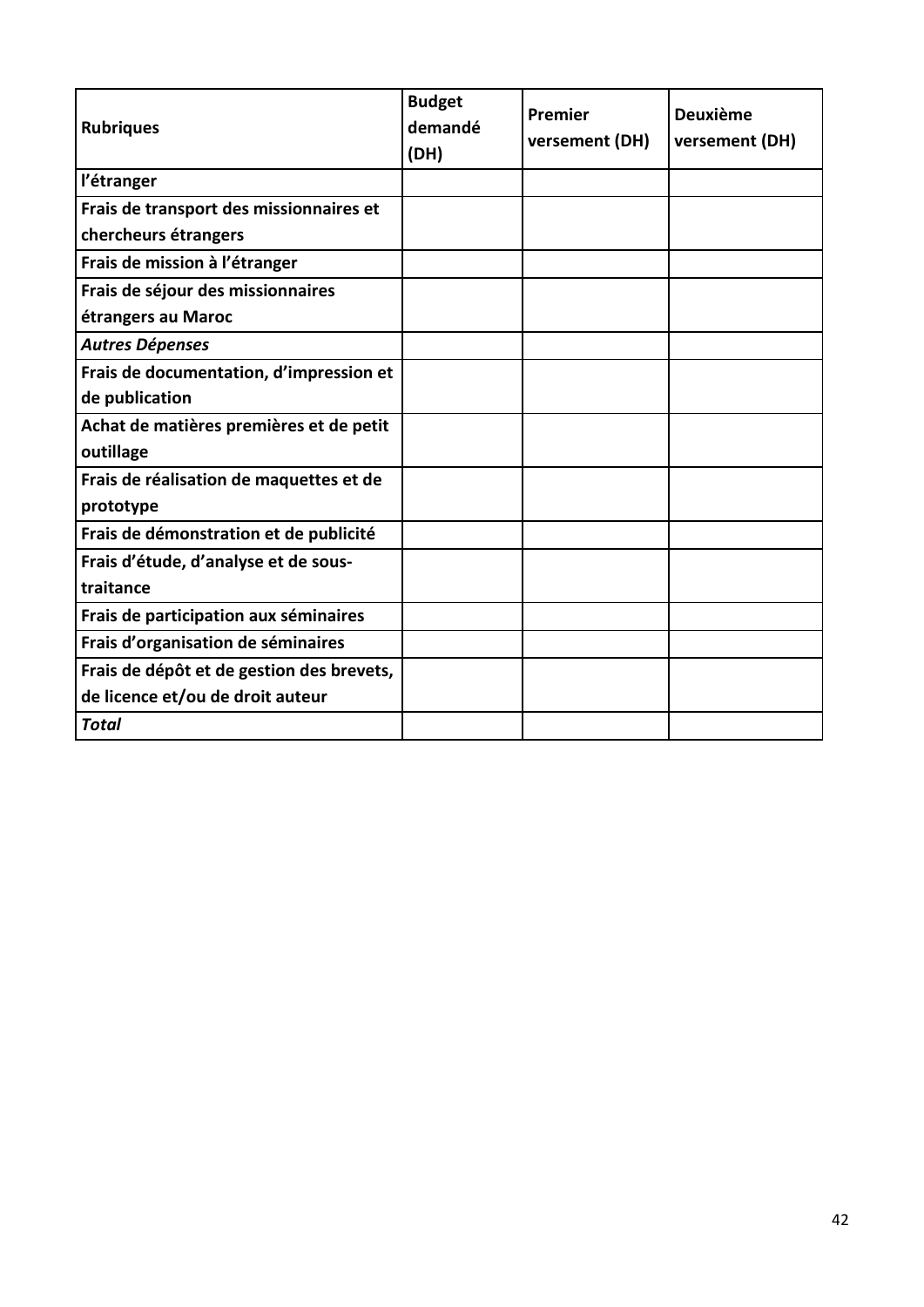| <b>Rubriques</b>                          | <b>Budget</b><br>demandé<br>(DH) | Premier<br>versement (DH) | <b>Deuxième</b><br>versement (DH) |
|-------------------------------------------|----------------------------------|---------------------------|-----------------------------------|
| l'étranger                                |                                  |                           |                                   |
| Frais de transport des missionnaires et   |                                  |                           |                                   |
| chercheurs étrangers                      |                                  |                           |                                   |
| Frais de mission à l'étranger             |                                  |                           |                                   |
| Frais de séjour des missionnaires         |                                  |                           |                                   |
| étrangers au Maroc                        |                                  |                           |                                   |
| <b>Autres Dépenses</b>                    |                                  |                           |                                   |
| Frais de documentation, d'impression et   |                                  |                           |                                   |
| de publication                            |                                  |                           |                                   |
| Achat de matières premières et de petit   |                                  |                           |                                   |
| outillage                                 |                                  |                           |                                   |
| Frais de réalisation de maquettes et de   |                                  |                           |                                   |
| prototype                                 |                                  |                           |                                   |
| Frais de démonstration et de publicité    |                                  |                           |                                   |
| Frais d'étude, d'analyse et de sous-      |                                  |                           |                                   |
| traitance                                 |                                  |                           |                                   |
| Frais de participation aux séminaires     |                                  |                           |                                   |
| Frais d'organisation de séminaires        |                                  |                           |                                   |
| Frais de dépôt et de gestion des brevets, |                                  |                           |                                   |
| de licence et/ou de droit auteur          |                                  |                           |                                   |
| <b>Total</b>                              |                                  |                           |                                   |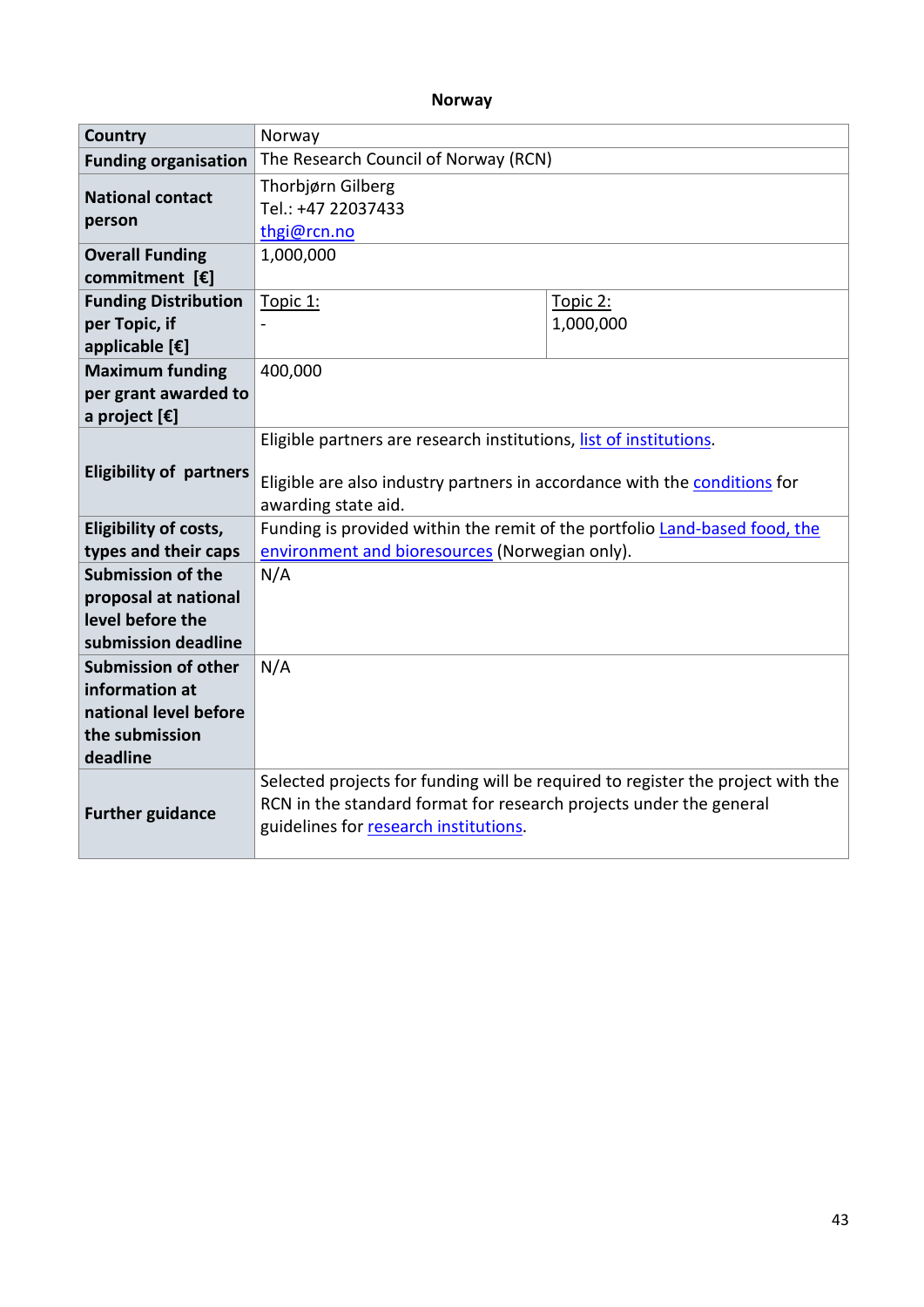#### **Norway**

| Country                                                         | Norway                                                                                                                                                                                         |                       |  |
|-----------------------------------------------------------------|------------------------------------------------------------------------------------------------------------------------------------------------------------------------------------------------|-----------------------|--|
| <b>Funding organisation</b>                                     | The Research Council of Norway (RCN)                                                                                                                                                           |                       |  |
| <b>National contact</b><br>person                               | Thorbjørn Gilberg<br>Tel.: +47 22037433<br>thgi@rcn.no                                                                                                                                         |                       |  |
| <b>Overall Funding</b><br>commitment [€]                        | 1,000,000                                                                                                                                                                                      |                       |  |
| <b>Funding Distribution</b><br>per Topic, if<br>applicable [€]  | Topic 1:                                                                                                                                                                                       | Topic 2:<br>1,000,000 |  |
| <b>Maximum funding</b><br>per grant awarded to<br>a project [€] | 400,000                                                                                                                                                                                        |                       |  |
| <b>Eligibility of partners</b>                                  | Eligible partners are research institutions, list of institutions.<br>Eligible are also industry partners in accordance with the conditions for<br>awarding state aid.                         |                       |  |
| Eligibility of costs,                                           | Funding is provided within the remit of the portfolio Land-based food, the                                                                                                                     |                       |  |
| types and their caps                                            | environment and bioresources (Norwegian only).                                                                                                                                                 |                       |  |
| <b>Submission of the</b>                                        | N/A                                                                                                                                                                                            |                       |  |
| proposal at national                                            |                                                                                                                                                                                                |                       |  |
| level before the                                                |                                                                                                                                                                                                |                       |  |
| submission deadline                                             |                                                                                                                                                                                                |                       |  |
| <b>Submission of other</b>                                      | N/A                                                                                                                                                                                            |                       |  |
| information at<br>national level before                         |                                                                                                                                                                                                |                       |  |
| the submission<br>deadline                                      |                                                                                                                                                                                                |                       |  |
| <b>Further guidance</b>                                         | Selected projects for funding will be required to register the project with the<br>RCN in the standard format for research projects under the general<br>guidelines for research institutions. |                       |  |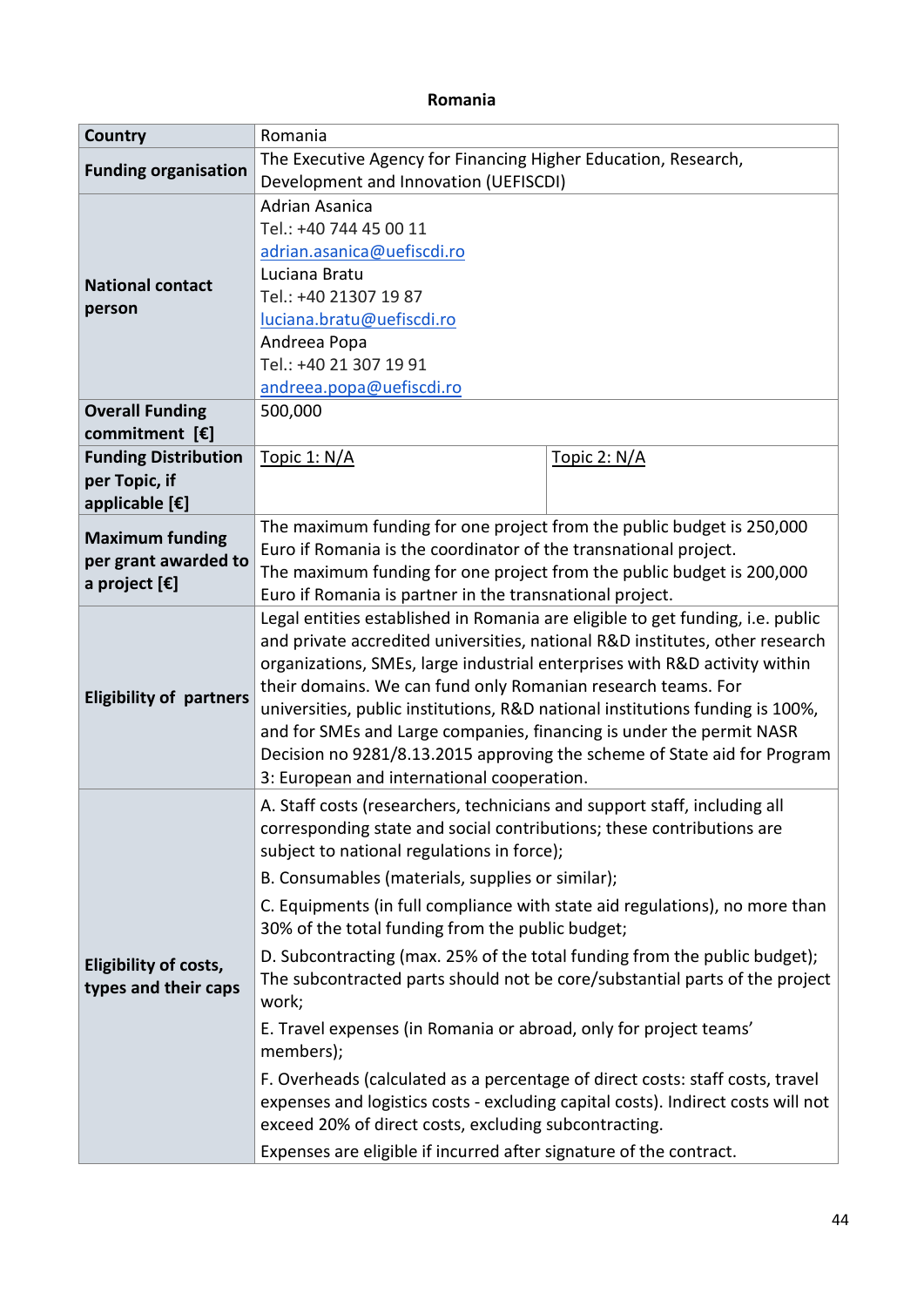#### **Romania**

| Country                          | Romania                                                                                                                                                        |                                                                             |  |  |
|----------------------------------|----------------------------------------------------------------------------------------------------------------------------------------------------------------|-----------------------------------------------------------------------------|--|--|
| <b>Funding organisation</b>      | The Executive Agency for Financing Higher Education, Research,                                                                                                 |                                                                             |  |  |
|                                  | Development and Innovation (UEFISCDI)                                                                                                                          |                                                                             |  |  |
|                                  | <b>Adrian Asanica</b>                                                                                                                                          |                                                                             |  |  |
|                                  | Tel.: +40 744 45 00 11                                                                                                                                         |                                                                             |  |  |
|                                  | adrian.asanica@uefiscdi.ro                                                                                                                                     |                                                                             |  |  |
| <b>National contact</b>          | Luciana Bratu                                                                                                                                                  |                                                                             |  |  |
| person                           | Tel.: +40 21307 19 87                                                                                                                                          |                                                                             |  |  |
|                                  | luciana.bratu@uefiscdi.ro                                                                                                                                      |                                                                             |  |  |
|                                  | Andreea Popa                                                                                                                                                   |                                                                             |  |  |
|                                  | Tel.: +40 21 307 19 91                                                                                                                                         |                                                                             |  |  |
|                                  | andreea.popa@uefiscdi.ro                                                                                                                                       |                                                                             |  |  |
| <b>Overall Funding</b>           | 500,000                                                                                                                                                        |                                                                             |  |  |
| commitment $[\mathbf{\epsilon}]$ |                                                                                                                                                                |                                                                             |  |  |
| <b>Funding Distribution</b>      | Topic 1: N/A                                                                                                                                                   | Topic 2: N/A                                                                |  |  |
| per Topic, if                    |                                                                                                                                                                |                                                                             |  |  |
| applicable [€]                   |                                                                                                                                                                |                                                                             |  |  |
| <b>Maximum funding</b>           | The maximum funding for one project from the public budget is 250,000                                                                                          |                                                                             |  |  |
| per grant awarded to             | Euro if Romania is the coordinator of the transnational project.                                                                                               |                                                                             |  |  |
| a project $[\mathbf{\epsilon}]$  | The maximum funding for one project from the public budget is 200,000                                                                                          |                                                                             |  |  |
|                                  | Euro if Romania is partner in the transnational project.                                                                                                       |                                                                             |  |  |
|                                  | Legal entities established in Romania are eligible to get funding, i.e. public<br>and private accredited universities, national R&D institutes, other research |                                                                             |  |  |
|                                  |                                                                                                                                                                |                                                                             |  |  |
|                                  | organizations, SMEs, large industrial enterprises with R&D activity within                                                                                     |                                                                             |  |  |
| <b>Eligibility of partners</b>   | their domains. We can fund only Romanian research teams. For                                                                                                   |                                                                             |  |  |
|                                  | universities, public institutions, R&D national institutions funding is 100%,<br>and for SMEs and Large companies, financing is under the permit NASR          |                                                                             |  |  |
|                                  |                                                                                                                                                                |                                                                             |  |  |
|                                  | Decision no 9281/8.13.2015 approving the scheme of State aid for Program<br>3: European and international cooperation.                                         |                                                                             |  |  |
|                                  |                                                                                                                                                                |                                                                             |  |  |
|                                  | A. Staff costs (researchers, technicians and support staff, including all                                                                                      |                                                                             |  |  |
|                                  | corresponding state and social contributions; these contributions are                                                                                          |                                                                             |  |  |
|                                  | subject to national regulations in force);                                                                                                                     |                                                                             |  |  |
|                                  | B. Consumables (materials, supplies or similar);                                                                                                               |                                                                             |  |  |
|                                  | C. Equipments (in full compliance with state aid regulations), no more than                                                                                    |                                                                             |  |  |
|                                  | 30% of the total funding from the public budget;                                                                                                               |                                                                             |  |  |
| Eligibility of costs,            | D. Subcontracting (max. 25% of the total funding from the public budget);                                                                                      |                                                                             |  |  |
| types and their caps             |                                                                                                                                                                | The subcontracted parts should not be core/substantial parts of the project |  |  |
|                                  | work;                                                                                                                                                          |                                                                             |  |  |
|                                  | E. Travel expenses (in Romania or abroad, only for project teams'                                                                                              |                                                                             |  |  |
|                                  | members);                                                                                                                                                      |                                                                             |  |  |
|                                  | F. Overheads (calculated as a percentage of direct costs: staff costs, travel                                                                                  |                                                                             |  |  |
|                                  | expenses and logistics costs - excluding capital costs). Indirect costs will not                                                                               |                                                                             |  |  |
|                                  | exceed 20% of direct costs, excluding subcontracting.                                                                                                          |                                                                             |  |  |
|                                  | Expenses are eligible if incurred after signature of the contract.                                                                                             |                                                                             |  |  |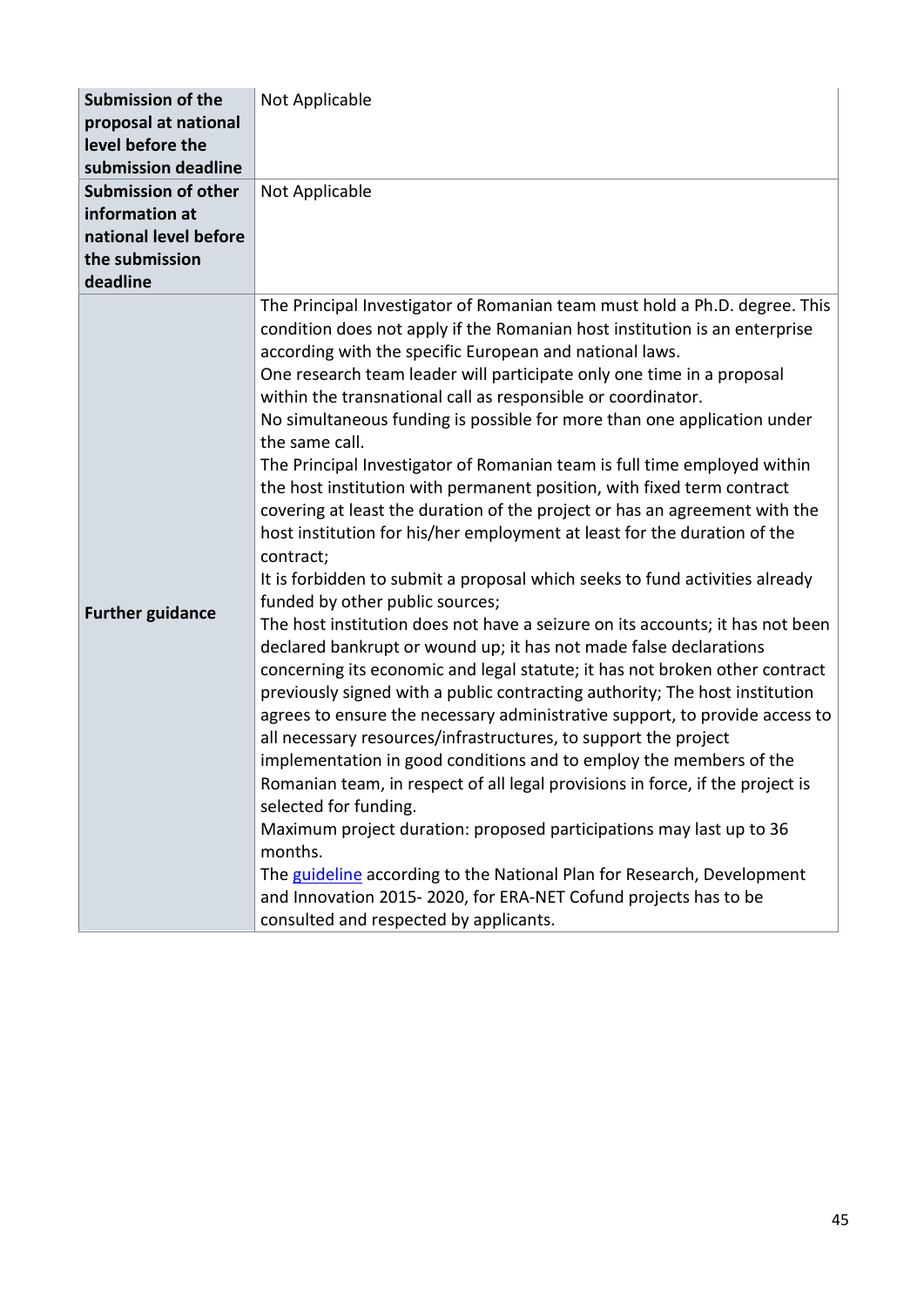| <b>Submission of the</b><br>proposal at national                                                    | Not Applicable                                                                                                                                                                                                                                                                                                                                                                                                                                                                                                                                                                                                                                                                                                                                                                                                                                                                                                                                                                                                                                                                                                                                                                                                                                                                                                                                                                                                                                                                                                                                                                                                                                                                                                                                                                                                                          |
|-----------------------------------------------------------------------------------------------------|-----------------------------------------------------------------------------------------------------------------------------------------------------------------------------------------------------------------------------------------------------------------------------------------------------------------------------------------------------------------------------------------------------------------------------------------------------------------------------------------------------------------------------------------------------------------------------------------------------------------------------------------------------------------------------------------------------------------------------------------------------------------------------------------------------------------------------------------------------------------------------------------------------------------------------------------------------------------------------------------------------------------------------------------------------------------------------------------------------------------------------------------------------------------------------------------------------------------------------------------------------------------------------------------------------------------------------------------------------------------------------------------------------------------------------------------------------------------------------------------------------------------------------------------------------------------------------------------------------------------------------------------------------------------------------------------------------------------------------------------------------------------------------------------------------------------------------------------|
| level before the<br>submission deadline                                                             |                                                                                                                                                                                                                                                                                                                                                                                                                                                                                                                                                                                                                                                                                                                                                                                                                                                                                                                                                                                                                                                                                                                                                                                                                                                                                                                                                                                                                                                                                                                                                                                                                                                                                                                                                                                                                                         |
| <b>Submission of other</b><br>information at<br>national level before<br>the submission<br>deadline | Not Applicable                                                                                                                                                                                                                                                                                                                                                                                                                                                                                                                                                                                                                                                                                                                                                                                                                                                                                                                                                                                                                                                                                                                                                                                                                                                                                                                                                                                                                                                                                                                                                                                                                                                                                                                                                                                                                          |
| <b>Further guidance</b>                                                                             | The Principal Investigator of Romanian team must hold a Ph.D. degree. This<br>condition does not apply if the Romanian host institution is an enterprise<br>according with the specific European and national laws.<br>One research team leader will participate only one time in a proposal<br>within the transnational call as responsible or coordinator.<br>No simultaneous funding is possible for more than one application under<br>the same call.<br>The Principal Investigator of Romanian team is full time employed within<br>the host institution with permanent position, with fixed term contract<br>covering at least the duration of the project or has an agreement with the<br>host institution for his/her employment at least for the duration of the<br>contract;<br>It is forbidden to submit a proposal which seeks to fund activities already<br>funded by other public sources;<br>The host institution does not have a seizure on its accounts; it has not been<br>declared bankrupt or wound up; it has not made false declarations<br>concerning its economic and legal statute; it has not broken other contract<br>previously signed with a public contracting authority; The host institution<br>agrees to ensure the necessary administrative support, to provide access to<br>all necessary resources/infrastructures, to support the project<br>implementation in good conditions and to employ the members of the<br>Romanian team, in respect of all legal provisions in force, if the project is<br>selected for funding.<br>Maximum project duration: proposed participations may last up to 36<br>months.<br>The guideline according to the National Plan for Research, Development<br>and Innovation 2015-2020, for ERA-NET Cofund projects has to be<br>consulted and respected by applicants. |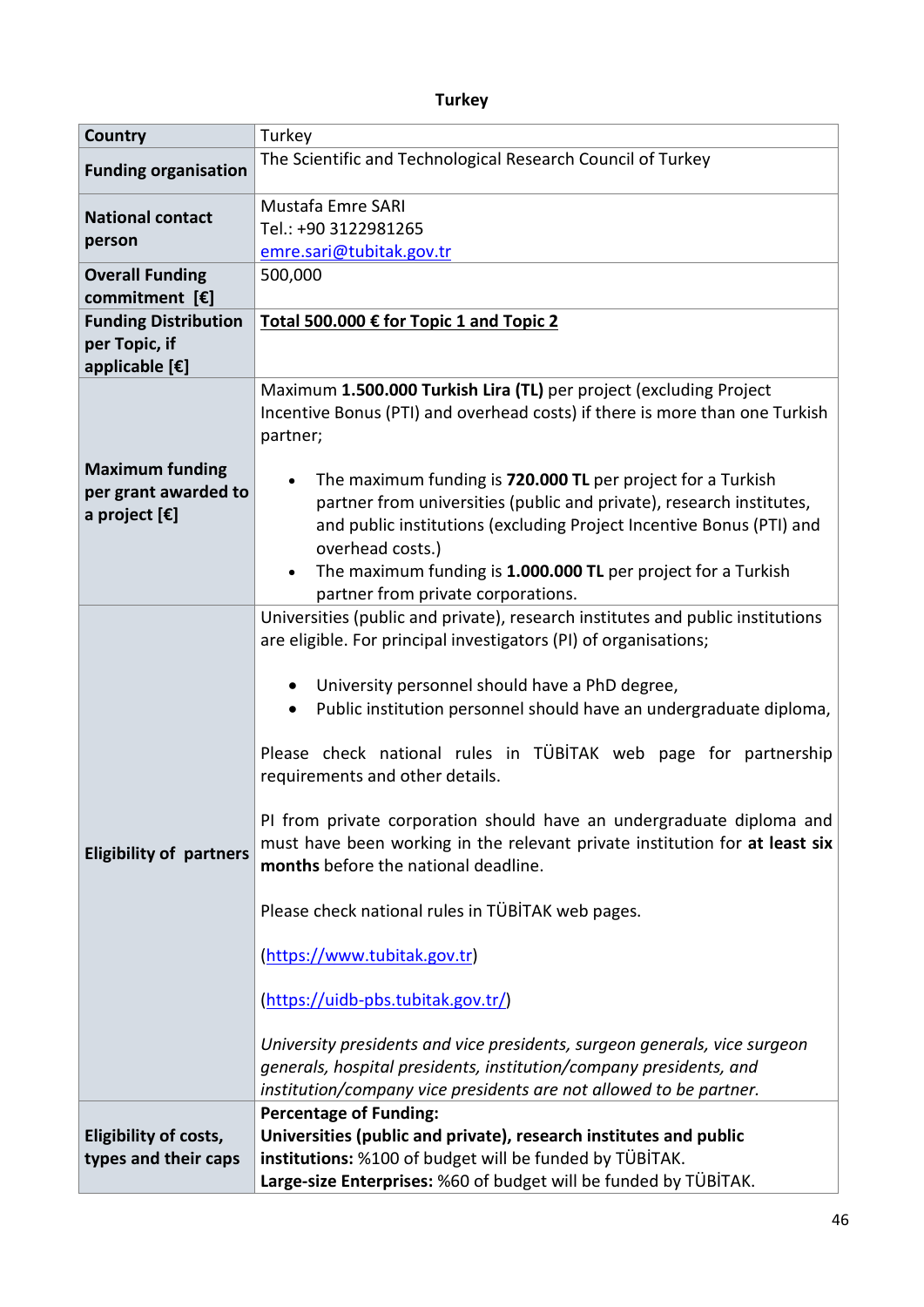# **Turkey**

| <b>Country</b>                                                                    | Turkey                                                                                                                                                                                                                                                                                                                                                                                                                                                                                                                                                                                                                                                                                                                                                                                                                                                                                                                              |  |  |
|-----------------------------------------------------------------------------------|-------------------------------------------------------------------------------------------------------------------------------------------------------------------------------------------------------------------------------------------------------------------------------------------------------------------------------------------------------------------------------------------------------------------------------------------------------------------------------------------------------------------------------------------------------------------------------------------------------------------------------------------------------------------------------------------------------------------------------------------------------------------------------------------------------------------------------------------------------------------------------------------------------------------------------------|--|--|
| <b>Funding organisation</b>                                                       | The Scientific and Technological Research Council of Turkey                                                                                                                                                                                                                                                                                                                                                                                                                                                                                                                                                                                                                                                                                                                                                                                                                                                                         |  |  |
| <b>National contact</b><br>person                                                 | Mustafa Emre SARI<br>Tel.: +90 3122981265<br>emre.sari@tubitak.gov.tr                                                                                                                                                                                                                                                                                                                                                                                                                                                                                                                                                                                                                                                                                                                                                                                                                                                               |  |  |
| <b>Overall Funding</b><br>commitment $[\mathbf{\epsilon}]$                        | 500,000                                                                                                                                                                                                                                                                                                                                                                                                                                                                                                                                                                                                                                                                                                                                                                                                                                                                                                                             |  |  |
| <b>Funding Distribution</b>                                                       | Total 500.000 € for Topic 1 and Topic 2                                                                                                                                                                                                                                                                                                                                                                                                                                                                                                                                                                                                                                                                                                                                                                                                                                                                                             |  |  |
| per Topic, if                                                                     |                                                                                                                                                                                                                                                                                                                                                                                                                                                                                                                                                                                                                                                                                                                                                                                                                                                                                                                                     |  |  |
| applicable [€]                                                                    |                                                                                                                                                                                                                                                                                                                                                                                                                                                                                                                                                                                                                                                                                                                                                                                                                                                                                                                                     |  |  |
|                                                                                   | Maximum 1.500.000 Turkish Lira (TL) per project (excluding Project<br>Incentive Bonus (PTI) and overhead costs) if there is more than one Turkish<br>partner;                                                                                                                                                                                                                                                                                                                                                                                                                                                                                                                                                                                                                                                                                                                                                                       |  |  |
| <b>Maximum funding</b><br>per grant awarded to<br>a project $[\mathbf{\epsilon}]$ | The maximum funding is 720.000 TL per project for a Turkish<br>partner from universities (public and private), research institutes,<br>and public institutions (excluding Project Incentive Bonus (PTI) and<br>overhead costs.)<br>The maximum funding is 1.000.000 TL per project for a Turkish<br>$\bullet$<br>partner from private corporations.                                                                                                                                                                                                                                                                                                                                                                                                                                                                                                                                                                                 |  |  |
| <b>Eligibility of partners</b>                                                    | Universities (public and private), research institutes and public institutions<br>are eligible. For principal investigators (PI) of organisations;<br>University personnel should have a PhD degree,<br>Public institution personnel should have an undergraduate diploma,<br>Please check national rules in TÜBİTAK web page for partnership<br>requirements and other details.<br>PI from private corporation should have an undergraduate diploma and<br>must have been working in the relevant private institution for at least six<br>months before the national deadline.<br>Please check national rules in TÜBİTAK web pages.<br>(https://www.tubitak.gov.tr)<br>(https://uidb-pbs.tubitak.gov.tr/)<br>University presidents and vice presidents, surgeon generals, vice surgeon<br>generals, hospital presidents, institution/company presidents, and<br>institution/company vice presidents are not allowed to be partner. |  |  |
| Eligibility of costs,<br>types and their caps                                     | <b>Percentage of Funding:</b><br>Universities (public and private), research institutes and public<br>institutions: %100 of budget will be funded by TÜBİTAK.<br>Large-size Enterprises: %60 of budget will be funded by TÜBİTAK.                                                                                                                                                                                                                                                                                                                                                                                                                                                                                                                                                                                                                                                                                                   |  |  |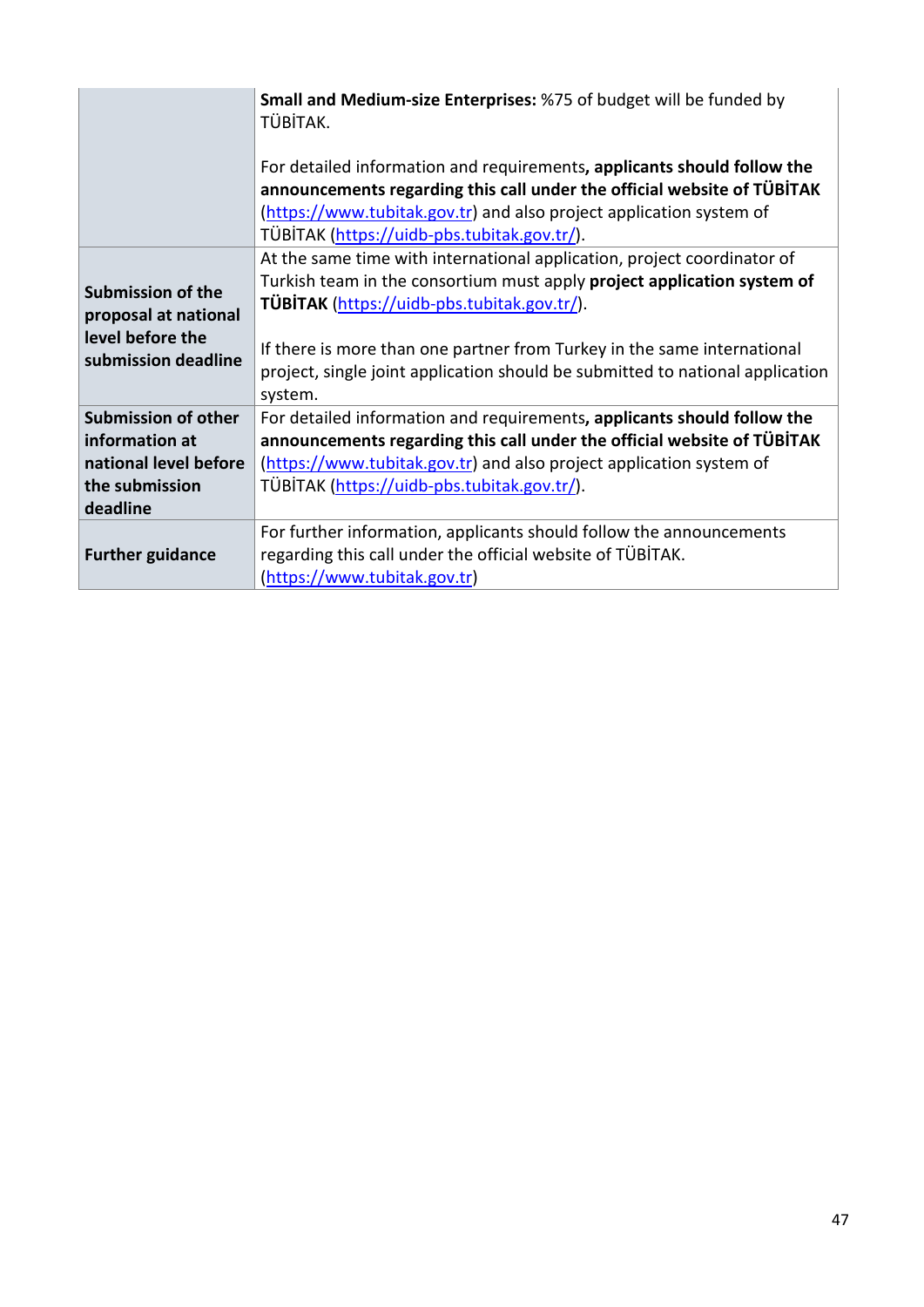|                                                                                             | Small and Medium-size Enterprises: %75 of budget will be funded by<br>TÜBİTAK.<br>For detailed information and requirements, applicants should follow the                                                                                                                                                                                                                |  |  |
|---------------------------------------------------------------------------------------------|--------------------------------------------------------------------------------------------------------------------------------------------------------------------------------------------------------------------------------------------------------------------------------------------------------------------------------------------------------------------------|--|--|
|                                                                                             | announcements regarding this call under the official website of TÜBITAK                                                                                                                                                                                                                                                                                                  |  |  |
|                                                                                             | (https://www.tubitak.gov.tr) and also project application system of<br>TÜBİTAK (https://uidb-pbs.tubitak.gov.tr/).                                                                                                                                                                                                                                                       |  |  |
| <b>Submission of the</b><br>proposal at national<br>level before the<br>submission deadline | At the same time with international application, project coordinator of<br>Turkish team in the consortium must apply project application system of<br>TÜBİTAK (https://uidb-pbs.tubitak.gov.tr/).<br>If there is more than one partner from Turkey in the same international<br>project, single joint application should be submitted to national application<br>system. |  |  |
| <b>Submission of other</b>                                                                  | For detailed information and requirements, applicants should follow the                                                                                                                                                                                                                                                                                                  |  |  |
| information at                                                                              | announcements regarding this call under the official website of TÜBİTAK                                                                                                                                                                                                                                                                                                  |  |  |
| national level before                                                                       | (https://www.tubitak.gov.tr) and also project application system of                                                                                                                                                                                                                                                                                                      |  |  |
| the submission                                                                              | TÜBİTAK (https://uidb-pbs.tubitak.gov.tr/).                                                                                                                                                                                                                                                                                                                              |  |  |
| deadline                                                                                    |                                                                                                                                                                                                                                                                                                                                                                          |  |  |
| <b>Further guidance</b>                                                                     | For further information, applicants should follow the announcements<br>regarding this call under the official website of TÜBİTAK.<br>(https://www.tubitak.gov.tr)                                                                                                                                                                                                        |  |  |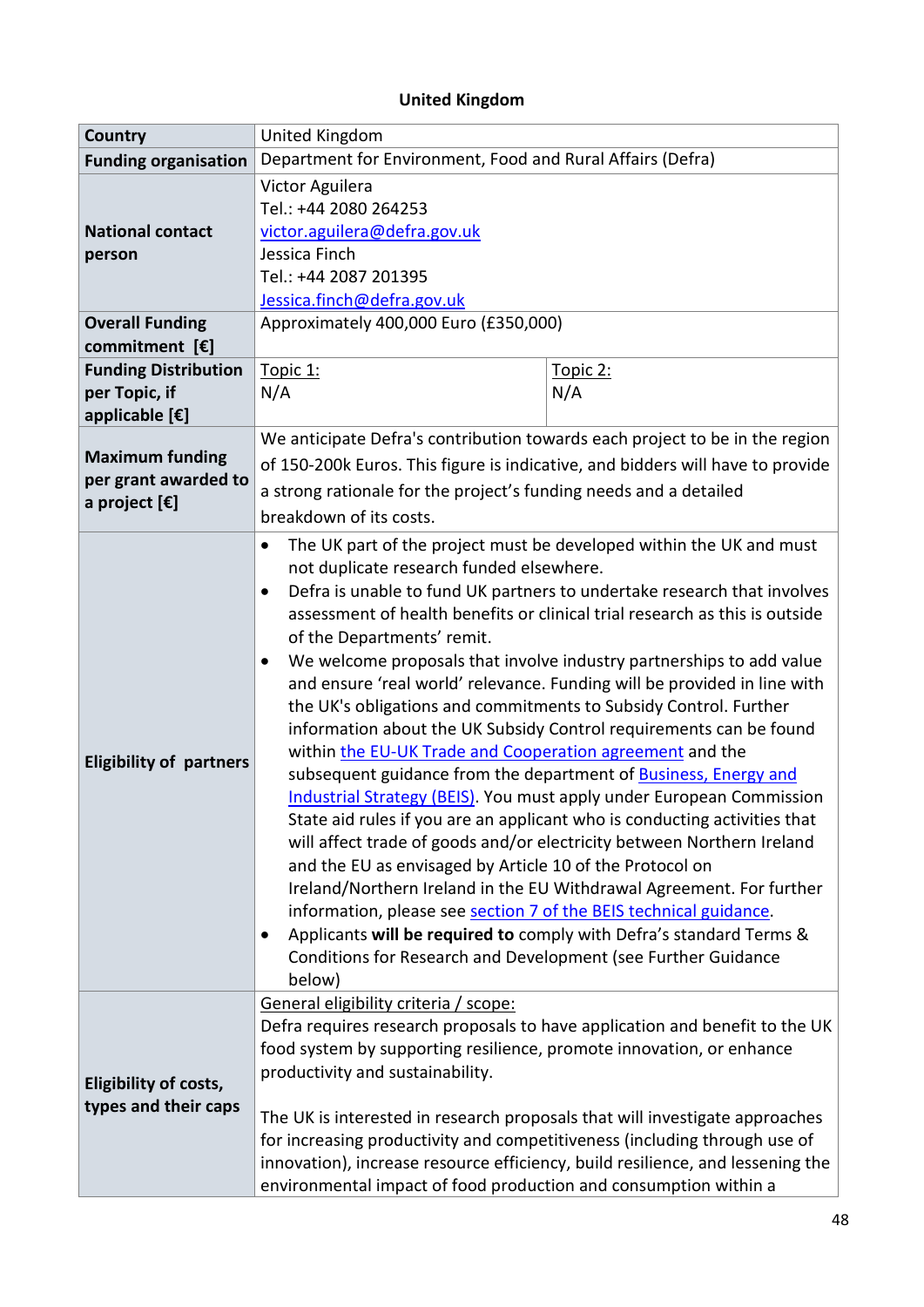# **United Kingdom**

| <b>Country</b>                                                  | United Kingdom                                                                                                                                                                                                                                                                                                                                                                                                                                                                                                                                                                                                                                                                                                                                                                                                                                                                                                                                                                                                                                                                                                                                                                                                                                                                                                                                                                                 |                 |  |
|-----------------------------------------------------------------|------------------------------------------------------------------------------------------------------------------------------------------------------------------------------------------------------------------------------------------------------------------------------------------------------------------------------------------------------------------------------------------------------------------------------------------------------------------------------------------------------------------------------------------------------------------------------------------------------------------------------------------------------------------------------------------------------------------------------------------------------------------------------------------------------------------------------------------------------------------------------------------------------------------------------------------------------------------------------------------------------------------------------------------------------------------------------------------------------------------------------------------------------------------------------------------------------------------------------------------------------------------------------------------------------------------------------------------------------------------------------------------------|-----------------|--|
| <b>Funding organisation</b>                                     | Department for Environment, Food and Rural Affairs (Defra)                                                                                                                                                                                                                                                                                                                                                                                                                                                                                                                                                                                                                                                                                                                                                                                                                                                                                                                                                                                                                                                                                                                                                                                                                                                                                                                                     |                 |  |
| <b>National contact</b><br>person                               | Victor Aguilera<br>Tel.: +44 2080 264253<br>victor.aguilera@defra.gov.uk<br>Jessica Finch<br>Tel.: +44 2087 201395<br>Jessica.finch@defra.gov.uk                                                                                                                                                                                                                                                                                                                                                                                                                                                                                                                                                                                                                                                                                                                                                                                                                                                                                                                                                                                                                                                                                                                                                                                                                                               |                 |  |
| <b>Overall Funding</b><br>commitment $[\mathbf{\epsilon}]$      | Approximately 400,000 Euro (£350,000)                                                                                                                                                                                                                                                                                                                                                                                                                                                                                                                                                                                                                                                                                                                                                                                                                                                                                                                                                                                                                                                                                                                                                                                                                                                                                                                                                          |                 |  |
| <b>Funding Distribution</b><br>per Topic, if<br>applicable [€]  | Topic 1:<br>N/A                                                                                                                                                                                                                                                                                                                                                                                                                                                                                                                                                                                                                                                                                                                                                                                                                                                                                                                                                                                                                                                                                                                                                                                                                                                                                                                                                                                | Topic 2:<br>N/A |  |
| <b>Maximum funding</b><br>per grant awarded to<br>a project [€] | We anticipate Defra's contribution towards each project to be in the region<br>of 150-200k Euros. This figure is indicative, and bidders will have to provide<br>a strong rationale for the project's funding needs and a detailed                                                                                                                                                                                                                                                                                                                                                                                                                                                                                                                                                                                                                                                                                                                                                                                                                                                                                                                                                                                                                                                                                                                                                             |                 |  |
| <b>Eligibility of partners</b>                                  | breakdown of its costs.<br>The UK part of the project must be developed within the UK and must<br>$\bullet$<br>not duplicate research funded elsewhere.<br>Defra is unable to fund UK partners to undertake research that involves<br>$\bullet$<br>assessment of health benefits or clinical trial research as this is outside<br>of the Departments' remit.<br>We welcome proposals that involve industry partnerships to add value<br>$\bullet$<br>and ensure 'real world' relevance. Funding will be provided in line with<br>the UK's obligations and commitments to Subsidy Control. Further<br>information about the UK Subsidy Control requirements can be found<br>within the EU-UK Trade and Cooperation agreement and the<br>subsequent guidance from the department of <b>Business</b> , Energy and<br>Industrial Strategy (BEIS). You must apply under European Commission<br>State aid rules if you are an applicant who is conducting activities that<br>will affect trade of goods and/or electricity between Northern Ireland<br>and the EU as envisaged by Article 10 of the Protocol on<br>Ireland/Northern Ireland in the EU Withdrawal Agreement. For further<br>information, please see section 7 of the BEIS technical guidance.<br>Applicants will be required to comply with Defra's standard Terms &<br>Conditions for Research and Development (see Further Guidance |                 |  |
| Eligibility of costs,<br>types and their caps                   | below)<br>General eligibility criteria / scope:<br>Defra requires research proposals to have application and benefit to the UK<br>food system by supporting resilience, promote innovation, or enhance<br>productivity and sustainability.<br>The UK is interested in research proposals that will investigate approaches<br>for increasing productivity and competitiveness (including through use of<br>innovation), increase resource efficiency, build resilience, and lessening the<br>environmental impact of food production and consumption within a                                                                                                                                                                                                                                                                                                                                                                                                                                                                                                                                                                                                                                                                                                                                                                                                                                   |                 |  |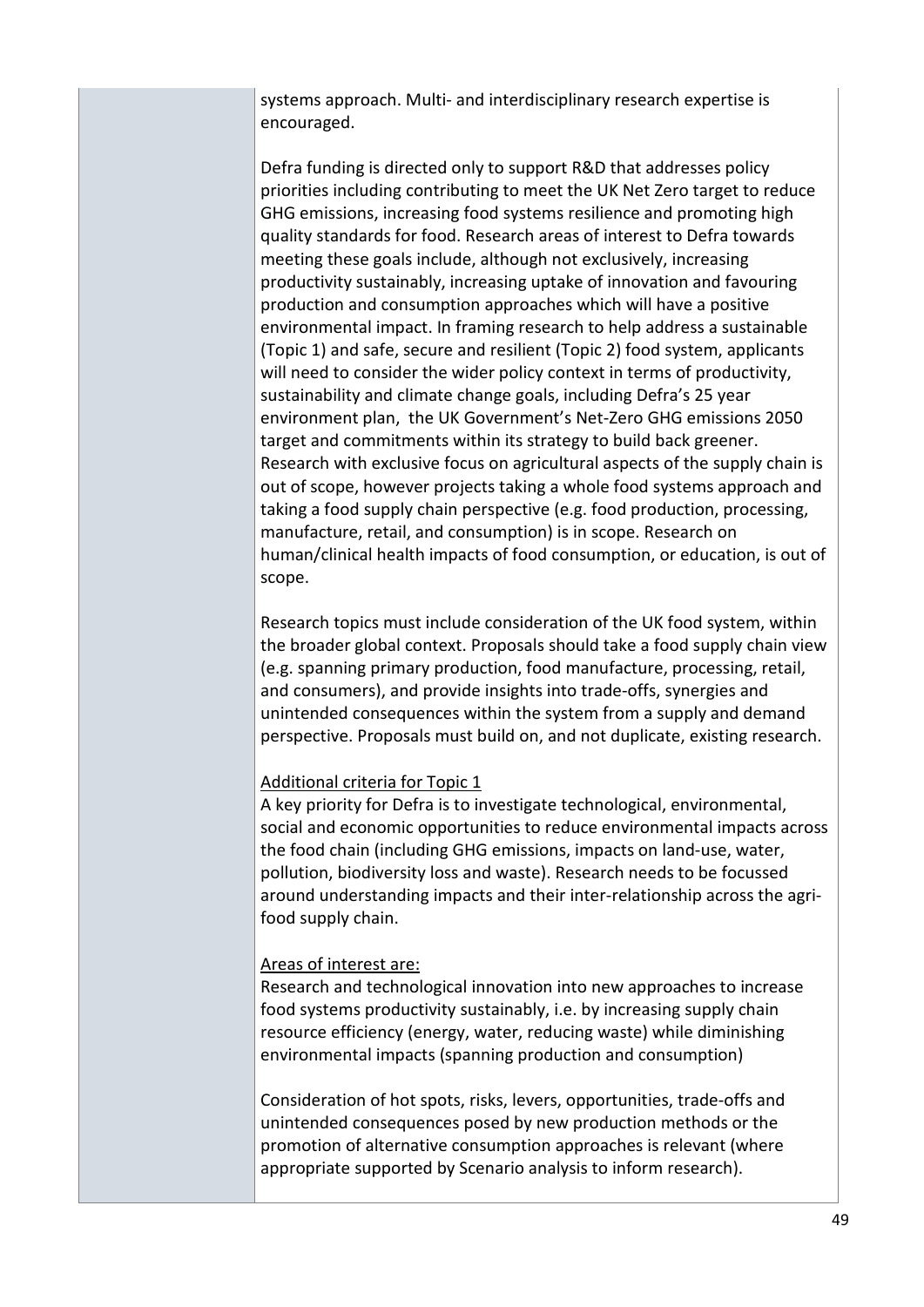systems approach. Multi- and interdisciplinary research expertise is encouraged.

Defra funding is directed only to support R&D that addresses policy priorities including contributing to meet the UK Net Zero target to reduce GHG emissions, increasing food systems resilience and promoting high quality standards for food. Research areas of interest to Defra towards meeting these goals include, although not exclusively, increasing productivity sustainably, increasing uptake of innovation and favouring production and consumption approaches which will have a positive environmental impact. In framing research to help address a sustainable (Topic 1) and safe, secure and resilient (Topic 2) food system, applicants will need to consider the wider policy context in terms of productivity, sustainability and climate change goals, including Defra's 25 year environment plan, the UK Government's Net-Zero GHG emissions 2050 target and commitments within its strategy to build back greener. Research with exclusive focus on agricultural aspects of the supply chain is out of scope, however projects taking a whole food systems approach and taking a food supply chain perspective (e.g. food production, processing, manufacture, retail, and consumption) is in scope. Research on human/clinical health impacts of food consumption, or education, is out of scope.

Research topics must include consideration of the UK food system, within the broader global context. Proposals should take a food supply chain view (e.g. spanning primary production, food manufacture, processing, retail, and consumers), and provide insights into trade-offs, synergies and unintended consequences within the system from a supply and demand perspective. Proposals must build on, and not duplicate, existing research.

#### Additional criteria for Topic 1

A key priority for Defra is to investigate technological, environmental, social and economic opportunities to reduce environmental impacts across the food chain (including GHG emissions, impacts on land-use, water, pollution, biodiversity loss and waste). Research needs to be focussed around understanding impacts and their inter-relationship across the agrifood supply chain.

#### Areas of interest are:

Research and technological innovation into new approaches to increase food systems productivity sustainably, i.e. by increasing supply chain resource efficiency (energy, water, reducing waste) while diminishing environmental impacts (spanning production and consumption)

Consideration of hot spots, risks, levers, opportunities, trade-offs and unintended consequences posed by new production methods or the promotion of alternative consumption approaches is relevant (where appropriate supported by Scenario analysis to inform research).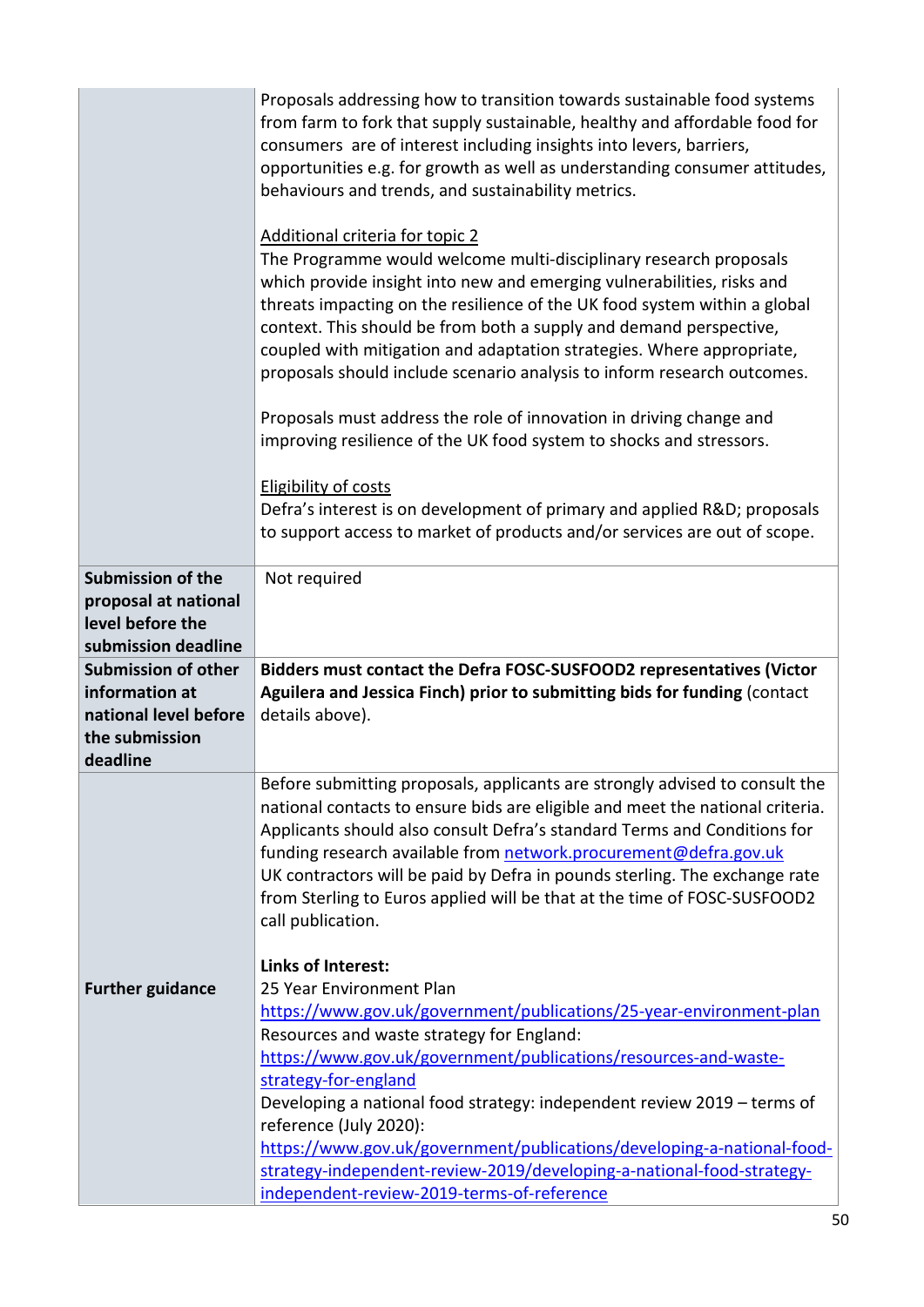|                                                                                                     | Proposals addressing how to transition towards sustainable food systems<br>from farm to fork that supply sustainable, healthy and affordable food for<br>consumers are of interest including insights into levers, barriers,<br>opportunities e.g. for growth as well as understanding consumer attitudes,<br>behaviours and trends, and sustainability metrics.<br>Additional criteria for topic 2<br>The Programme would welcome multi-disciplinary research proposals<br>which provide insight into new and emerging vulnerabilities, risks and<br>threats impacting on the resilience of the UK food system within a global<br>context. This should be from both a supply and demand perspective,<br>coupled with mitigation and adaptation strategies. Where appropriate,<br>proposals should include scenario analysis to inform research outcomes.<br>Proposals must address the role of innovation in driving change and<br>improving resilience of the UK food system to shocks and stressors.<br><b>Eligibility of costs</b><br>Defra's interest is on development of primary and applied R&D proposals |
|-----------------------------------------------------------------------------------------------------|-------------------------------------------------------------------------------------------------------------------------------------------------------------------------------------------------------------------------------------------------------------------------------------------------------------------------------------------------------------------------------------------------------------------------------------------------------------------------------------------------------------------------------------------------------------------------------------------------------------------------------------------------------------------------------------------------------------------------------------------------------------------------------------------------------------------------------------------------------------------------------------------------------------------------------------------------------------------------------------------------------------------------------------------------------------------------------------------------------------------|
|                                                                                                     | to support access to market of products and/or services are out of scope.                                                                                                                                                                                                                                                                                                                                                                                                                                                                                                                                                                                                                                                                                                                                                                                                                                                                                                                                                                                                                                         |
| <b>Submission of the</b><br>proposal at national<br>level before the<br>submission deadline         | Not required                                                                                                                                                                                                                                                                                                                                                                                                                                                                                                                                                                                                                                                                                                                                                                                                                                                                                                                                                                                                                                                                                                      |
| <b>Submission of other</b><br>information at<br>national level before<br>the submission<br>deadline | Bidders must contact the Defra FOSC-SUSFOOD2 representatives (Victor<br>Aguilera and Jessica Finch) prior to submitting bids for funding (contact<br>details above).                                                                                                                                                                                                                                                                                                                                                                                                                                                                                                                                                                                                                                                                                                                                                                                                                                                                                                                                              |
|                                                                                                     | Before submitting proposals, applicants are strongly advised to consult the<br>national contacts to ensure bids are eligible and meet the national criteria.<br>Applicants should also consult Defra's standard Terms and Conditions for<br>funding research available from network.procurement@defra.gov.uk<br>UK contractors will be paid by Defra in pounds sterling. The exchange rate<br>from Sterling to Euros applied will be that at the time of FOSC-SUSFOOD2<br>call publication.<br><b>Links of Interest:</b>                                                                                                                                                                                                                                                                                                                                                                                                                                                                                                                                                                                          |
| <b>Further guidance</b>                                                                             | 25 Year Environment Plan<br>https://www.gov.uk/government/publications/25-year-environment-plan<br>Resources and waste strategy for England:<br>https://www.gov.uk/government/publications/resources-and-waste-<br>strategy-for-england<br>Developing a national food strategy: independent review 2019 - terms of<br>reference (July 2020):<br>https://www.gov.uk/government/publications/developing-a-national-food-<br>strategy-independent-review-2019/developing-a-national-food-strategy-<br>independent-review-2019-terms-of-reference                                                                                                                                                                                                                                                                                                                                                                                                                                                                                                                                                                     |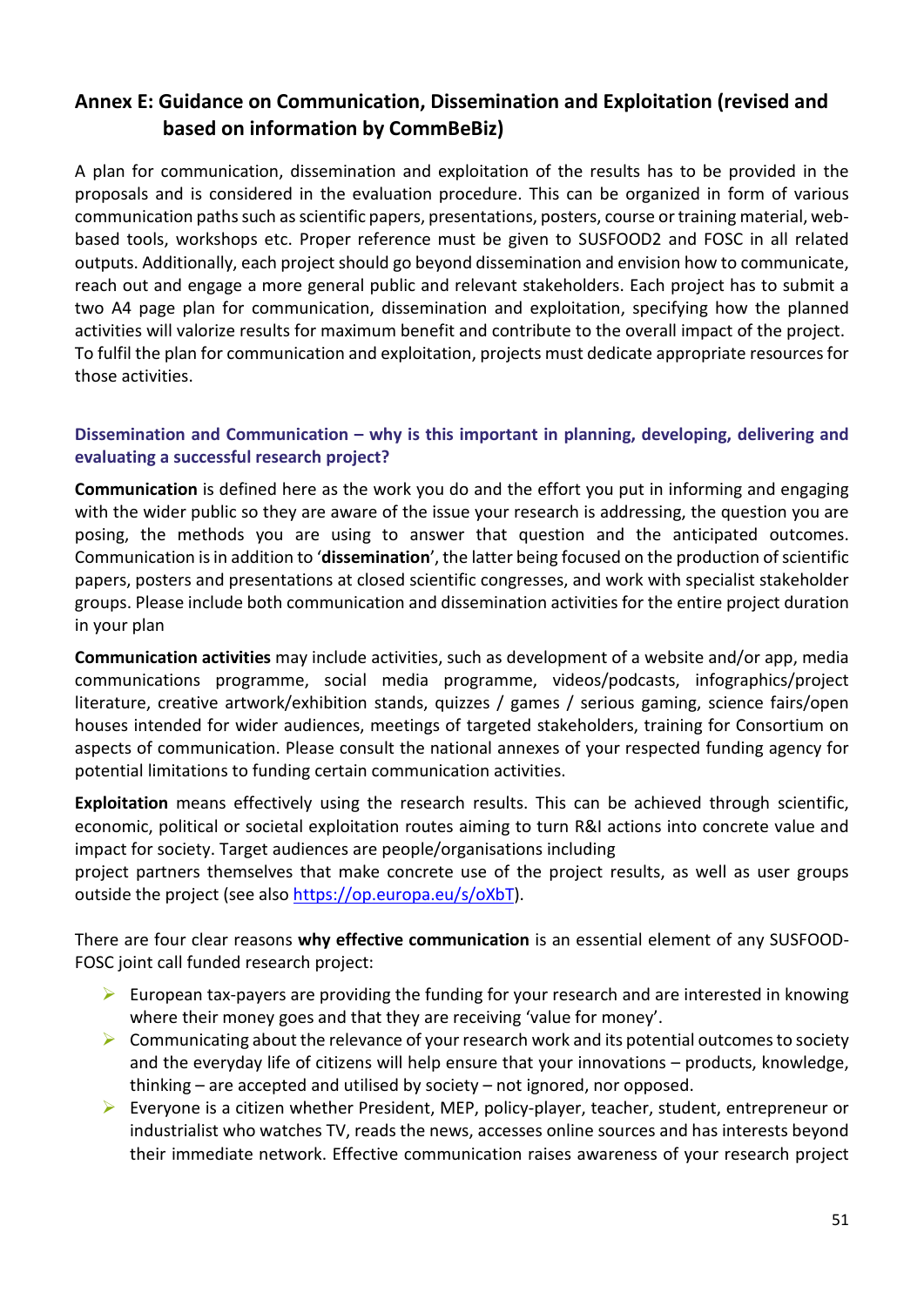# <span id="page-50-0"></span>**Annex E: Guidance on Communication, Dissemination and Exploitation (revised and based on information by CommBeBiz)**

A plan for communication, dissemination and exploitation of the results has to be provided in the proposals and is considered in the evaluation procedure. This can be organized in form of various communication paths such as scientific papers, presentations, posters, course or training material, webbased tools, workshops etc. Proper reference must be given to SUSFOOD2 and FOSC in all related outputs. Additionally, each project should go beyond dissemination and envision how to communicate, reach out and engage a more general public and relevant stakeholders. Each project has to submit a two A4 page plan for communication, dissemination and exploitation, specifying how the planned activities will valorize results for maximum benefit and contribute to the overall impact of the project. To fulfil the plan for communication and exploitation, projects must dedicate appropriate resources for those activities.

#### **Dissemination and Communication – why is this important in planning, developing, delivering and evaluating a successful research project?**

**Communication** is defined here as the work you do and the effort you put in informing and engaging with the wider public so they are aware of the issue your research is addressing, the question you are posing, the methods you are using to answer that question and the anticipated outcomes. Communication is in addition to '**dissemination**', the latter being focused on the production of scientific papers, posters and presentations at closed scientific congresses, and work with specialist stakeholder groups. Please include both communication and dissemination activities for the entire project duration in your plan

**Communication activities** may include activities, such as development of a website and/or app, media communications programme, social media programme, videos/podcasts, infographics/project literature, creative artwork/exhibition stands, quizzes / games / serious gaming, science fairs/open houses intended for wider audiences, meetings of targeted stakeholders, training for Consortium on aspects of communication. Please consult the national annexes of your respected funding agency for potential limitations to funding certain communication activities.

**Exploitation** means effectively using the research results. This can be achieved through scientific, economic, political or societal exploitation routes aiming to turn R&I actions into concrete value and impact for society. Target audiences are people/organisations including

project partners themselves that make concrete use of the project results, as well as user groups outside the project (see also [https://op.europa.eu/s/oXbT\)](https://op.europa.eu/s/oXbT).

There are four clear reasons **why effective communication** is an essential element of any SUSFOOD-FOSC joint call funded research project:

- $\triangleright$  European tax-payers are providing the funding for your research and are interested in knowing where their money goes and that they are receiving 'value for money'.
- $\triangleright$  Communicating about the relevance of your research work and its potential outcomes to society and the everyday life of citizens will help ensure that your innovations – products, knowledge, thinking – are accepted and utilised by society – not ignored, nor opposed.
- $\triangleright$  Everyone is a citizen whether President, MEP, policy-player, teacher, student, entrepreneur or industrialist who watches TV, reads the news, accesses online sources and has interests beyond their immediate network. Effective communication raises awareness of your research project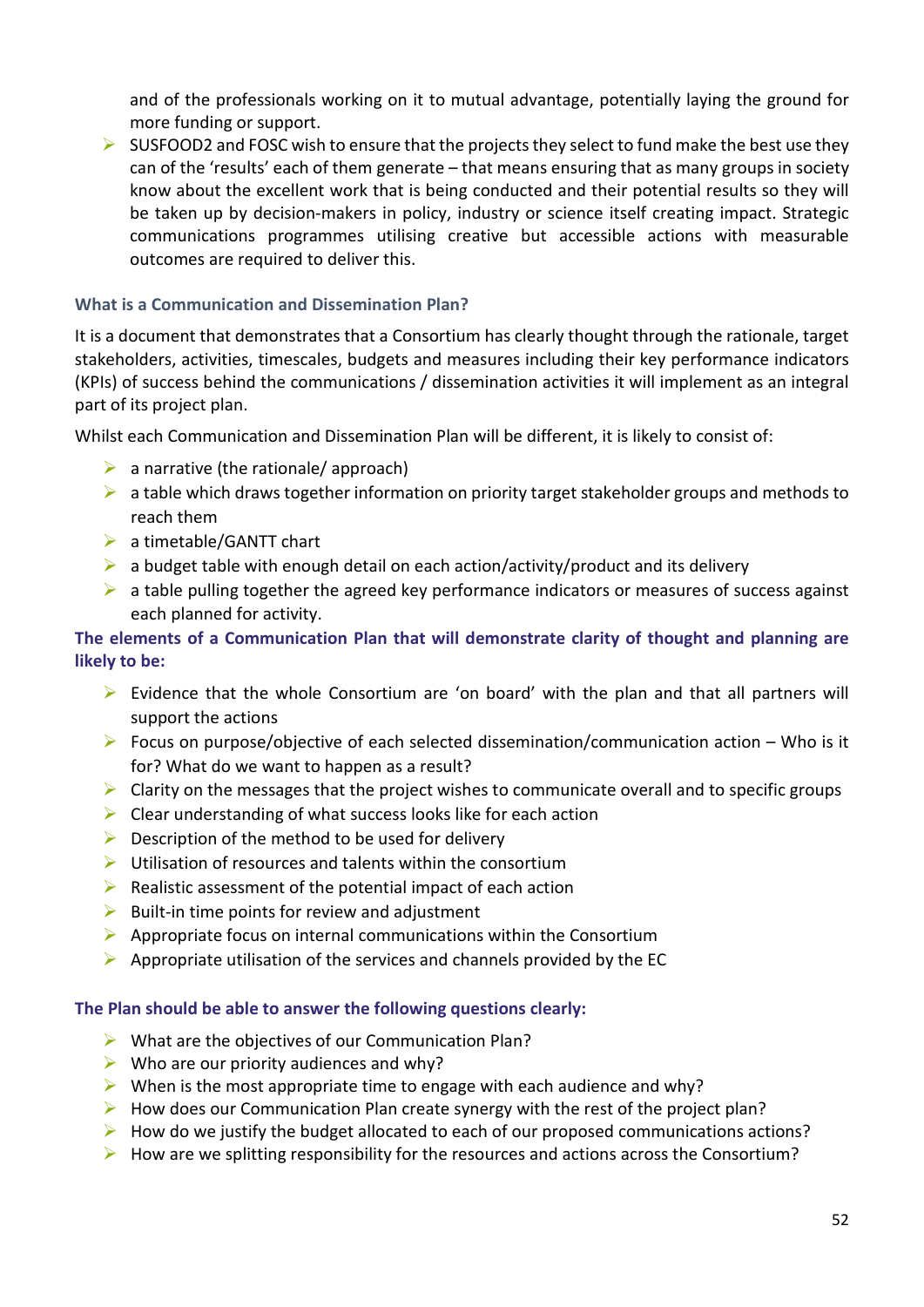and of the professionals working on it to mutual advantage, potentially laying the ground for more funding or support.

 $\triangleright$  SUSFOOD2 and FOSC wish to ensure that the projects they select to fund make the best use they can of the 'results' each of them generate – that means ensuring that as many groups in society know about the excellent work that is being conducted and their potential results so they will be taken up by decision-makers in policy, industry or science itself creating impact. Strategic communications programmes utilising creative but accessible actions with measurable outcomes are required to deliver this.

#### **What is a Communication and Dissemination Plan?**

It is a document that demonstrates that a Consortium has clearly thought through the rationale, target stakeholders, activities, timescales, budgets and measures including their key performance indicators (KPIs) of success behind the communications / dissemination activities it will implement as an integral part of its project plan.

Whilst each Communication and Dissemination Plan will be different, it is likely to consist of:

- $\triangleright$  a narrative (the rationale/ approach)
- $\triangleright$  a table which draws together information on priority target stakeholder groups and methods to reach them
- a timetable/GANTT chart
- $\triangleright$  a budget table with enough detail on each action/activity/product and its delivery
- $\triangleright$  a table pulling together the agreed key performance indicators or measures of success against each planned for activity.

#### **The elements of a Communication Plan that will demonstrate clarity of thought and planning are likely to be:**

- $\triangleright$  Evidence that the whole Consortium are 'on board' with the plan and that all partners will support the actions
- Focus on purpose/objective of each selected dissemination/communication action Who is it for? What do we want to happen as a result?
- $\triangleright$  Clarity on the messages that the project wishes to communicate overall and to specific groups
- $\triangleright$  Clear understanding of what success looks like for each action
- $\triangleright$  Description of the method to be used for delivery
- $\triangleright$  Utilisation of resources and talents within the consortium
- $\triangleright$  Realistic assessment of the potential impact of each action
- $\triangleright$  Built-in time points for review and adjustment
- $\triangleright$  Appropriate focus on internal communications within the Consortium
- $\triangleright$  Appropriate utilisation of the services and channels provided by the EC

#### **The Plan should be able to answer the following questions clearly:**

- $\triangleright$  What are the objectives of our Communication Plan?
- $\triangleright$  Who are our priority audiences and why?
- $\triangleright$  When is the most appropriate time to engage with each audience and why?
- $\triangleright$  How does our Communication Plan create synergy with the rest of the project plan?
- $\triangleright$  How do we justify the budget allocated to each of our proposed communications actions?
- $\triangleright$  How are we splitting responsibility for the resources and actions across the Consortium?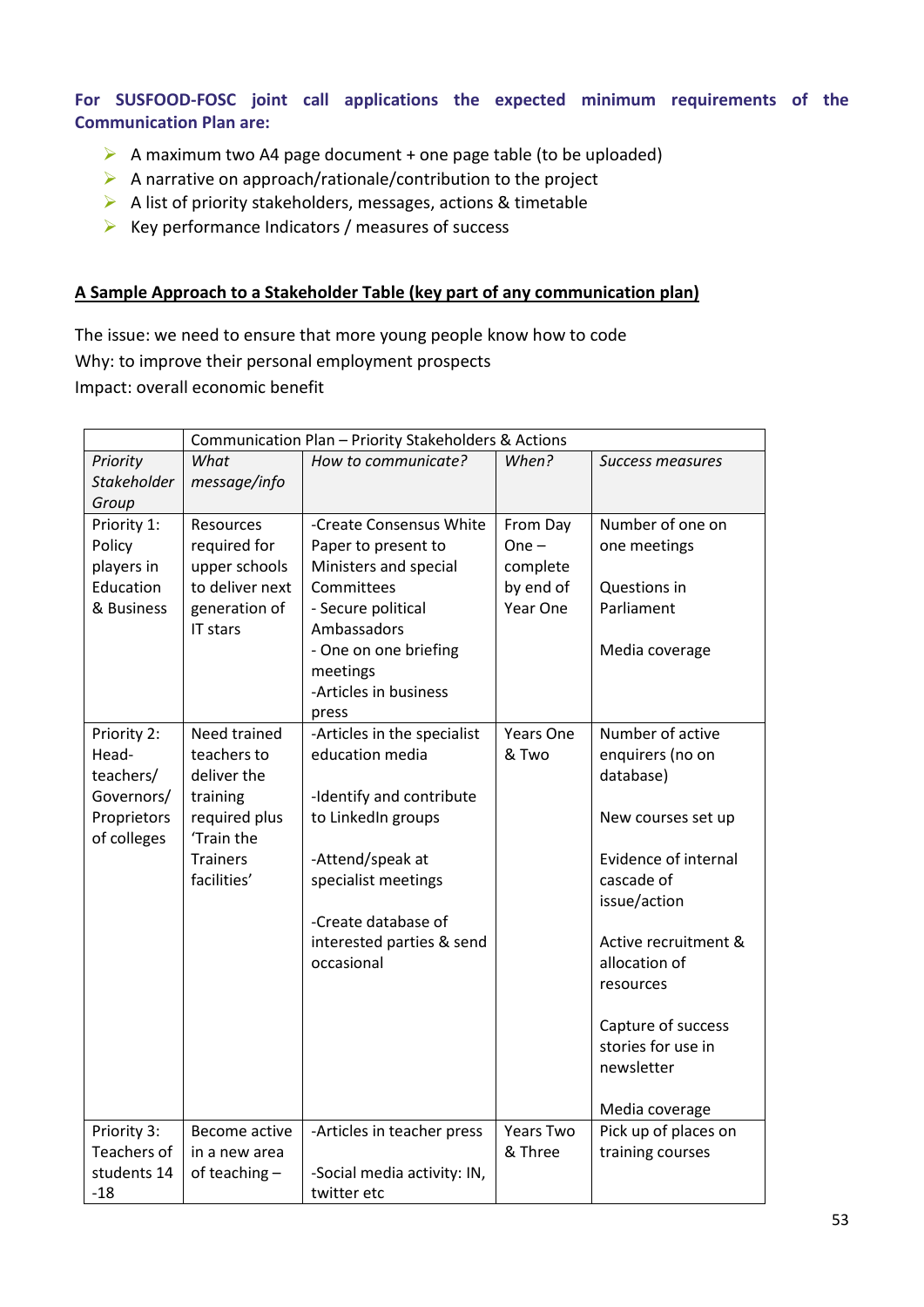**For SUSFOOD-FOSC joint call applications the expected minimum requirements of the Communication Plan are:**

- A maximum two A4 page document + one page table (to be uploaded)
- A narrative on approach/rationale/contribution to the project
- $\triangleright$  A list of priority stakeholders, messages, actions & timetable
- $\triangleright$  Key performance Indicators / measures of success

#### **A Sample Approach to a Stakeholder Table (key part of any communication plan)**

The issue: we need to ensure that more young people know how to code Why: to improve their personal employment prospects Impact: overall economic benefit

|             | Communication Plan - Priority Stakeholders & Actions |                             |                  |                      |
|-------------|------------------------------------------------------|-----------------------------|------------------|----------------------|
| Priority    | What                                                 | How to communicate?         | When?            | Success measures     |
| Stakeholder | message/info                                         |                             |                  |                      |
| Group       |                                                      |                             |                  |                      |
| Priority 1: | Resources                                            | -Create Consensus White     | From Day         | Number of one on     |
| Policy      | required for                                         | Paper to present to         | $One -$          | one meetings         |
| players in  | upper schools                                        | Ministers and special       | complete         |                      |
| Education   | to deliver next                                      | Committees                  | by end of        | Questions in         |
| & Business  | generation of                                        | - Secure political          | Year One         | Parliament           |
|             | IT stars                                             | Ambassadors                 |                  |                      |
|             |                                                      | - One on one briefing       |                  | Media coverage       |
|             |                                                      | meetings                    |                  |                      |
|             |                                                      | -Articles in business       |                  |                      |
|             |                                                      | press                       |                  |                      |
| Priority 2: | Need trained                                         | -Articles in the specialist | <b>Years One</b> | Number of active     |
| Head-       | teachers to                                          | education media             | & Two            | enquirers (no on     |
| teachers/   | deliver the                                          |                             |                  | database)            |
| Governors/  | training                                             | -Identify and contribute    |                  |                      |
| Proprietors | required plus                                        | to LinkedIn groups          |                  | New courses set up   |
| of colleges | 'Train the                                           |                             |                  |                      |
|             | <b>Trainers</b>                                      | -Attend/speak at            |                  | Evidence of internal |
|             | facilities'                                          | specialist meetings         |                  | cascade of           |
|             |                                                      |                             |                  | issue/action         |
|             |                                                      | -Create database of         |                  |                      |
|             |                                                      | interested parties & send   |                  | Active recruitment & |
|             |                                                      | occasional                  |                  | allocation of        |
|             |                                                      |                             |                  | resources            |
|             |                                                      |                             |                  |                      |
|             |                                                      |                             |                  | Capture of success   |
|             |                                                      |                             |                  | stories for use in   |
|             |                                                      |                             |                  | newsletter           |
|             |                                                      |                             |                  | Media coverage       |
| Priority 3: | Become active                                        | -Articles in teacher press  | <b>Years Two</b> | Pick up of places on |
| Teachers of | in a new area                                        |                             | & Three          | training courses     |
| students 14 | of teaching -                                        | -Social media activity: IN, |                  |                      |
| -18         |                                                      | twitter etc                 |                  |                      |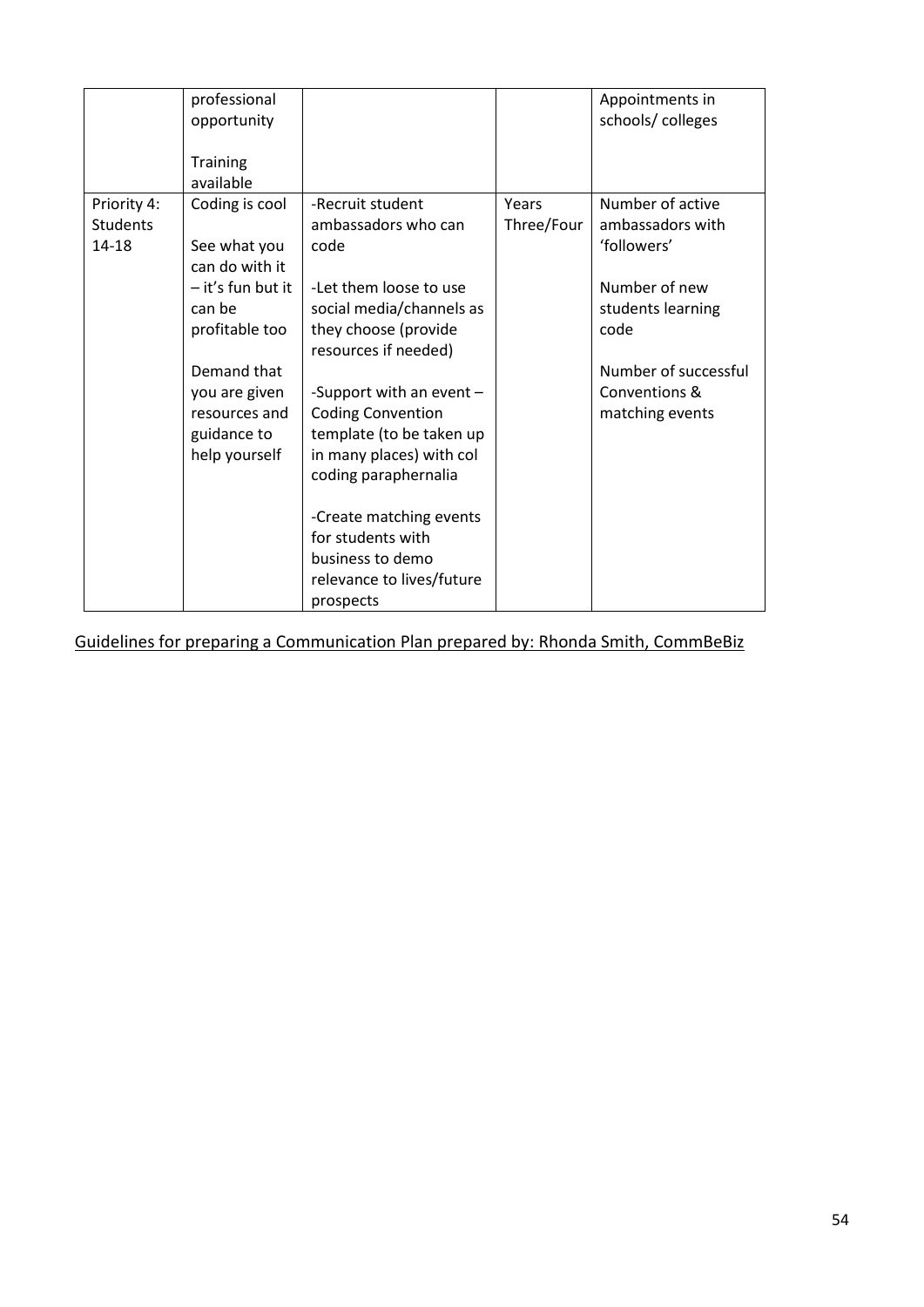|                                         | professional<br>opportunity<br><b>Training</b><br>available                                                                                                                        |                                                                                                                                                                                                                                                                                                                                                                                                               |                     | Appointments in<br>schools/colleges                                                                                                                           |
|-----------------------------------------|------------------------------------------------------------------------------------------------------------------------------------------------------------------------------------|---------------------------------------------------------------------------------------------------------------------------------------------------------------------------------------------------------------------------------------------------------------------------------------------------------------------------------------------------------------------------------------------------------------|---------------------|---------------------------------------------------------------------------------------------------------------------------------------------------------------|
| Priority 4:<br><b>Students</b><br>14-18 | Coding is cool<br>See what you<br>can do with it<br>- it's fun but it<br>can be<br>profitable too<br>Demand that<br>you are given<br>resources and<br>guidance to<br>help yourself | -Recruit student<br>ambassadors who can<br>code<br>-Let them loose to use<br>social media/channels as<br>they choose (provide<br>resources if needed)<br>-Support with an event $-$<br><b>Coding Convention</b><br>template (to be taken up<br>in many places) with col<br>coding paraphernalia<br>-Create matching events<br>for students with<br>business to demo<br>relevance to lives/future<br>prospects | Years<br>Three/Four | Number of active<br>ambassadors with<br>'followers'<br>Number of new<br>students learning<br>code<br>Number of successful<br>Conventions &<br>matching events |

Guidelines for preparing a Communication Plan prepared by: Rhonda Smith, CommBeBiz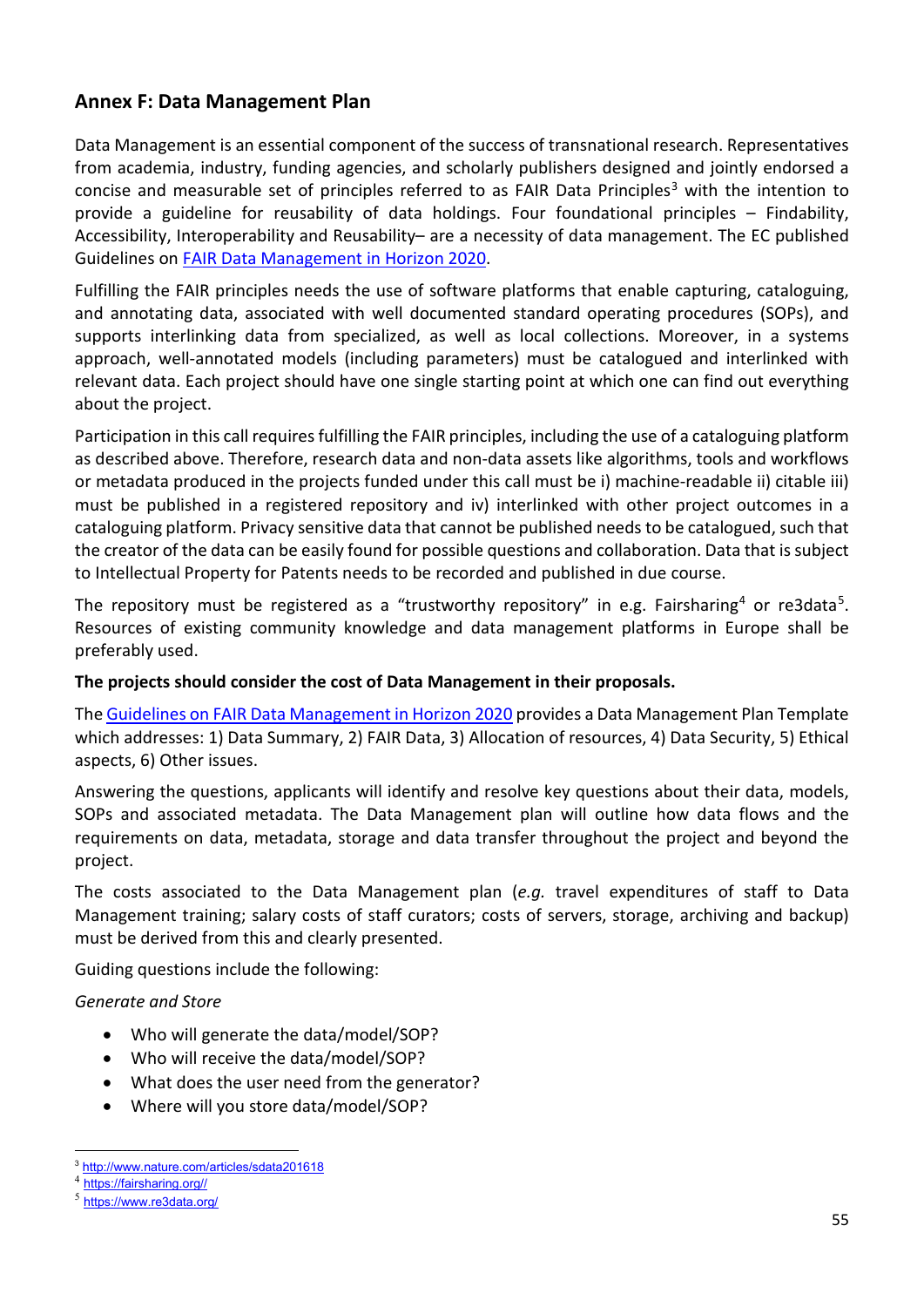# <span id="page-54-0"></span>**Annex F: Data Management Plan**

Data Management is an essential component of the success of transnational research. Representatives from academia, industry, funding agencies, and scholarly publishers designed and jointly endorsed a concise and measurable set of principles referred to as FAIR Data Principles<sup>[3](#page-54-1)</sup> with the intention to provide a guideline for reusability of data holdings. Four foundational principles – Findability, Accessibility, Interoperability and Reusability– are a necessity of data management. The EC published Guidelines o[n FAIR Data Management in Horizon 2020.](http://ec.europa.eu/research/participants/data/ref/h2020/grants_manual/hi/oa_pilot/h2020-hi-oa-data-mgt_en.pdf)

Fulfilling the FAIR principles needs the use of software platforms that enable capturing, cataloguing, and annotating data, associated with well documented standard operating procedures (SOPs), and supports interlinking data from specialized, as well as local collections. Moreover, in a systems approach, well-annotated models (including parameters) must be catalogued and interlinked with relevant data. Each project should have one single starting point at which one can find out everything about the project.

Participation in this call requires fulfilling the FAIR principles, including the use of a cataloguing platform as described above. Therefore, research data and non-data assets like algorithms, tools and workflows or metadata produced in the projects funded under this call must be i) machine-readable ii) citable iii) must be published in a registered repository and iv) interlinked with other project outcomes in a cataloguing platform. Privacy sensitive data that cannot be published needs to be catalogued, such that the creator of the data can be easily found for possible questions and collaboration. Data that is subject to Intellectual Property for Patents needs to be recorded and published in due course.

The repository must be registered as a "trustworthy repository" in e.g. Fairsharing<sup>4</sup> or re3data<sup>[5](#page-54-3)</sup>. Resources of existing community knowledge and data management platforms in Europe shall be preferably used.

#### **The projects should consider the cost of Data Management in their proposals.**

Th[e Guidelines on FAIR Data Management in Horizon 2020](http://ec.europa.eu/research/participants/data/ref/h2020/grants_manual/hi/oa_pilot/h2020-hi-oa-data-mgt_en.pdf) provides a Data Management Plan Template which addresses: 1) Data Summary, 2) FAIR Data, 3) Allocation of resources, 4) Data Security, 5) Ethical aspects, 6) Other issues.

Answering the questions, applicants will identify and resolve key questions about their data, models, SOPs and associated metadata. The Data Management plan will outline how data flows and the requirements on data, metadata, storage and data transfer throughout the project and beyond the project.

The costs associated to the Data Management plan (*e.g.* travel expenditures of staff to Data Management training; salary costs of staff curators; costs of servers, storage, archiving and backup) must be derived from this and clearly presented.

Guiding questions include the following:

#### *Generate and Store*

- Who will generate the data/model/SOP?
- Who will receive the data/model/SOP?
- What does the user need from the generator?
- Where will you store data/model/SOP?

 $\overline{a}$ <sup>3</sup> <http://www.nature.com/articles/sdata201618>

<span id="page-54-2"></span><span id="page-54-1"></span><sup>4</sup> [https://fairsharing.org//](https://fairsharing.org/)

<span id="page-54-3"></span><sup>5</sup> <https://www.re3data.org/>